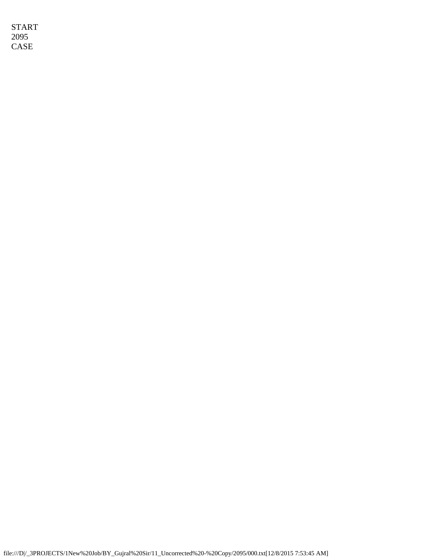START 2095 CASE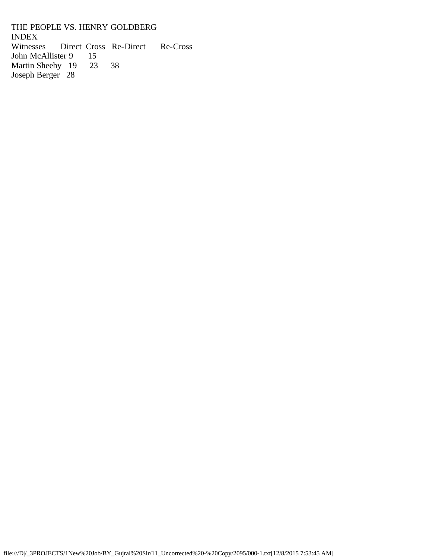THE PEOPLE VS. HENRY GOLDBERG **INDEX**<br>Witnesses Direct Cross Re-Direct Re-Cross John McAllister 9 15<br>Martin Sheehy 19 23 Martin Sheehy 19 23 38 Joseph Berger 28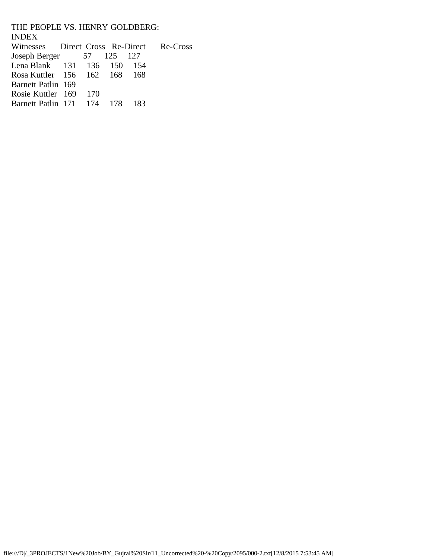THE PEOPLE VS. HENRY GOLDBERG: **INDEX**<br>Witnesses Direct Cross Re-Direct Re-Cross Joseph Berger 57 125 127 Lena Blank 131 136 150 154<br>Rosa Kuttler 156 162 168 168 Rosa Kuttler 156 Barnett Patlin 169 Rosie Kuttler 169 170<br>Barnett Patlin 171 174 Barnett Patlin 171 174 178 183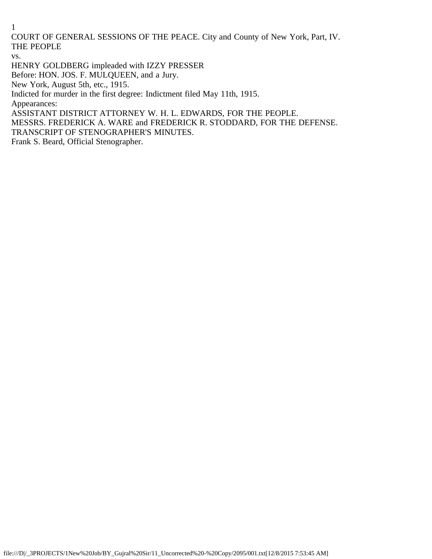COURT OF GENERAL SESSIONS OF THE PEACE. City and County of New York, Part, IV. THE PEOPLE

vs.

HENRY GOLDBERG impleaded with IZZY PRESSER

Before: HON. JOS. F. MULQUEEN, and a Jury.

New York, August 5th, etc., 1915.

Indicted for murder in the first degree: Indictment filed May 11th, 1915.

Appearances:

ASSISTANT DISTRICT ATTORNEY W. H. L. EDWARDS, FOR THE PEOPLE.

MESSRS. FREDERICK A. WARE and FREDERICK R. STODDARD, FOR THE DEFENSE.

TRANSCRIPT OF STENOGRAPHER'S MINUTES.

Frank S. Beard, Official Stenographer.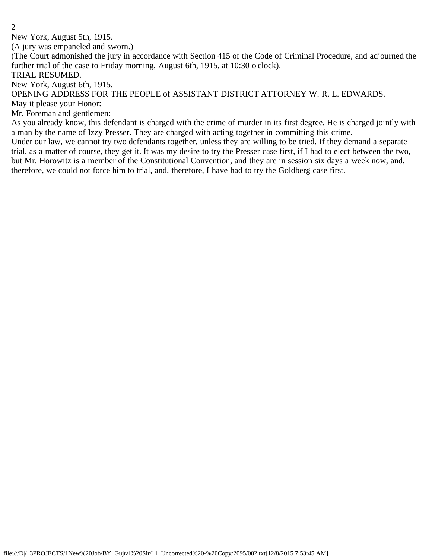New York, August 5th, 1915.

(A jury was empaneled and sworn.)

(The Court admonished the jury in accordance with Section 415 of the Code of Criminal Procedure, and adjourned the further trial of the case to Friday morning, August 6th, 1915, at 10:30 o'clock).

TRIAL RESUMED.

New York, August 6th, 1915.

OPENING ADDRESS FOR THE PEOPLE of ASSISTANT DISTRICT ATTORNEY W. R. L. EDWARDS.

May it please your Honor:

Mr. Foreman and gentlemen:

As you already know, this defendant is charged with the crime of murder in its first degree. He is charged jointly with a man by the name of Izzy Presser. They are charged with acting together in committing this crime.

Under our law, we cannot try two defendants together, unless they are willing to be tried. If they demand a separate trial, as a matter of course, they get it. It was my desire to try the Presser case first, if I had to elect between the two, but Mr. Horowitz is a member of the Constitutional Convention, and they are in session six days a week now, and, therefore, we could not force him to trial, and, therefore, I have had to try the Goldberg case first.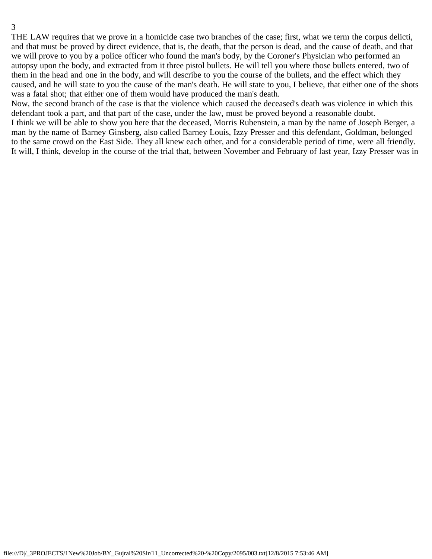THE LAW requires that we prove in a homicide case two branches of the case; first, what we term the corpus delicti, and that must be proved by direct evidence, that is, the death, that the person is dead, and the cause of death, and that we will prove to you by a police officer who found the man's body, by the Coroner's Physician who performed an autopsy upon the body, and extracted from it three pistol bullets. He will tell you where those bullets entered, two of them in the head and one in the body, and will describe to you the course of the bullets, and the effect which they caused, and he will state to you the cause of the man's death. He will state to you, I believe, that either one of the shots was a fatal shot; that either one of them would have produced the man's death.

Now, the second branch of the case is that the violence which caused the deceased's death was violence in which this defendant took a part, and that part of the case, under the law, must be proved beyond a reasonable doubt.

I think we will be able to show you here that the deceased, Morris Rubenstein, a man by the name of Joseph Berger, a man by the name of Barney Ginsberg, also called Barney Louis, Izzy Presser and this defendant, Goldman, belonged to the same crowd on the East Side. They all knew each other, and for a considerable period of time, were all friendly. It will, I think, develop in the course of the trial that, between November and February of last year, Izzy Presser was in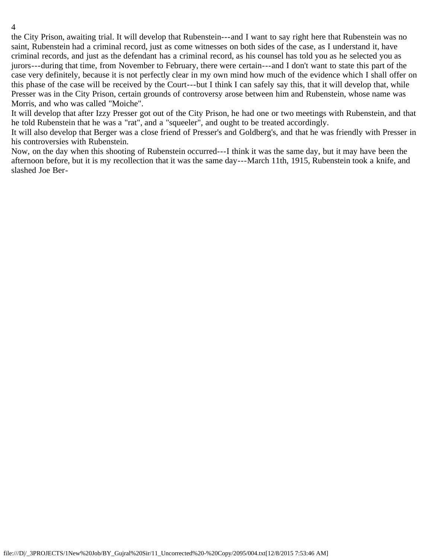the City Prison, awaiting trial. It will develop that Rubenstein---and I want to say right here that Rubenstein was no saint, Rubenstein had a criminal record, just as come witnesses on both sides of the case, as I understand it, have criminal records, and just as the defendant has a criminal record, as his counsel has told you as he selected you as jurors---during that time, from November to February, there were certain---and I don't want to state this part of the case very definitely, because it is not perfectly clear in my own mind how much of the evidence which I shall offer on this phase of the case will be received by the Court---but I think I can safely say this, that it will develop that, while Presser was in the City Prison, certain grounds of controversy arose between him and Rubenstein, whose name was Morris, and who was called "Moiche".

It will develop that after Izzy Presser got out of the City Prison, he had one or two meetings with Rubenstein, and that he told Rubenstein that he was a "rat", and a "squeeler", and ought to be treated accordingly.

It will also develop that Berger was a close friend of Presser's and Goldberg's, and that he was friendly with Presser in his controversies with Rubenstein.

Now, on the day when this shooting of Rubenstein occurred---I think it was the same day, but it may have been the afternoon before, but it is my recollection that it was the same day---March 11th, 1915, Rubenstein took a knife, and slashed Joe Ber-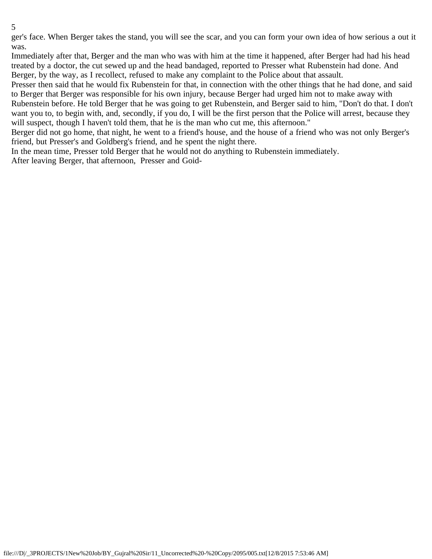ger's face. When Berger takes the stand, you will see the scar, and you can form your own idea of how serious a out it was.

Immediately after that, Berger and the man who was with him at the time it happened, after Berger had had his head treated by a doctor, the cut sewed up and the head bandaged, reported to Presser what Rubenstein had done. And Berger, by the way, as I recollect, refused to make any complaint to the Police about that assault.

Presser then said that he would fix Rubenstein for that, in connection with the other things that he had done, and said to Berger that Berger was responsible for his own injury, because Berger had urged him not to make away with Rubenstein before. He told Berger that he was going to get Rubenstein, and Berger said to him, "Don't do that. I don't want you to, to begin with, and, secondly, if you do, I will be the first person that the Police will arrest, because they will suspect, though I haven't told them, that he is the man who cut me, this afternoon."

Berger did not go home, that night, he went to a friend's house, and the house of a friend who was not only Berger's friend, but Presser's and Goldberg's friend, and he spent the night there.

In the mean time, Presser told Berger that he would not do anything to Rubenstein immediately.

After leaving Berger, that afternoon, Presser and Goid-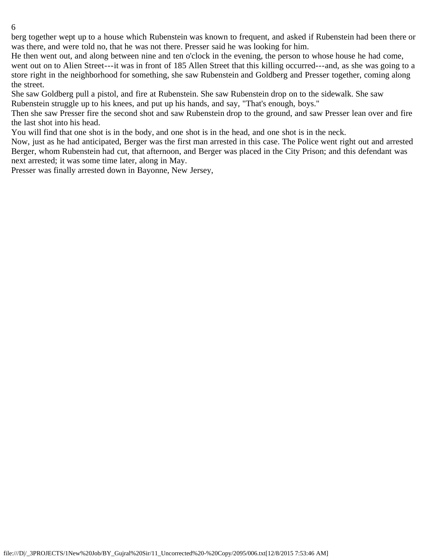berg together wept up to a house which Rubenstein was known to frequent, and asked if Rubenstein had been there or was there, and were told no, that he was not there. Presser said he was looking for him.

He then went out, and along between nine and ten o'clock in the evening, the person to whose house he had come, went out on to Alien Street---it was in front of 185 Allen Street that this killing occurred---and, as she was going to a store right in the neighborhood for something, she saw Rubenstein and Goldberg and Presser together, coming along the street.

She saw Goldberg pull a pistol, and fire at Rubenstein. She saw Rubenstein drop on to the sidewalk. She saw Rubenstein struggle up to his knees, and put up his hands, and say, "That's enough, boys."

Then she saw Presser fire the second shot and saw Rubenstein drop to the ground, and saw Presser lean over and fire the last shot into his head.

You will find that one shot is in the body, and one shot is in the head, and one shot is in the neck.

Now, just as he had anticipated, Berger was the first man arrested in this case. The Police went right out and arrested Berger, whom Rubenstein had cut, that afternoon, and Berger was placed in the City Prison; and this defendant was next arrested; it was some time later, along in May.

Presser was finally arrested down in Bayonne, New Jersey,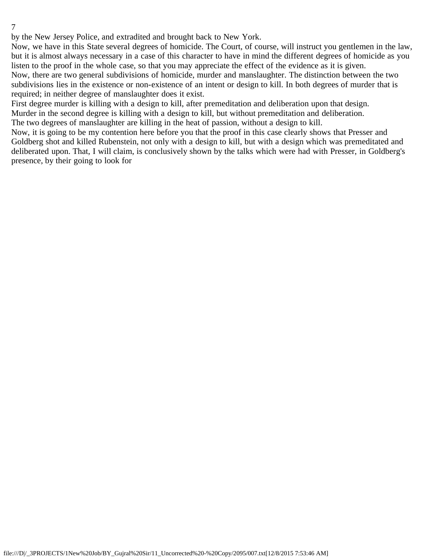by the New Jersey Police, and extradited and brought back to New York.

Now, we have in this State several degrees of homicide. The Court, of course, will instruct you gentlemen in the law, but it is almost always necessary in a case of this character to have in mind the different degrees of homicide as you listen to the proof in the whole case, so that you may appreciate the effect of the evidence as it is given. Now, there are two general subdivisions of homicide, murder and manslaughter. The distinction between the two subdivisions lies in the existence or non-existence of an intent or design to kill. In both degrees of murder that is required; in neither degree of manslaughter does it exist.

First degree murder is killing with a design to kill, after premeditation and deliberation upon that design.

Murder in the second degree is killing with a design to kill, but without premeditation and deliberation.

The two degrees of manslaughter are killing in the heat of passion, without a design to kill.

Now, it is going to be my contention here before you that the proof in this case clearly shows that Presser and Goldberg shot and killed Rubenstein, not only with a design to kill, but with a design which was premeditated and deliberated upon. That, I will claim, is conclusively shown by the talks which were had with Presser, in Goldberg's presence, by their going to look for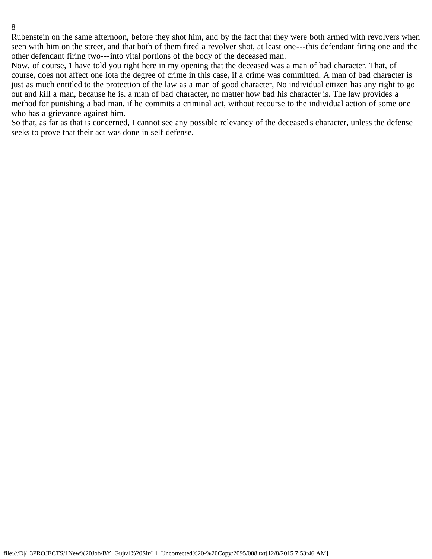Rubenstein on the same afternoon, before they shot him, and by the fact that they were both armed with revolvers when seen with him on the street, and that both of them fired a revolver shot, at least one---this defendant firing one and the other defendant firing two---into vital portions of the body of the deceased man.

Now, of course, 1 have told you right here in my opening that the deceased was a man of bad character. That, of course, does not affect one iota the degree of crime in this case, if a crime was committed. A man of bad character is just as much entitled to the protection of the law as a man of good character, No individual citizen has any right to go out and kill a man, because he is. a man of bad character, no matter how bad his character is. The law provides a method for punishing a bad man, if he commits a criminal act, without recourse to the individual action of some one who has a grievance against him.

So that, as far as that is concerned, I cannot see any possible relevancy of the deceased's character, unless the defense seeks to prove that their act was done in self defense.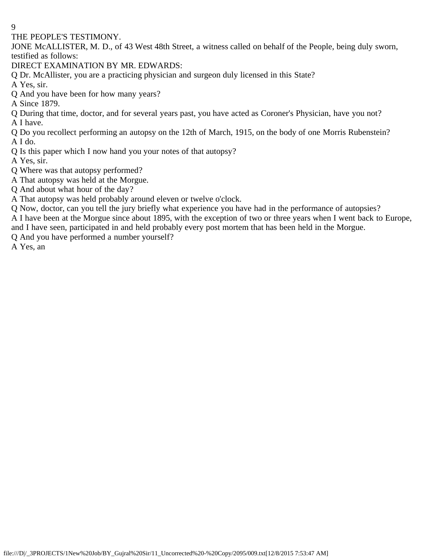THE PEOPLE'S TESTIMONY.

JONE McALLISTER, M. D., of 43 West 48th Street, a witness called on behalf of the People, being duly sworn, testified as follows:

DIRECT EXAMINATION BY MR. EDWARDS:

Q Dr. McAllister, you are a practicing physician and surgeon duly licensed in this State?

A Yes, sir.

Q And you have been for how many years?

A Since 1879.

Q During that time, doctor, and for several years past, you have acted as Coroner's Physician, have you not? A I have.

Q Do you recollect performing an autopsy on the 12th of March, 1915, on the body of one Morris Rubenstein? A I do.

Q Is this paper which I now hand you your notes of that autopsy?

A Yes, sir.

Q Where was that autopsy performed?

A That autopsy was held at the Morgue.

Q And about what hour of the day?

A That autopsy was held probably around eleven or twelve o'clock.

Q Now, doctor, can you tell the jury briefly what experience you have had in the performance of autopsies?

A I have been at the Morgue since about 1895, with the exception of two or three years when I went back to Europe, and I have seen, participated in and held probably every post mortem that has been held in the Morgue.

Q And you have performed a number yourself?

A Yes, an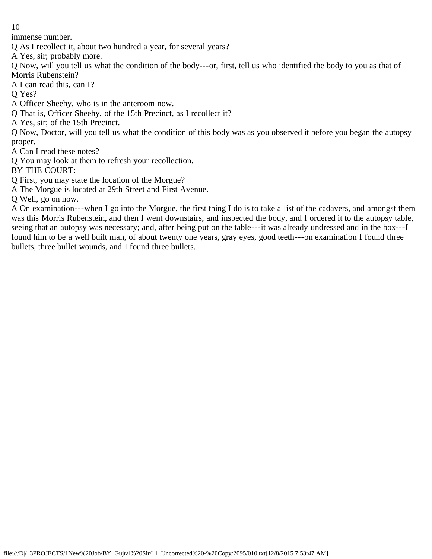immense number.

Q As I recollect it, about two hundred a year, for several years?

A Yes, sir; probably more.

Q Now, will you tell us what the condition of the body---or, first, tell us who identified the body to you as that of Morris Rubenstein?

A I can read this, can I?

Q Yes?

A Officer Sheehy, who is in the anteroom now.

Q That is, Officer Sheehy, of the 15th Precinct, as I recollect it?

A Yes, sir; of the 15th Precinct.

Q Now, Doctor, will you tell us what the condition of this body was as you observed it before you began the autopsy proper.

A Can I read these notes?

Q You may look at them to refresh your recollection.

BY THE COURT:

Q First, you may state the location of the Morgue?

A The Morgue is located at 29th Street and First Avenue.

Q Well, go on now.

A On examination---when I go into the Morgue, the first thing I do is to take a list of the cadavers, and amongst them was this Morris Rubenstein, and then I went downstairs, and inspected the body, and I ordered it to the autopsy table, seeing that an autopsy was necessary; and, after being put on the table---it was already undressed and in the box---I found him to be a well built man, of about twenty one years, gray eyes, good teeth---on examination I found three bullets, three bullet wounds, and I found three bullets.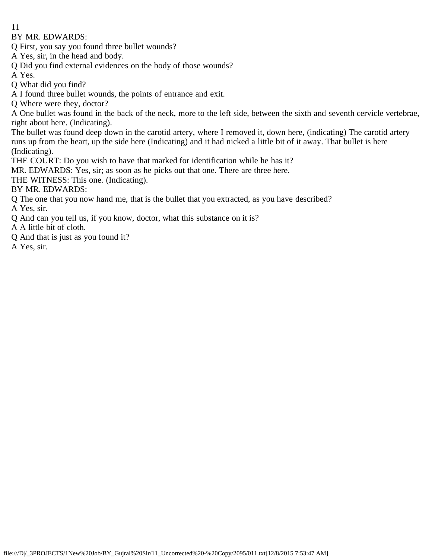BY MR. EDWARDS:

Q First, you say you found three bullet wounds?

A Yes, sir, in the head and body.

Q Did you find external evidences on the body of those wounds?

A Yes.

Q What did you find?

A I found three bullet wounds, the points of entrance and exit.

Q Where were they, doctor?

A One bullet was found in the back of the neck, more to the left side, between the sixth and seventh cervicle vertebrae, right about here. (Indicating).

The bullet was found deep down in the carotid artery, where I removed it, down here, (indicating) The carotid artery runs up from the heart, up the side here (Indicating) and it had nicked a little bit of it away. That bullet is here (Indicating).

THE COURT: Do you wish to have that marked for identification while he has it?

MR. EDWARDS: Yes, sir; as soon as he picks out that one. There are three here.

THE WITNESS: This one. (Indicating).

BY MR. EDWARDS:

Q The one that you now hand me, that is the bullet that you extracted, as you have described?

A Yes, sir.

Q And can you tell us, if you know, doctor, what this substance on it is?

A A little bit of cloth.

Q And that is just as you found it?

A Yes, sir.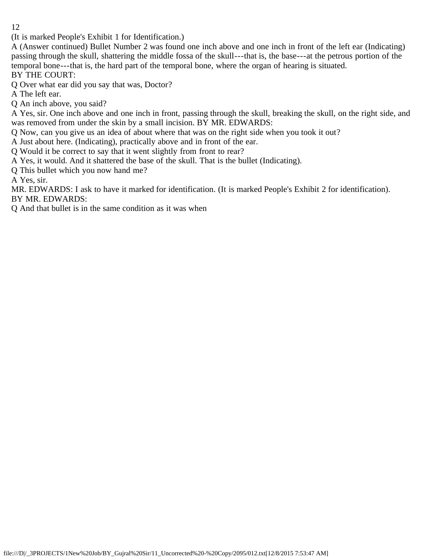(It is marked People's Exhibit 1 for Identification.)

A (Answer continued) Bullet Number 2 was found one inch above and one inch in front of the left ear (Indicating) passing through the skull, shattering the middle fossa of the skull---that is, the base---at the petrous portion of the temporal bone---that is, the hard part of the temporal bone, where the organ of hearing is situated. BY THE COURT:

Q Over what ear did you say that was, Doctor?

A The left ear.

Q An inch above, you said?

A Yes, sir. One inch above and one inch in front, passing through the skull, breaking the skull, on the right side, and was removed from under the skin by a small incision. BY MR. EDWARDS:

Q Now, can you give us an idea of about where that was on the right side when you took it out?

A Just about here. (Indicating), practically above and in front of the ear.

Q Would it be correct to say that it went slightly from front to rear?

A Yes, it would. And it shattered the base of the skull. That is the bullet (Indicating).

Q This bullet which you now hand me?

A Yes, sir.

MR. EDWARDS: I ask to have it marked for identification. (It is marked People's Exhibit 2 for identification). BY MR. EDWARDS:

Q And that bullet is in the same condition as it was when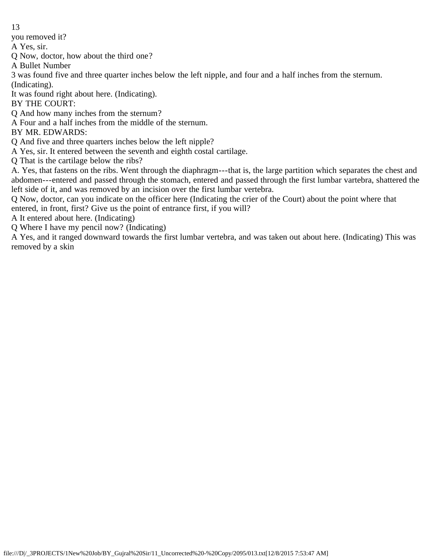you removed it?

A Yes, sir.

Q Now, doctor, how about the third one?

A Bullet Number

3 was found five and three quarter inches below the left nipple, and four and a half inches from the sternum. (Indicating).

It was found right about here. (Indicating).

BY THE COURT:

Q And how many inches from the sternum?

A Four and a half inches from the middle of the sternum.

BY MR. EDWARDS:

Q And five and three quarters inches below the left nipple?

A Yes, sir. It entered between the seventh and eighth costal cartilage.

Q That is the cartilage below the ribs?

A. Yes, that fastens on the ribs. Went through the diaphragm---that is, the large partition which separates the chest and abdomen---entered and passed through the stomach, entered and passed through the first lumbar vartebra, shattered the left side of it, and was removed by an incision over the first lumbar vertebra.

Q Now, doctor, can you indicate on the officer here (Indicating the crier of the Court) about the point where that entered, in front, first? Give us the point of entrance first, if you will?

A It entered about here. (Indicating)

Q Where I have my pencil now? (Indicating)

A Yes, and it ranged downward towards the first lumbar vertebra, and was taken out about here. (Indicating) This was removed by a skin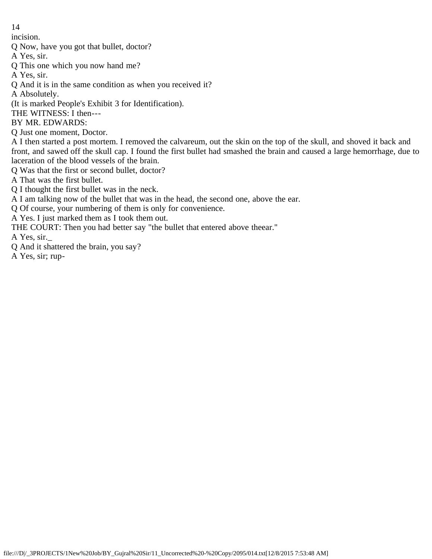incision.

Q Now, have you got that bullet, doctor?

A Yes, sir.

Q This one which you now hand me?

A Yes, sir.

Q And it is in the same condition as when you received it?

A Absolutely.

(It is marked People's Exhibit 3 for Identification).

THE WITNESS: I then---

BY MR. EDWARDS:

Q Just one moment, Doctor.

A I then started a post mortem. I removed the calvareum, out the skin on the top of the skull, and shoved it back and front, and sawed off the skull cap. I found the first bullet had smashed the brain and caused a large hemorrhage, due to laceration of the blood vessels of the brain.

Q Was that the first or second bullet, doctor?

A That was the first bullet.

Q I thought the first bullet was in the neck.

A I am talking now of the bullet that was in the head, the second one, above the ear.

Q Of course, your numbering of them is only for convenience.

A Yes. I just marked them as I took them out.

THE COURT: Then you had better say "the bullet that entered above theear."

A Yes, sir.\_

Q And it shattered the brain, you say?

A Yes, sir; rup-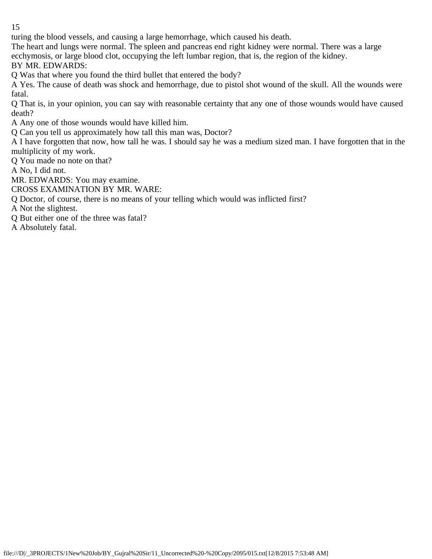turing the blood vessels, and causing a large hemorrhage, which caused his death.

The heart and lungs were normal. The spleen and pancreas end right kidney were normal. There was a large ecchymosis, or large blood clot, occupying the left lumbar region, that is, the region of the kidney.

BY MR. EDWARDS:

Q Was that where you found the third bullet that entered the body?

A Yes. The cause of death was shock and hemorrhage, due to pistol shot wound of the skull. All the wounds were fatal.

Q That is, in your opinion, you can say with reasonable certainty that any one of those wounds would have caused death?

A Any one of those wounds would have killed him.

Q Can you tell us approximately how tall this man was, Doctor?

A I have forgotten that now, how tall he was. I should say he was a medium sized man. I have forgotten that in the multiplicity of my work.

Q You made no note on that?

A No, I did not.

MR. EDWARDS: You may examine.

CROSS EXAMINATION BY MR. WARE:

Q Doctor, of course, there is no means of your telling which would was inflicted first?

A Not the slightest.

Q But either one of the three was fatal?

A Absolutely fatal.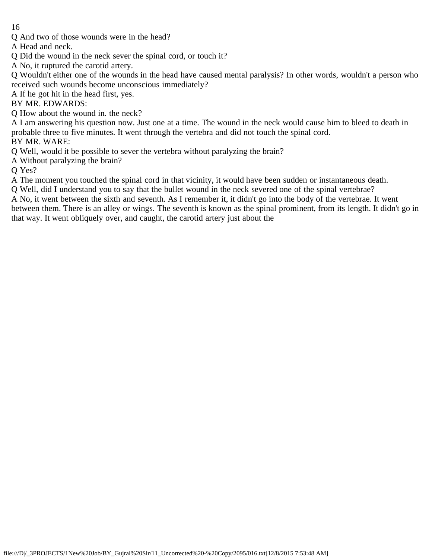Q And two of those wounds were in the head?

A Head and neck.

- Q Did the wound in the neck sever the spinal cord, or touch it?
- A No, it ruptured the carotid artery.

Q Wouldn't either one of the wounds in the head have caused mental paralysis? In other words, wouldn't a person who received such wounds become unconscious immediately?

A If he got hit in the head first, yes.

BY MR. EDWARDS:

Q How about the wound in. the neck?

A I am answering his question now. Just one at a time. The wound in the neck would cause him to bleed to death in probable three to five minutes. It went through the vertebra and did not touch the spinal cord.

BY MR. WARE:

Q Well, would it be possible to sever the vertebra without paralyzing the brain?

A Without paralyzing the brain?

O Yes?

A The moment you touched the spinal cord in that vicinity, it would have been sudden or instantaneous death.

Q Well, did I understand you to say that the bullet wound in the neck severed one of the spinal vertebrae?

A No, it went between the sixth and seventh. As I remember it, it didn't go into the body of the vertebrae. It went between them. There is an alley or wings. The seventh is known as the spinal prominent, from its length. It didn't go in that way. It went obliquely over, and caught, the carotid artery just about the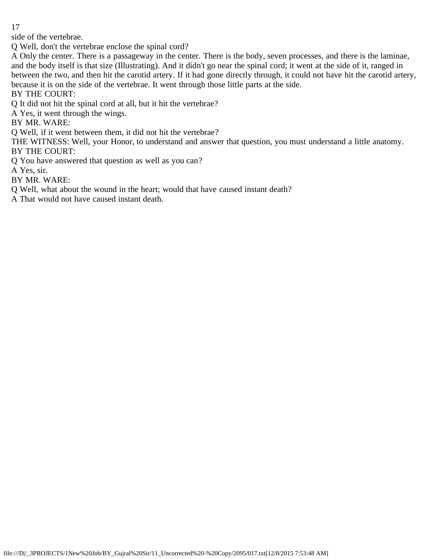side of the vertebrae.

Q Well, don't the vertebrae enclose the spinal cord?

A Only the center. There is a passageway in the center. There is the body, seven processes, and there is the laminae, and the body itself is that size (Illustrating). And it didn't go near the spinal cord; it went at the side of it, ranged in between the two, and then hit the carotid artery. If it had gone directly through, it could not have hit the carotid artery, because it is on the side of the vertebrae. It went through those little parts at the side.

BY THE COURT:

Q It did not hit the spinal cord at all, but it hit the vertebrae?

A Yes, it went through the wings.

BY MR. WARE:

Q Well, if it went between them, it did not hit the vertebrae?

THE WITNESS: Well, your Honor, to understand and answer that question, you must understand a little anatomy. BY THE COURT:

Q You have answered that question as well as you can?

A Yes, sir.

BY MR. WARE:

Q Well, what about the wound in the heart; would that have caused instant death?

A That would not have caused instant death.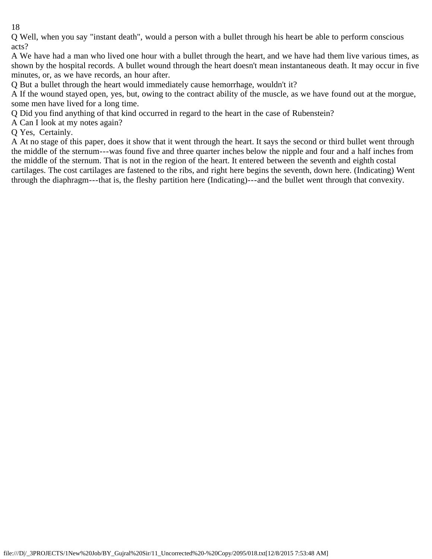Q Well, when you say "instant death", would a person with a bullet through his heart be able to perform conscious acts?

A We have had a man who lived one hour with a bullet through the heart, and we have had them live various times, as shown by the hospital records. A bullet wound through the heart doesn't mean instantaneous death. It may occur in five minutes, or, as we have records, an hour after.

Q But a bullet through the heart would immediately cause hemorrhage, wouldn't it?

A If the wound stayed open, yes, but, owing to the contract ability of the muscle, as we have found out at the morgue, some men have lived for a long time.

Q Did you find anything of that kind occurred in regard to the heart in the case of Rubenstein?

A Can I look at my notes again?

Q Yes, Certainly.

A At no stage of this paper, does it show that it went through the heart. It says the second or third bullet went through the middle of the sternum---was found five and three quarter inches below the nipple and four and a half inches from the middle of the sternum. That is not in the region of the heart. It entered between the seventh and eighth costal cartilages. The cost cartilages are fastened to the ribs, and right here begins the seventh, down here. (Indicating) Went through the diaphragm---that is, the fleshy partition here (Indicating)---and the bullet went through that convexity.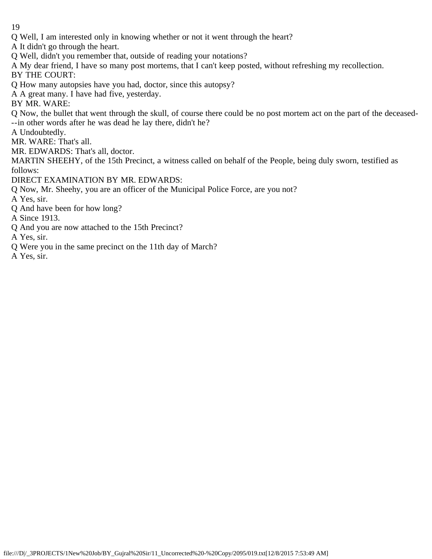Q Well, I am interested only in knowing whether or not it went through the heart?

A It didn't go through the heart.

Q Well, didn't you remember that, outside of reading your notations?

A My dear friend, I have so many post mortems, that I can't keep posted, without refreshing my recollection.

BY THE COURT:

Q How many autopsies have you had, doctor, since this autopsy?

A A great many. I have had five, yesterday.

BY MR. WARE:

Q Now, the bullet that went through the skull, of course there could be no post mortem act on the part of the deceased- --in other words after he was dead he lay there, didn't he?

A Undoubtedly.

MR. WARE: That's all.

MR. EDWARDS: That's all, doctor.

MARTIN SHEEHY, of the 15th Precinct, a witness called on behalf of the People, being duly sworn, testified as follows:

DIRECT EXAMINATION BY MR. EDWARDS:

Q Now, Mr. Sheehy, you are an officer of the Municipal Police Force, are you not?

A Yes, sir.

Q And have been for how long?

A Since 1913.

Q And you are now attached to the 15th Precinct?

A Yes, sir.

Q Were you in the same precinct on the 11th day of March?

A Yes, sir.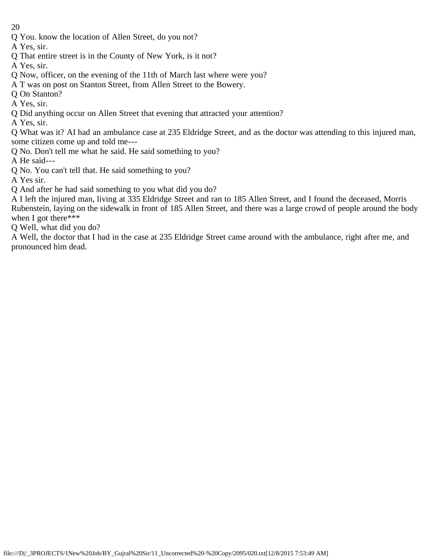Q You. know the location of Allen Street, do you not?

A Yes, sir.

- Q That entire street is in the County of New York, is it not?
- A Yes, sir.
- Q Now, officer, on the evening of the 11th of March last where were you?
- A T was on post on Stanton Street, from Allen Street to the Bowery.
- Q On Stanton?
- A Yes, sir.
- Q Did anything occur on Allen Street that evening that attracted your attention?
- A Yes, sir.

Q What was it? AI had an ambulance case at 235 Eldridge Street, and as the doctor was attending to this injured man, some citizen come up and told me---

Q No. Don't tell me what he said. He said something to you?

A He said---

Q No. You can't tell that. He said something to you?

A Yes sir.

Q And after he had said something to you what did you do?

A I left the injured man, living at 335 Eldridge Street and ran to 185 Allen Street, and I found the deceased, Morris Rubenstein, laying on the sidewalk in front of 185 Allen Street, and there was a large crowd of people around the body when I got there\*\*\*

Q Well, what did you do?

A Well, the doctor that I had in the case at 235 Eldridge Street came around with the ambulance, right after me, and pronounced him dead.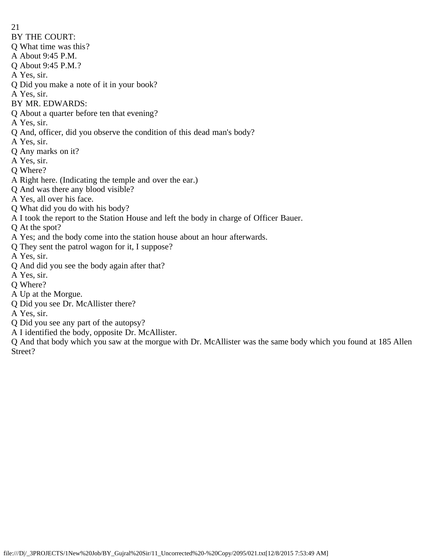- 21
- BY THE COURT:
- Q What time was this?
- A About 9:45 P.M.
- Q About 9:45 P.M.?
- A Yes, sir.
- Q Did you make a note of it in your book?
- A Yes, sir.
- BY MR. EDWARDS:
- Q About a quarter before ten that evening?
- A Yes, sir.
- Q And, officer, did you observe the condition of this dead man's body?
- A Yes, sir.
- Q Any marks on it?
- A Yes, sir.
- Q Where?
- A Right here. (Indicating the temple and over the ear.)
- Q And was there any blood visible?
- A Yes, all over his face.
- Q What did you do with his body?
- A I took the report to the Station House and left the body in charge of Officer Bauer.
- Q At the spot?
- A Yes; and the body come into the station house about an hour afterwards.
- Q They sent the patrol wagon for it, I suppose?
- A Yes, sir.
- Q And did you see the body again after that?
- A Yes, sir.
- Q Where?
- A Up at the Morgue.
- Q Did you see Dr. McAllister there?
- A Yes, sir.
- Q Did you see any part of the autopsy?
- A I identified the body, opposite Dr. McAllister.

Q And that body which you saw at the morgue with Dr. McAllister was the same body which you found at 185 Allen Street?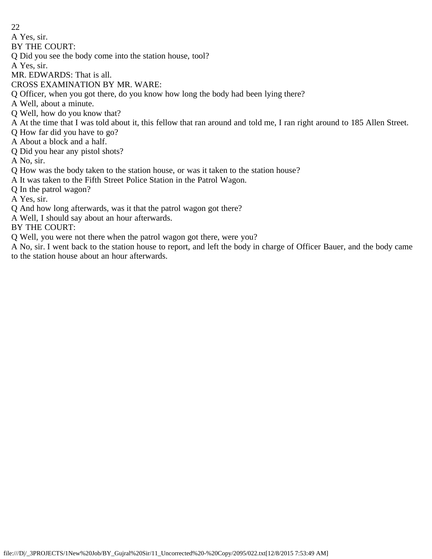A Yes, sir.

BY THE COURT:

Q Did you see the body come into the station house, tool?

A Yes, sir.

MR. EDWARDS: That is all.

CROSS EXAMINATION BY MR. WARE:

Q Officer, when you got there, do you know how long the body had been lying there?

A Well, about a minute.

Q Well, how do you know that?

A At the time that I was told about it, this fellow that ran around and told me, I ran right around to 185 Allen Street.

Q How far did you have to go?

A About a block and a half.

Q Did you hear any pistol shots?

A No, sir.

Q How was the body taken to the station house, or was it taken to the station house?

A It was taken to the Fifth Street Police Station in the Patrol Wagon.

Q In the patrol wagon?

A Yes, sir.

Q And how long afterwards, was it that the patrol wagon got there?

A Well, I should say about an hour afterwards.

BY THE COURT:

Q Well, you were not there when the patrol wagon got there, were you?

A No, sir. I went back to the station house to report, and left the body in charge of Officer Bauer, and the body came to the station house about an hour afterwards.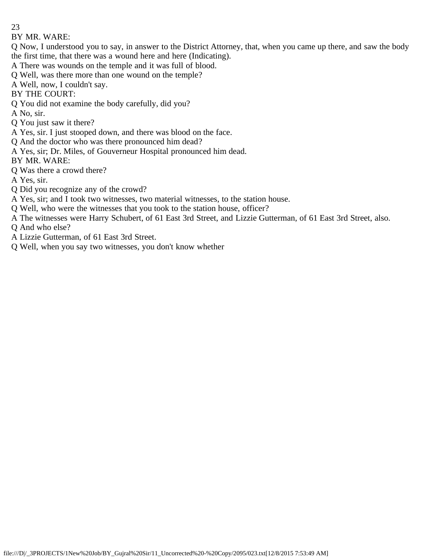## BY MR. WARE:

Q Now, I understood you to say, in answer to the District Attorney, that, when you came up there, and saw the body the first time, that there was a wound here and here (Indicating).

A There was wounds on the temple and it was full of blood.

Q Well, was there more than one wound on the temple?

A Well, now, I couldn't say.

BY THE COURT:

Q You did not examine the body carefully, did you?

A No, sir.

- Q You just saw it there?
- A Yes, sir. I just stooped down, and there was blood on the face.
- Q And the doctor who was there pronounced him dead?
- A Yes, sir; Dr. Miles, of Gouverneur Hospital pronounced him dead.

BY MR. WARE:

Q Was there a crowd there?

A Yes, sir.

- Q Did you recognize any of the crowd?
- A Yes, sir; and I took two witnesses, two material witnesses, to the station house.
- Q Well, who were the witnesses that you took to the station house, officer?
- A The witnesses were Harry Schubert, of 61 East 3rd Street, and Lizzie Gutterman, of 61 East 3rd Street, also. Q And who else?
- A Lizzie Gutterman, of 61 East 3rd Street.
- Q Well, when you say two witnesses, you don't know whether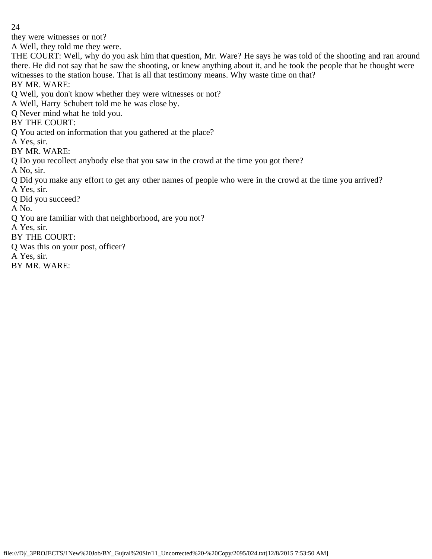they were witnesses or not?

A Well, they told me they were.

THE COURT: Well, why do you ask him that question, Mr. Ware? He says he was told of the shooting and ran around there. He did not say that he saw the shooting, or knew anything about it, and he took the people that he thought were witnesses to the station house. That is all that testimony means. Why waste time on that?

BY MR. WARE:

- Q Well, you don't know whether they were witnesses or not?
- A Well, Harry Schubert told me he was close by.
- Q Never mind what he told you.
- BY THE COURT:
- Q You acted on information that you gathered at the place?
- A Yes, sir.
- BY MR. WARE:
- Q Do you recollect anybody else that you saw in the crowd at the time you got there?
- A No, sir.
- Q Did you make any effort to get any other names of people who were in the crowd at the time you arrived? A Yes, sir.
- Q Did you succeed?
- A No.
- Q You are familiar with that neighborhood, are you not?
- A Yes, sir.
- BY THE COURT:
- Q Was this on your post, officer?
- A Yes, sir.
- BY MR. WARE: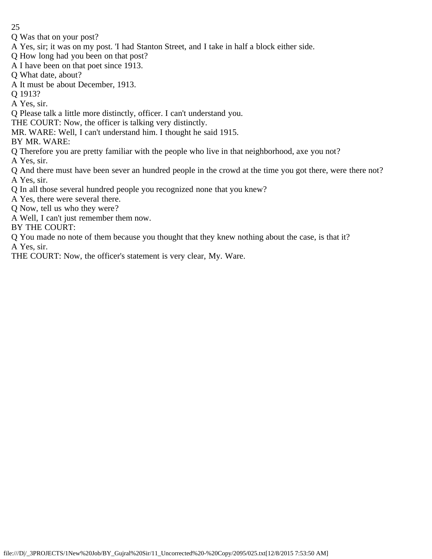- Q Was that on your post?
- A Yes, sir; it was on my post. 'I had Stanton Street, and I take in half a block either side.
- Q How long had you been on that post?
- A I have been on that poet since 1913.
- Q What date, about?
- A It must be about December, 1913.
- Q 1913?
- A Yes, sir.
- Q Please talk a little more distinctly, officer. I can't understand you.
- THE COURT: Now, the officer is talking very distinctly.
- MR. WARE: Well, I can't understand him. I thought he said 1915.
- BY MR. WARE:
- Q Therefore you are pretty familiar with the people who live in that neighborhood, axe you not?
- A Yes, sir.
- Q And there must have been sever an hundred people in the crowd at the time you got there, were there not? A Yes, sir.
- Q In all those several hundred people you recognized none that you knew?
- A Yes, there were several there.
- Q Now, tell us who they were?
- A Well, I can't just remember them now.
- BY THE COURT:
- Q You made no note of them because you thought that they knew nothing about the case, is that it? A Yes, sir.
- THE COURT: Now, the officer's statement is very clear, My. Ware.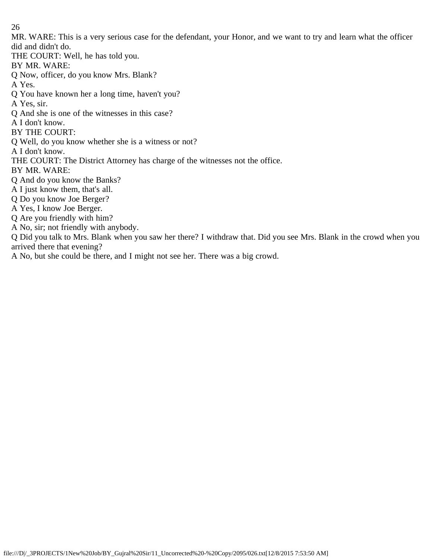MR. WARE: This is a very serious case for the defendant, your Honor, and we want to try and learn what the officer did and didn't do.

THE COURT: Well, he has told you.

BY MR. WARE:

Q Now, officer, do you know Mrs. Blank?

A Yes.

Q You have known her a long time, haven't you?

A Yes, sir.

Q And she is one of the witnesses in this case?

A I don't know.

BY THE COURT:

Q Well, do you know whether she is a witness or not?

A I don't know.

THE COURT: The District Attorney has charge of the witnesses not the office.

BY MR. WARE:

Q And do you know the Banks?

A I just know them, that's all.

Q Do you know Joe Berger?

A Yes, I know Joe Berger.

Q Are you friendly with him?

A No, sir; not friendly with anybody.

Q Did you talk to Mrs. Blank when you saw her there? I withdraw that. Did you see Mrs. Blank in the crowd when you arrived there that evening?

A No, but she could be there, and I might not see her. There was a big crowd.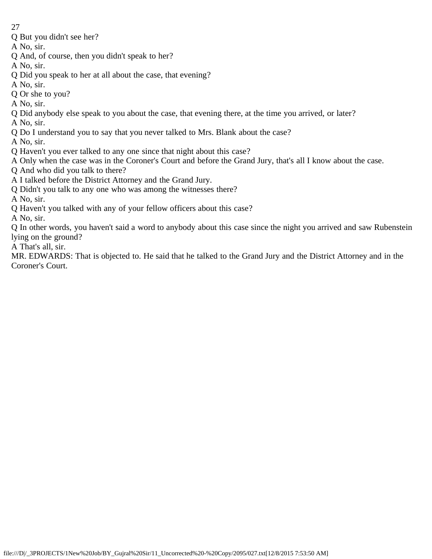- 27
- Q But you didn't see her?
- A No, sir.
- Q And, of course, then you didn't speak to her?
- A No, sir.
- Q Did you speak to her at all about the case, that evening?
- A No, sir.
- Q Or she to you?
- A No, sir.
- Q Did anybody else speak to you about the case, that evening there, at the time you arrived, or later?
- A No, sir.
- Q Do I understand you to say that you never talked to Mrs. Blank about the case?
- A No, sir.
- Q Haven't you ever talked to any one since that night about this case?
- A Only when the case was in the Coroner's Court and before the Grand Jury, that's all I know about the case.
- Q And who did you talk to there?
- A I talked before the District Attorney and the Grand Jury.
- Q Didn't you talk to any one who was among the witnesses there?
- A No, sir.
- Q Haven't you talked with any of your fellow officers about this case?
- A No, sir.
- Q In other words, you haven't said a word to anybody about this case since the night you arrived and saw Rubenstein lying on the ground?
- A That's all, sir.
- MR. EDWARDS: That is objected to. He said that he talked to the Grand Jury and the District Attorney and in the Coroner's Court.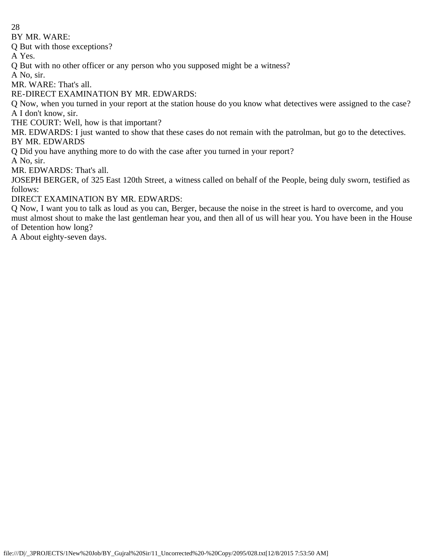BY MR. WARE:

Q But with those exceptions?

A Yes.

Q But with no other officer or any person who you supposed might be a witness?

A No, sir.

MR. WARE: That's all.

RE-DIRECT EXAMINATION BY MR. EDWARDS:

Q Now, when you turned in your report at the station house do you know what detectives were assigned to the case? A I don't know, sir.

THE COURT: Well, how is that important?

MR. EDWARDS: I just wanted to show that these cases do not remain with the patrolman, but go to the detectives. BY MR. EDWARDS

Q Did you have anything more to do with the case after you turned in your report?

A No, sir.

MR. EDWARDS: That's all.

JOSEPH BERGER, of 325 East 120th Street, a witness called on behalf of the People, being duly sworn, testified as follows:

DIRECT EXAMINATION BY MR. EDWARDS:

Q Now, I want you to talk as loud as you can, Berger, because the noise in the street is hard to overcome, and you must almost shout to make the last gentleman hear you, and then all of us will hear you. You have been in the House of Detention how long?

A About eighty-seven days.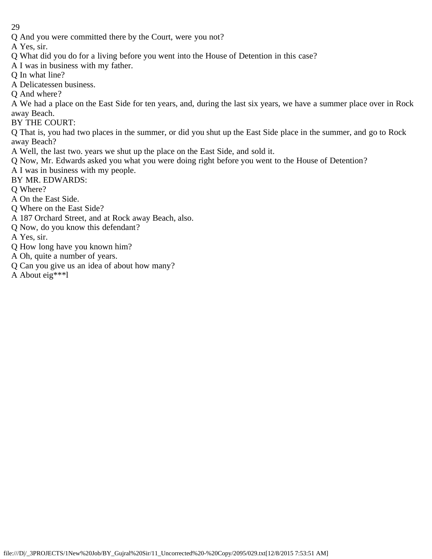Q And you were committed there by the Court, were you not?

A Yes, sir.

- Q What did you do for a living before you went into the House of Detention in this case?
- A I was in business with my father.

Q In what line?

- A Delicatessen business.
- Q And where?

A We had a place on the East Side for ten years, and, during the last six years, we have a summer place over in Rock away Beach.

BY THE COURT:

Q That is, you had two places in the summer, or did you shut up the East Side place in the summer, and go to Rock away Beach?

- A Well, the last two. years we shut up the place on the East Side, and sold it.
- Q Now, Mr. Edwards asked you what you were doing right before you went to the House of Detention?
- A I was in business with my people.
- BY MR. EDWARDS:
- Q Where?
- A On the East Side.
- Q Where on the East Side?
- A 187 Orchard Street, and at Rock away Beach, also.
- Q Now, do you know this defendant?
- A Yes, sir.
- Q How long have you known him?
- A Oh, quite a number of years.
- Q Can you give us an idea of about how many?
- A About eig\*\*\*l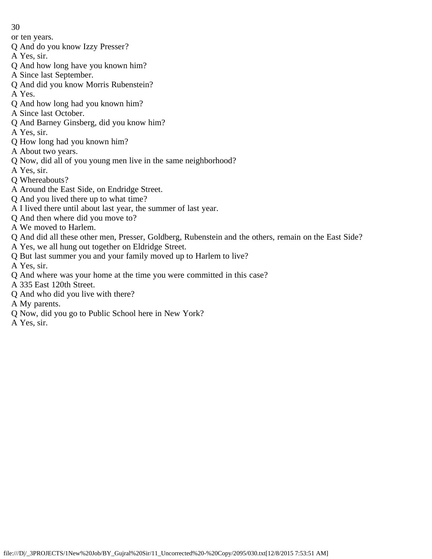- 30
- or ten years.
- Q And do you know Izzy Presser?
- A Yes, sir.
- Q And how long have you known him?
- A Since last September.
- Q And did you know Morris Rubenstein?
- A Yes.
- Q And how long had you known him?
- A Since last October.
- Q And Barney Ginsberg, did you know him?
- A Yes, sir.
- Q How long had you known him?
- A About two years.
- Q Now, did all of you young men live in the same neighborhood?
- A Yes, sir.
- Q Whereabouts?
- A Around the East Side, on Endridge Street.
- Q And you lived there up to what time?
- A I lived there until about last year, the summer of last year.
- Q And then where did you move to?
- A We moved to Harlem.
- Q And did all these other men, Presser, Goldberg, Rubenstein and the others, remain on the East Side?
- A Yes, we all hung out together on Eldridge Street.
- Q But last summer you and your family moved up to Harlem to live?
- A Yes, sir.
- Q And where was your home at the time you were committed in this case?
- A 335 East 120th Street.
- Q And who did you live with there?
- A My parents.
- Q Now, did you go to Public School here in New York?
- A Yes, sir.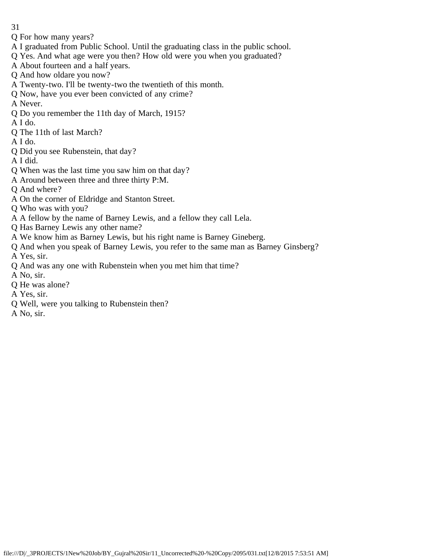- 31
- Q For how many years?
- A I graduated from Public School. Until the graduating class in the public school.
- Q Yes. And what age were you then? How old were you when you graduated?
- A About fourteen and a half years.
- Q And how oldare you now?
- A Twenty-two. I'll be twenty-two the twentieth of this month.
- Q Now, have you ever been convicted of any crime?
- A Never.
- Q Do you remember the 11th day of March, 1915?
- A I do.
- Q The 11th of last March?
- A I do.
- Q Did you see Rubenstein, that day?
- A I did.
- Q When was the last time you saw him on that day?
- A Around between three and three thirty P:M.
- Q And where?
- A On the corner of Eldridge and Stanton Street.
- Q Who was with you?
- A A fellow by the name of Barney Lewis, and a fellow they call Lela.
- Q Has Barney Lewis any other name?
- A We know him as Barney Lewis, but his right name is Barney Gineberg.
- Q And when you speak of Barney Lewis, you refer to the same man as Barney Ginsberg?
- A Yes, sir.
- Q And was any one with Rubenstein when you met him that time?
- A No, sir.
- Q He was alone?
- A Yes, sir.
- Q Well, were you talking to Rubenstein then?
- A No, sir.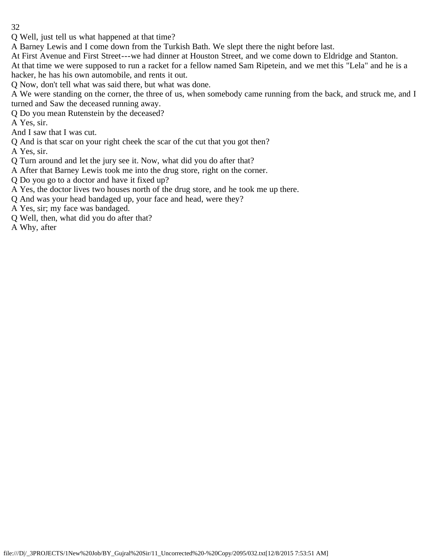Q Well, just tell us what happened at that time?

A Barney Lewis and I come down from the Turkish Bath. We slept there the night before last.

At First Avenue and First Street---we had dinner at Houston Street, and we come down to Eldridge and Stanton.

At that time we were supposed to run a racket for a fellow named Sam Ripetein, and we met this "Lela" and he is a hacker, he has his own automobile, and rents it out.

Q Now, don't tell what was said there, but what was done.

A We were standing on the corner, the three of us, when somebody came running from the back, and struck me, and I turned and Saw the deceased running away.

Q Do you mean Rutenstein by the deceased?

A Yes, sir.

And I saw that I was cut.

Q And is that scar on your right cheek the scar of the cut that you got then?

A Yes, sir.

Q Turn around and let the jury see it. Now, what did you do after that?

A After that Barney Lewis took me into the drug store, right on the corner.

Q Do you go to a doctor and have it fixed up?

A Yes, the doctor lives two houses north of the drug store, and he took me up there.

Q And was your head bandaged up, your face and head, were they?

A Yes, sir; my face was bandaged.

Q Well, then, what did you do after that?

A Why, after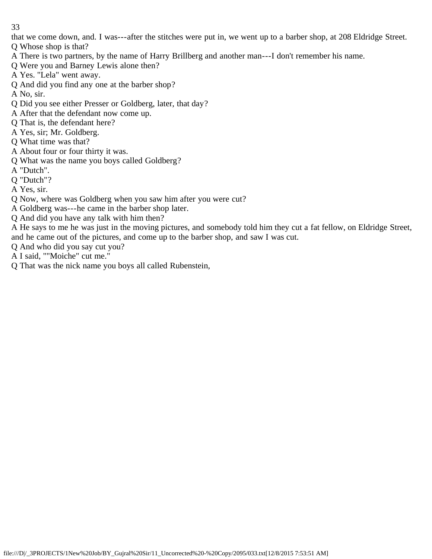that we come down, and. I was---after the stitches were put in, we went up to a barber shop, at 208 Eldridge Street. Q Whose shop is that?

- A There is two partners, by the name of Harry Brillberg and another man---I don't remember his name.
- Q Were you and Barney Lewis alone then?
- A Yes. "Lela" went away.
- Q And did you find any one at the barber shop?

A No, sir.

- Q Did you see either Presser or Goldberg, later, that day?
- A After that the defendant now come up.
- Q That is, the defendant here?
- A Yes, sir; Mr. Goldberg.
- Q What time was that?
- A About four or four thirty it was.
- Q What was the name you boys called Goldberg?
- A "Dutch".
- Q "Dutch"?
- A Yes, sir.
- Q Now, where was Goldberg when you saw him after you were cut?
- A Goldberg was---he came in the barber shop later.
- Q And did you have any talk with him then?
- A He says to me he was just in the moving pictures, and somebody told him they cut a fat fellow, on Eldridge Street, and he came out of the pictures, and come up to the barber shop, and saw I was cut.
- Q And who did you say cut you?
- A I said, ""Moiche" cut me."
- Q That was the nick name you boys all called Rubenstein,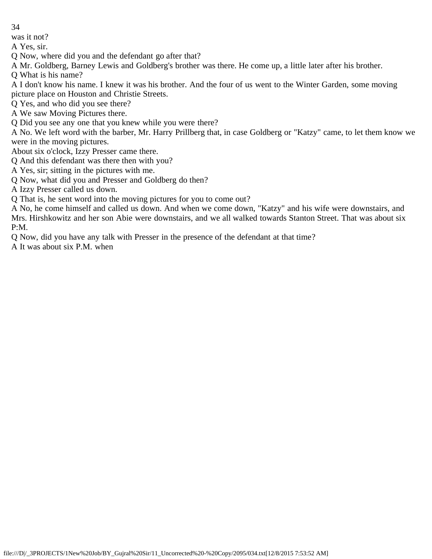was it not?

A Yes, sir.

Q Now, where did you and the defendant go after that?

A Mr. Goldberg, Barney Lewis and Goldberg's brother was there. He come up, a little later after his brother.

Q What is his name?

A I don't know his name. I knew it was his brother. And the four of us went to the Winter Garden, some moving picture place on Houston and Christie Streets.

Q Yes, and who did you see there?

A We saw Moving Pictures there.

Q Did you see any one that you knew while you were there?

A No. We left word with the barber, Mr. Harry Prillberg that, in case Goldberg or "Katzy" came, to let them know we were in the moving pictures.

About six o'clock, Izzy Presser came there.

Q And this defendant was there then with you?

A Yes, sir; sitting in the pictures with me.

Q Now, what did you and Presser and Goldberg do then?

A Izzy Presser called us down.

Q That is, he sent word into the moving pictures for you to come out?

A No, he come himself and called us down. And when we come down, "Katzy" and his wife were downstairs, and Mrs. Hirshkowitz and her son Abie were downstairs, and we all walked towards Stanton Street. That was about six P:M.

Q Now, did you have any talk with Presser in the presence of the defendant at that time?

A It was about six P.M. when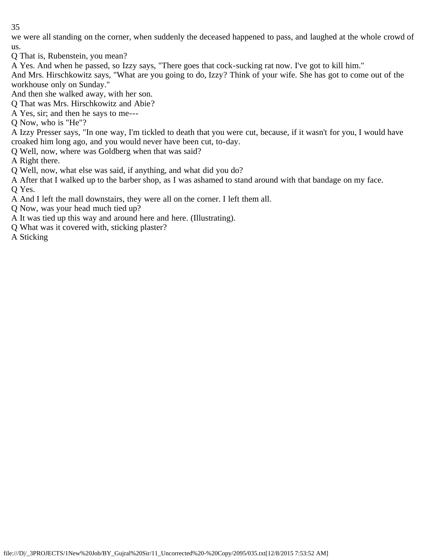we were all standing on the corner, when suddenly the deceased happened to pass, and laughed at the whole crowd of us.

Q That is, Rubenstein, you mean?

A Yes. And when he passed, so Izzy says, "There goes that cock-sucking rat now. I've got to kill him."

And Mrs. Hirschkowitz says, "What are you going to do, Izzy? Think of your wife. She has got to come out of the workhouse only on Sunday."

And then she walked away, with her son.

Q That was Mrs. Hirschkowitz and Abie?

A Yes, sir; and then he says to me---

Q Now, who is "He"?

A Izzy Presser says, "In one way, I'm tickled to death that you were cut, because, if it wasn't for you, I would have croaked him long ago, and you would never have been cut, to-day.

Q Well, now, where was Goldberg when that was said?

A Right there.

Q Well, now, what else was said, if anything, and what did you do?

A After that I walked up to the barber shop, as I was ashamed to stand around with that bandage on my face. Q Yes.

A And I left the mall downstairs, they were all on the corner. I left them all.

Q Now, was your head much tied up?

A It was tied up this way and around here and here. (Illustrating).

Q What was it covered with, sticking plaster?

A Sticking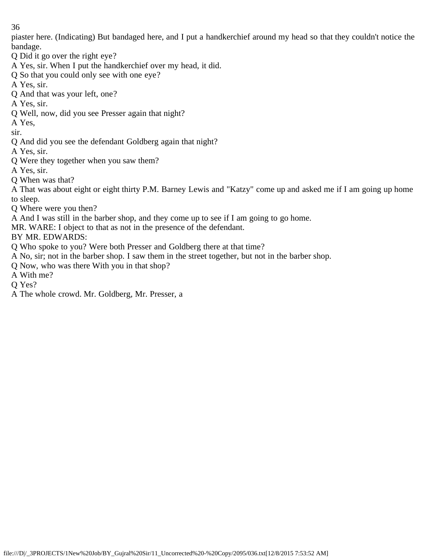piaster here. (Indicating) But bandaged here, and I put a handkerchief around my head so that they couldn't notice the bandage.

- Q Did it go over the right eye?
- A Yes, sir. When I put the handkerchief over my head, it did.
- Q So that you could only see with one eye?
- A Yes, sir.
- Q And that was your left, one?
- A Yes, sir.
- Q Well, now, did you see Presser again that night?
- A Yes,
- sir.
- Q And did you see the defendant Goldberg again that night?
- A Yes, sir.
- Q Were they together when you saw them?
- A Yes, sir.
- Q When was that?
- A That was about eight or eight thirty P.M. Barney Lewis and "Katzy" come up and asked me if I am going up home to sleep.
- Q Where were you then?
- A And I was still in the barber shop, and they come up to see if I am going to go home.
- MR. WARE: I object to that as not in the presence of the defendant.
- BY MR. EDWARDS:
- Q Who spoke to you? Were both Presser and Goldberg there at that time?
- A No, sir; not in the barber shop. I saw them in the street together, but not in the barber shop.
- Q Now, who was there With you in that shop?
- A With me?
- Q Yes?
- A The whole crowd. Mr. Goldberg, Mr. Presser, a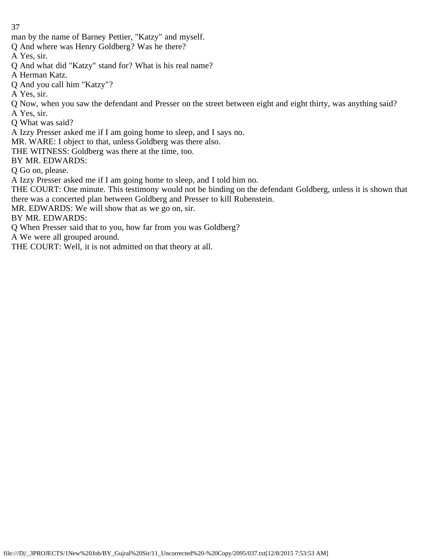man by the name of Barney Pettier, "Katzy" and myself.

Q And where was Henry Goldberg? Was he there?

A Yes, sir.

Q And what did "Katzy" stand for? What is his real name?

A Herman Katz.

Q And you call him "Katzy"?

A Yes, sir.

Q Now, when you saw the defendant and Presser on the street between eight and eight thirty, was anything said? A Yes, sir.

Q What was said?

A Izzy Presser asked me if I am going home to sleep, and I says no.

MR. WARE: I object to that, unless Goldberg was there also.

THE WITNESS: Goldberg was there at the time, too.

BY MR. EDWARDS:

Q Go on, please.

A Izzy Presser asked me if I am going home to sleep, and I told him no.

THE COURT: One minute. This testimony would not be binding on the defendant Goldberg, unless it is shown that there was a concerted plan between Goldberg and Presser to kill Rubenstein.

MR. EDWARDS: We will show that as we go on, sir.

BY MR. EDWARDS:

Q When Presser said that to you, how far from you was Goldberg?

A We were all grouped around.

THE COURT: Well, it is not admitted on that theory at all.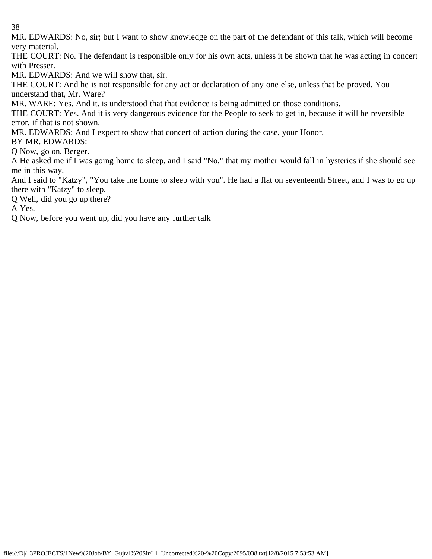MR. EDWARDS: No, sir; but I want to show knowledge on the part of the defendant of this talk, which will become very material.

THE COURT: No. The defendant is responsible only for his own acts, unless it be shown that he was acting in concert with Presser.

MR. EDWARDS: And we will show that, sir.

THE COURT: And he is not responsible for any act or declaration of any one else, unless that be proved. You understand that, Mr. Ware?

MR. WARE: Yes. And it. is understood that that evidence is being admitted on those conditions.

THE COURT: Yes. And it is very dangerous evidence for the People to seek to get in, because it will be reversible error, if that is not shown.

MR. EDWARDS: And I expect to show that concert of action during the case, your Honor.

BY MR. EDWARDS:

Q Now, go on, Berger.

A He asked me if I was going home to sleep, and I said "No," that my mother would fall in hysterics if she should see me in this way.

And I said to "Katzy", "You take me home to sleep with you". He had a flat on seventeenth Street, and I was to go up there with "Katzy" to sleep.

Q Well, did you go up there?

A Yes.

Q Now, before you went up, did you have any further talk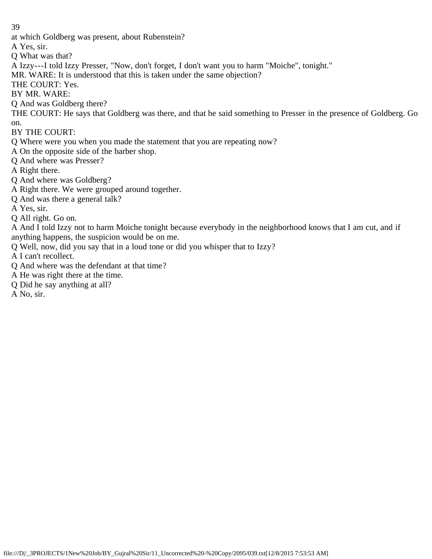at which Goldberg was present, about Rubenstein?

A Yes, sir.

- Q What was that?
- A Izzy---I told Izzy Presser, "Now, don't forget, I don't want you to harm "Moiche", tonight."
- MR. WARE: It is understood that this is taken under the same objection?
- THE COURT: Yes.
- BY MR. WARE:
- Q And was Goldberg there?
- THE COURT: He says that Goldberg was there, and that he said something to Presser in the presence of Goldberg. Go on.
- BY THE COURT:
- Q Where were you when you made the statement that you are repeating now?
- A On the opposite side of the barber shop.
- Q And where was Presser?
- A Right there.
- Q And where was Goldberg?
- A Right there. We were grouped around together.
- Q And was there a general talk?
- A Yes, sir.
- Q All right. Go on.
- A And I told Izzy not to harm Moiche tonight because everybody in the neighborhood knows that I am cut, and if anything happens, the suspicion would be on me.
- Q Well, now, did you say that in a loud tone or did you whisper that to Izzy?
- A I can't recollect.
- Q And where was the defendant at that time?
- A He was right there at the time.
- Q Did he say anything at all?
- A No, sir.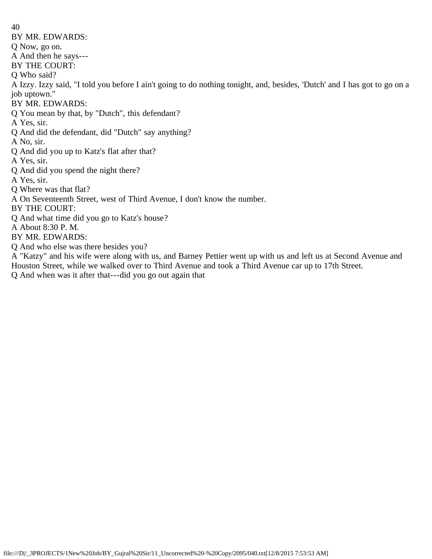40 BY MR. EDWARDS: Q Now, go on. A And then he says--- BY THE COURT: Q Who said? A Izzy. Izzy said, "I told you before I ain't going to do nothing tonight, and, besides, 'Dutch' and I has got to go on a job uptown." BY MR. EDWARDS: Q You mean by that, by "Dutch", this defendant? A Yes, sir. Q And did the defendant, did "Dutch" say anything? A No, sir. Q And did you up to Katz's flat after that? A Yes, sir. Q And did you spend the night there? A Yes, sir. Q Where was that flat? A On Seventeenth Street, west of Third Avenue, I don't know the number. BY THE COURT: Q And what time did you go to Katz's house? A About 8:30 P. M. BY MR. EDWARDS: Q And who else was there besides you?

A "Katzy" and his wife were along with us, and Barney Pettier went up with us and left us at Second Avenue and Houston Street, while we walked over to Third Avenue and took a Third Avenue car up to 17th Street.

Q And when was it after that---did you go out again that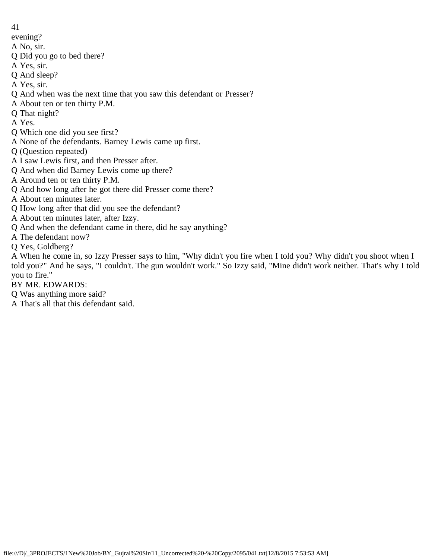- 41
- evening?
- A No, sir.
- Q Did you go to bed there?
- A Yes, sir.
- Q And sleep?
- A Yes, sir.
- Q And when was the next time that you saw this defendant or Presser?
- A About ten or ten thirty P.M.
- Q That night?
- A Yes.
- Q Which one did you see first?
- A None of the defendants. Barney Lewis came up first.
- Q (Question repeated)
- A I saw Lewis first, and then Presser after.
- Q And when did Barney Lewis come up there?
- A Around ten or ten thirty P.M.
- Q And how long after he got there did Presser come there?
- A About ten minutes later.
- Q How long after that did you see the defendant?
- A About ten minutes later, after Izzy.
- Q And when the defendant came in there, did he say anything?
- A The defendant now?
- Q Yes, Goldberg?

A When he come in, so Izzy Presser says to him, "Why didn't you fire when I told you? Why didn't you shoot when I told you?" And he says, "I couldn't. The gun wouldn't work." So Izzy said, "Mine didn't work neither. That's why I told you to fire."

## BY MR. EDWARDS:

- Q Was anything more said?
- A That's all that this defendant said.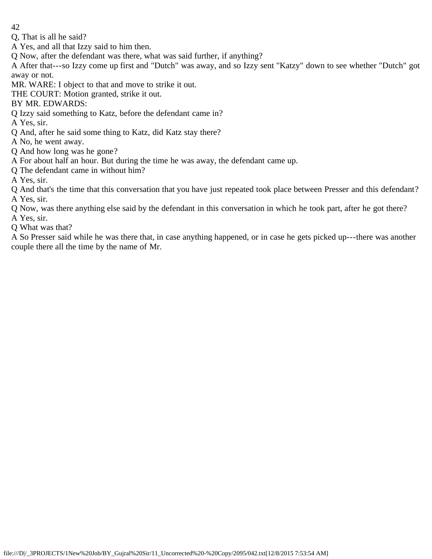- 42
- Q, That is all he said?
- A Yes, and all that Izzy said to him then.
- Q Now, after the defendant was there, what was said further, if anything?
- A After that---so Izzy come up first and "Dutch" was away, and so Izzy sent "Katzy" down to see whether "Dutch" got away or not.
- MR. WARE: I object to that and move to strike it out.
- THE COURT: Motion granted, strike it out.
- BY MR. EDWARDS:
- Q Izzy said something to Katz, before the defendant came in?
- A Yes, sir.
- Q And, after he said some thing to Katz, did Katz stay there?
- A No, he went away.
- Q And how long was he gone?
- A For about half an hour. But during the time he was away, the defendant came up.
- Q The defendant came in without him?
- A Yes, sir.
- Q And that's the time that this conversation that you have just repeated took place between Presser and this defendant? A Yes, sir.
- Q Now, was there anything else said by the defendant in this conversation in which he took part, after he got there? A Yes, sir.
- Q What was that?
- A So Presser said while he was there that, in case anything happened, or in case he gets picked up---there was another couple there all the time by the name of Mr.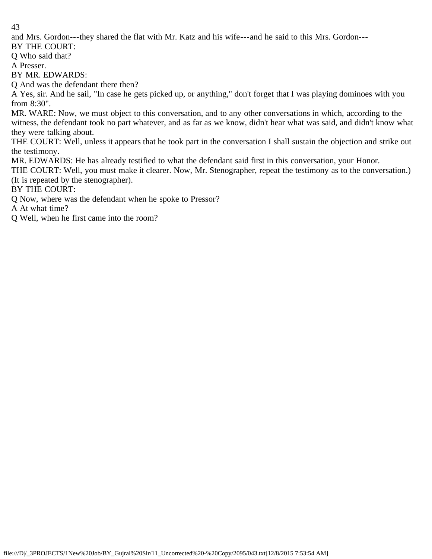and Mrs. Gordon---they shared the flat with Mr. Katz and his wife---and he said to this Mrs. Gordon---

BY THE COURT:

Q Who said that?

A Presser.

BY MR. EDWARDS:

Q And was the defendant there then?

A Yes, sir. And he sail, "In case he gets picked up, or anything," don't forget that I was playing dominoes with you from 8:30".

MR. WARE: Now, we must object to this conversation, and to any other conversations in which, according to the witness, the defendant took no part whatever, and as far as we know, didn't hear what was said, and didn't know what they were talking about.

THE COURT: Well, unless it appears that he took part in the conversation I shall sustain the objection and strike out the testimony.

MR. EDWARDS: He has already testified to what the defendant said first in this conversation, your Honor.

THE COURT: Well, you must make it clearer. Now, Mr. Stenographer, repeat the testimony as to the conversation.) (It is repeated by the stenographer).

BY THE COURT:

Q Now, where was the defendant when he spoke to Pressor?

A At what time?

Q Well, when he first came into the room?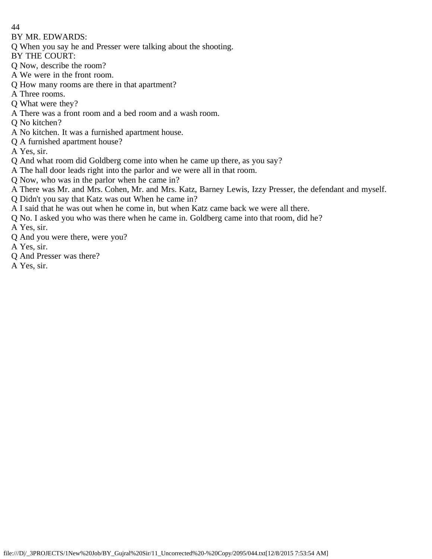- 44
- BY MR. EDWARDS:
- Q When you say he and Presser were talking about the shooting.
- BY THE COURT:
- Q Now, describe the room?
- A We were in the front room.
- Q How many rooms are there in that apartment?
- A Three rooms.
- Q What were they?
- A There was a front room and a bed room and a wash room.
- Q No kitchen?
- A No kitchen. It was a furnished apartment house.
- Q A furnished apartment house?
- A Yes, sir.
- Q And what room did Goldberg come into when he came up there, as you say?
- A The hall door leads right into the parlor and we were all in that room.
- Q Now, who was in the parlor when he came in?
- A There was Mr. and Mrs. Cohen, Mr. and Mrs. Katz, Barney Lewis, Izzy Presser, the defendant and myself.
- Q Didn't you say that Katz was out When he came in?
- A I said that he was out when he come in, but when Katz came back we were all there.
- Q No. I asked you who was there when he came in. Goldberg came into that room, did he?
- A Yes, sir.
- Q And you were there, were you?
- A Yes, sir.
- Q And Presser was there?
- A Yes, sir.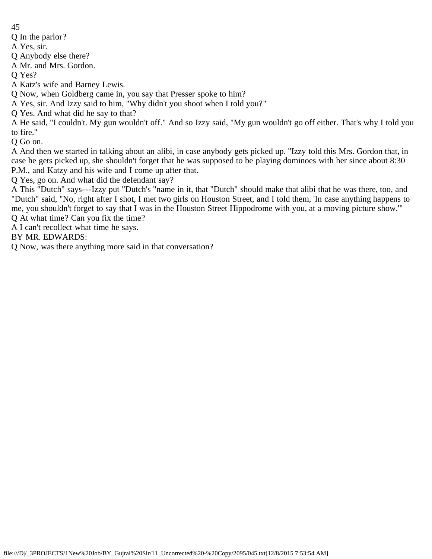Q In the parlor?

A Yes, sir.

Q Anybody else there?

A Mr. and Mrs. Gordon.

Q Yes?

A Katz's wife and Barney Lewis.

Q Now, when Goldberg came in, you say that Presser spoke to him?

A Yes, sir. And Izzy said to him, "Why didn't you shoot when I told you?"

Q Yes. And what did he say to that?

A He said, "I couldn't. My gun wouldn't off." And so Izzy said, "My gun wouldn't go off either. That's why I told you to fire."

Q Go on.

A And then we started in talking about an alibi, in case anybody gets picked up. "Izzy told this Mrs. Gordon that, in case he gets picked up, she shouldn't forget that he was supposed to be playing dominoes with her since about 8:30 P.M., and Katzy and his wife and I come up after that.

Q Yes, go on. And what did the defendant say?

A This "Dutch" says---Izzy put "Dutch's "name in it, that "Dutch" should make that alibi that he was there, too, and "Dutch" said, "No, right after I shot, I met two girls on Houston Street, and I told them, 'In case anything happens to me, you shouldn't forget to say that I was in the Houston Street Hippodrome with you, at a moving picture show.'" Q At what time? Can you fix the time?

A I can't recollect what time he says.

BY MR. EDWARDS:

Q Now, was there anything more said in that conversation?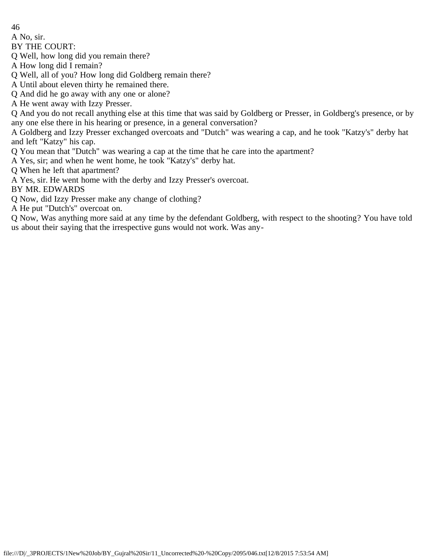A No, sir.

BY THE COURT:

Q Well, how long did you remain there?

A How long did I remain?

Q Well, all of you? How long did Goldberg remain there?

A Until about eleven thirty he remained there.

Q And did he go away with any one or alone?

A He went away with Izzy Presser.

Q And you do not recall anything else at this time that was said by Goldberg or Presser, in Goldberg's presence, or by any one else there in his hearing or presence, in a general conversation?

A Goldberg and Izzy Presser exchanged overcoats and "Dutch" was wearing a cap, and he took "Katzy's" derby hat and left "Katzy" his cap.

Q You mean that "Dutch" was wearing a cap at the time that he care into the apartment?

A Yes, sir; and when he went home, he took "Katzy's" derby hat.

Q When he left that apartment?

A Yes, sir. He went home with the derby and Izzy Presser's overcoat.

BY MR. EDWARDS

Q Now, did Izzy Presser make any change of clothing?

A He put "Dutch's" overcoat on.

Q Now, Was anything more said at any time by the defendant Goldberg, with respect to the shooting? You have told us about their saying that the irrespective guns would not work. Was any-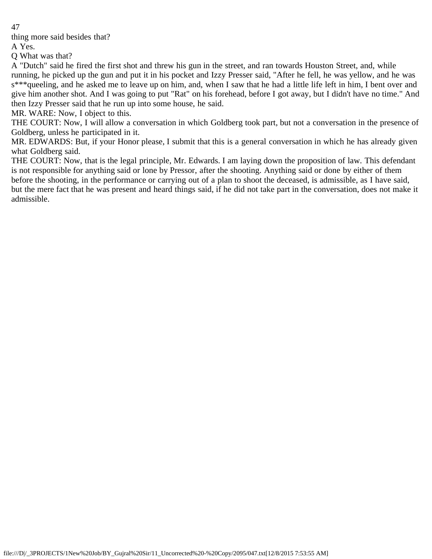thing more said besides that?

A Yes.

Q What was that?

A "Dutch" said he fired the first shot and threw his gun in the street, and ran towards Houston Street, and, while running, he picked up the gun and put it in his pocket and Izzy Presser said, "After he fell, he was yellow, and he was s<sup>\*\*\*</sup>queeling, and he asked me to leave up on him, and, when I saw that he had a little life left in him, I bent over and give him another shot. And I was going to put "Rat" on his forehead, before I got away, but I didn't have no time." And then Izzy Presser said that he run up into some house, he said.

MR. WARE: Now, I object to this.

THE COURT: Now, I will allow a conversation in which Goldberg took part, but not a conversation in the presence of Goldberg, unless he participated in it.

MR. EDWARDS: But, if your Honor please, I submit that this is a general conversation in which he has already given what Goldberg said.

THE COURT: Now, that is the legal principle, Mr. Edwards. I am laying down the proposition of law. This defendant is not responsible for anything said or lone by Pressor, after the shooting. Anything said or done by either of them before the shooting, in the performance or carrying out of a plan to shoot the deceased, is admissible, as I have said, but the mere fact that he was present and heard things said, if he did not take part in the conversation, does not make it admissible.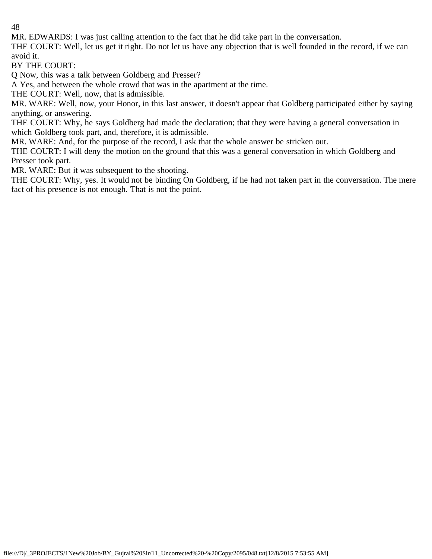MR. EDWARDS: I was just calling attention to the fact that he did take part in the conversation.

THE COURT: Well, let us get it right. Do not let us have any objection that is well founded in the record, if we can avoid it.

BY THE COURT:

Q Now, this was a talk between Goldberg and Presser?

A Yes, and between the whole crowd that was in the apartment at the time.

THE COURT: Well, now, that is admissible.

MR. WARE: Well, now, your Honor, in this last answer, it doesn't appear that Goldberg participated either by saying anything, or answering.

THE COURT: Why, he says Goldberg had made the declaration; that they were having a general conversation in which Goldberg took part, and, therefore, it is admissible.

MR. WARE: And, for the purpose of the record, I ask that the whole answer be stricken out.

THE COURT: I will deny the motion on the ground that this was a general conversation in which Goldberg and Presser took part.

MR. WARE: But it was subsequent to the shooting.

THE COURT: Why, yes. It would not be binding On Goldberg, if he had not taken part in the conversation. The mere fact of his presence is not enough. That is not the point.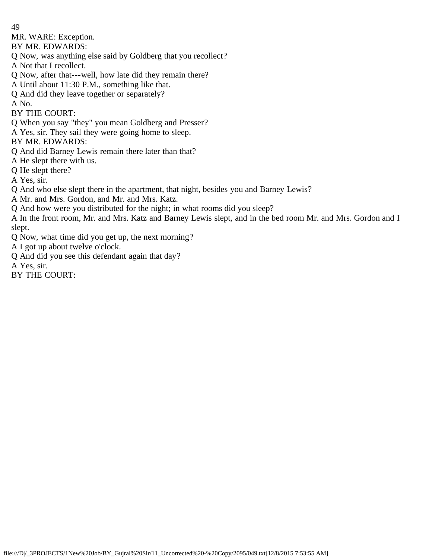MR. WARE: Exception.

BY MR. EDWARDS:

Q Now, was anything else said by Goldberg that you recollect?

A Not that I recollect.

Q Now, after that---well, how late did they remain there?

A Until about 11:30 P.M., something like that.

Q And did they leave together or separately?

A No.

BY THE COURT:

Q When you say "they" you mean Goldberg and Presser?

A Yes, sir. They sail they were going home to sleep.

BY MR. EDWARDS:

Q And did Barney Lewis remain there later than that?

A He slept there with us.

Q He slept there?

A Yes, sir.

Q And who else slept there in the apartment, that night, besides you and Barney Lewis?

A Mr. and Mrs. Gordon, and Mr. and Mrs. Katz.

Q And how were you distributed for the night; in what rooms did you sleep?

A In the front room, Mr. and Mrs. Katz and Barney Lewis slept, and in the bed room Mr. and Mrs. Gordon and I slept.

Q Now, what time did you get up, the next morning?

A I got up about twelve o'clock.

Q And did you see this defendant again that day?

A Yes, sir.

BY THE COURT: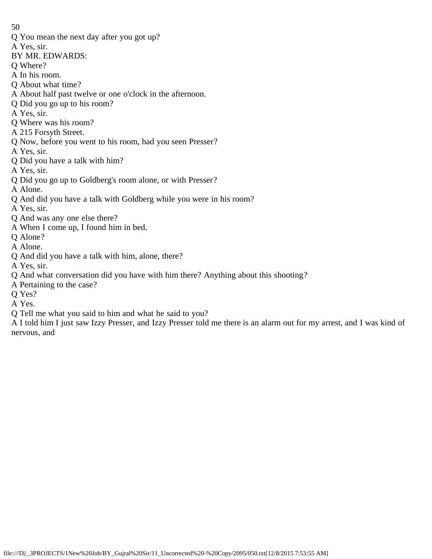- Q You mean the next day after you got up?
- A Yes, sir.
- BY MR. EDWARDS:
- Q Where?
- A In his room.
- Q About what time?
- A About half past twelve or one o'clock in the afternoon.
- Q Did you go up to his room?
- A Yes, sir.
- Q Where was his room?
- A 215 Forsyth Street.
- Q Now, before you went to his room, had you seen Presser?
- A Yes, sir.
- Q Did you have a talk with him?
- A Yes, sir.
- Q Did you go up to Goldberg's room alone, or with Presser?
- A Alone.
- Q And did you have a talk with Goldberg while you were in his room?
- A Yes, sir.
- Q And was any one else there?
- A When I come up, I found him in bed.
- Q Alone?
- A Alone.
- Q And did you have a talk with him, alone, there?
- A Yes, sir.
- Q And what conversation did you have with him there? Anything about this shooting?
- A Pertaining to the case?
- Q Yes?
- A Yes.
- Q Tell me what you said to him and what he said to you?
- A I told him I just saw Izzy Presser, and Izzy Presser told me there is an alarm out for my arrest, and I was kind of nervous, and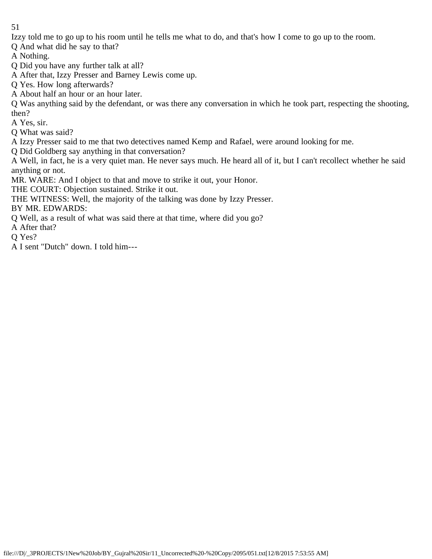Izzy told me to go up to his room until he tells me what to do, and that's how I come to go up to the room.

Q And what did he say to that?

A Nothing.

Q Did you have any further talk at all?

A After that, Izzy Presser and Barney Lewis come up.

Q Yes. How long afterwards?

A About half an hour or an hour later.

Q Was anything said by the defendant, or was there any conversation in which he took part, respecting the shooting, then?

A Yes, sir.

Q What was said?

A Izzy Presser said to me that two detectives named Kemp and Rafael, were around looking for me.

Q Did Goldberg say anything in that conversation?

A Well, in fact, he is a very quiet man. He never says much. He heard all of it, but I can't recollect whether he said anything or not.

MR. WARE: And I object to that and move to strike it out, your Honor.

THE COURT: Objection sustained. Strike it out.

THE WITNESS: Well, the majority of the talking was done by Izzy Presser.

BY MR. EDWARDS:

Q Well, as a result of what was said there at that time, where did you go?

A After that?

Q Yes?

A I sent "Dutch" down. I told him---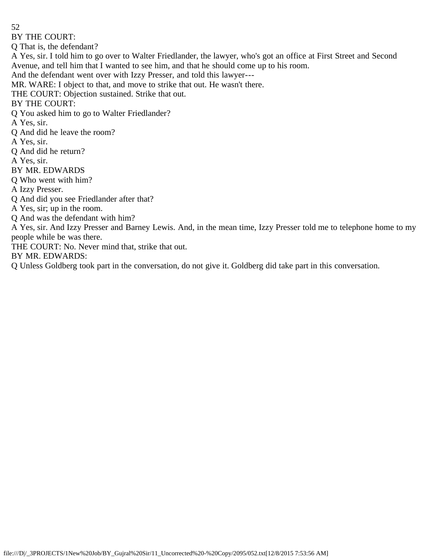BY THE COURT:

Q That is, the defendant?

A Yes, sir. I told him to go over to Walter Friedlander, the lawyer, who's got an office at First Street and Second Avenue, and tell him that I wanted to see him, and that he should come up to his room.

And the defendant went over with Izzy Presser, and told this lawyer---

MR. WARE: I object to that, and move to strike that out. He wasn't there.

THE COURT: Objection sustained. Strike that out.

BY THE COURT:

Q You asked him to go to Walter Friedlander?

A Yes, sir.

Q And did he leave the room?

A Yes, sir.

Q And did he return?

A Yes, sir.

BY MR. EDWARDS

Q Who went with him?

A Izzy Presser.

Q And did you see Friedlander after that?

A Yes, sir; up in the room.

Q And was the defendant with him?

A Yes, sir. And Izzy Presser and Barney Lewis. And, in the mean time, Izzy Presser told me to telephone home to my people while be was there.

THE COURT: No. Never mind that, strike that out.

BY MR. EDWARDS:

Q Unless Goldberg took part in the conversation, do not give it. Goldberg did take part in this conversation.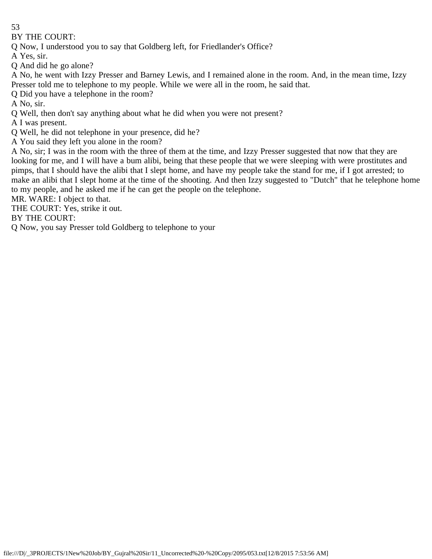BY THE COURT:

Q Now, I understood you to say that Goldberg left, for Friedlander's Office?

A Yes, sir.

Q And did he go alone?

A No, he went with Izzy Presser and Barney Lewis, and I remained alone in the room. And, in the mean time, Izzy Presser told me to telephone to my people. While we were all in the room, he said that.

Q Did you have a telephone in the room?

A No, sir.

Q Well, then don't say anything about what he did when you were not present?

A I was present.

Q Well, he did not telephone in your presence, did he?

A You said they left you alone in the room?

A No, sir; I was in the room with the three of them at the time, and Izzy Presser suggested that now that they are looking for me, and I will have a bum alibi, being that these people that we were sleeping with were prostitutes and pimps, that I should have the alibi that I slept home, and have my people take the stand for me, if I got arrested; to make an alibi that I slept home at the time of the shooting. And then Izzy suggested to "Dutch" that he telephone home to my people, and he asked me if he can get the people on the telephone.

MR. WARE: I object to that.

THE COURT: Yes, strike it out.

BY THE COURT:

Q Now, you say Presser told Goldberg to telephone to your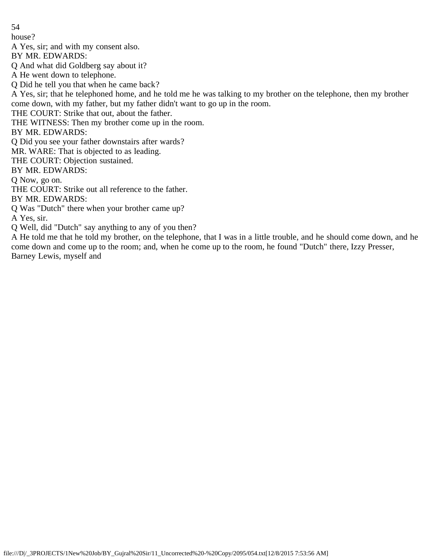house?

A Yes, sir; and with my consent also.

BY MR. EDWARDS:

Q And what did Goldberg say about it?

A He went down to telephone.

Q Did he tell you that when he came back?

A Yes, sir; that he telephoned home, and he told me he was talking to my brother on the telephone, then my brother come down, with my father, but my father didn't want to go up in the room.

THE COURT: Strike that out, about the father.

THE WITNESS: Then my brother come up in the room.

BY MR. EDWARDS:

Q Did you see your father downstairs after wards?

MR. WARE: That is objected to as leading.

THE COURT: Objection sustained.

BY MR. EDWARDS:

Q Now, go on.

THE COURT: Strike out all reference to the father.

BY MR. EDWARDS:

Q Was "Dutch" there when your brother came up?

A Yes, sir.

Q Well, did "Dutch" say anything to any of you then?

A He told me that he told my brother, on the telephone, that I was in a little trouble, and he should come down, and he come down and come up to the room; and, when he come up to the room, he found "Dutch" there, Izzy Presser, Barney Lewis, myself and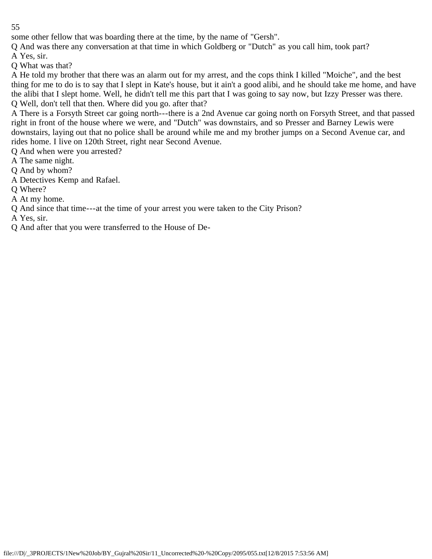some other fellow that was boarding there at the time, by the name of "Gersh".

Q And was there any conversation at that time in which Goldberg or "Dutch" as you call him, took part?

A Yes, sir.

Q What was that?

A He told my brother that there was an alarm out for my arrest, and the cops think I killed "Moiche", and the best thing for me to do is to say that I slept in Kate's house, but it ain't a good alibi, and he should take me home, and have the alibi that I slept home. Well, he didn't tell me this part that I was going to say now, but Izzy Presser was there. Q Well, don't tell that then. Where did you go. after that?

A There is a Forsyth Street car going north---there is a 2nd Avenue car going north on Forsyth Street, and that passed right in front of the house where we were, and "Dutch" was downstairs, and so Presser and Barney Lewis were downstairs, laying out that no police shall be around while me and my brother jumps on a Second Avenue car, and rides home. I live on 120th Street, right near Second Avenue.

Q And when were you arrested?

A The same night.

Q And by whom?

A Detectives Kemp and Rafael.

Q Where?

A At my home.

Q And since that time---at the time of your arrest you were taken to the City Prison?

A Yes, sir.

Q And after that you were transferred to the House of De-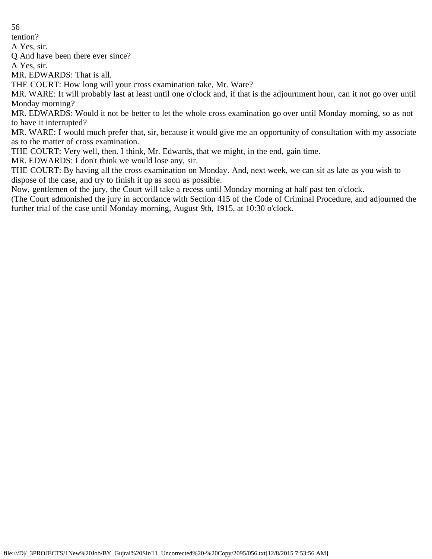tention?

A Yes, sir.

Q And have been there ever since?

A Yes, sir.

MR. EDWARDS: That is all.

THE COURT: How long will your cross examination take, Mr. Ware?

MR. WARE: It will probably last at least until one o'clock and, if that is the adjournment hour, can it not go over until Monday morning?

MR. EDWARDS: Would it not be better to let the whole cross examination go over until Monday morning, so as not to have it interrupted?

MR. WARE: I would much prefer that, sir, because it would give me an opportunity of consultation with my associate as to the matter of cross examination.

THE COURT: Very well, then. I think, Mr. Edwards, that we might, in the end, gain time.

MR. EDWARDS: I don't think we would lose any, sir.

THE COURT: By having all the cross examination on Monday. And, next week, we can sit as late as you wish to dispose of the case, and try to finish it up as soon as possible.

Now, gentlemen of the jury, the Court will take a recess until Monday morning at half past ten o'clock.

(The Court admonished the jury in accordance with Section 415 of the Code of Criminal Procedure, and adjourned the further trial of the case until Monday morning, August 9th, 1915, at 10:30 o'clock.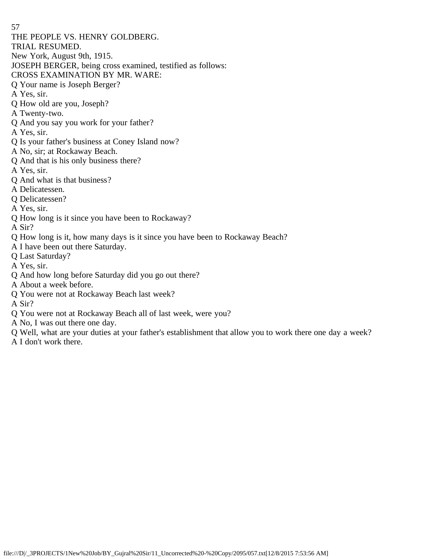57 THE PEOPLE VS. HENRY GOLDBERG. TRIAL RESUMED. New York, August 9th, 1915. JOSEPH BERGER, being cross examined, testified as follows: CROSS EXAMINATION BY MR. WARE: Q Your name is Joseph Berger? A Yes, sir. Q How old are you, Joseph? A Twenty-two. Q And you say you work for your father? A Yes, sir. Q Is your father's business at Coney Island now? A No, sir; at Rockaway Beach. Q And that is his only business there? A Yes, sir. Q And what is that business? A Delicatessen. Q Delicatessen? A Yes, sir. Q How long is it since you have been to Rockaway? A Sir? Q How long is it, how many days is it since you have been to Rockaway Beach?

- A I have been out there Saturday.
- Q Last Saturday?
- A Yes, sir.
- Q And how long before Saturday did you go out there?
- A About a week before.
- Q You were not at Rockaway Beach last week?
- A Sir?
- Q You were not at Rockaway Beach all of last week, were you?
- A No, I was out there one day.
- Q Well, what are your duties at your father's establishment that allow you to work there one day a week?
- A I don't work there.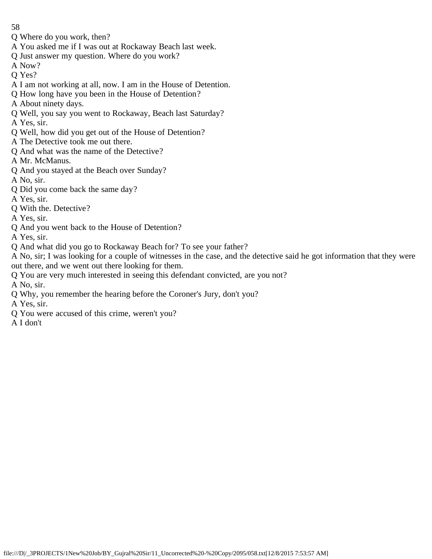- Q Where do you work, then?
- A You asked me if I was out at Rockaway Beach last week.
- Q Just answer my question. Where do you work?
- A Now?
- Q Yes?
- A I am not working at all, now. I am in the House of Detention.
- Q How long have you been in the House of Detention?
- A About ninety days.
- Q Well, you say you went to Rockaway, Beach last Saturday?
- A Yes, sir.
- Q Well, how did you get out of the House of Detention?
- A The Detective took me out there.
- Q And what was the name of the Detective?
- A Mr. McManus.
- Q And you stayed at the Beach over Sunday?
- A No, sir.
- Q Did you come back the same day?
- A Yes, sir.
- Q With the. Detective?
- A Yes, sir.
- Q And you went back to the House of Detention?
- A Yes, sir.
- Q And what did you go to Rockaway Beach for? To see your father?
- A No, sir; I was looking for a couple of witnesses in the case, and the detective said he got information that they were out there, and we went out there looking for them.
- Q You are very much interested in seeing this defendant convicted, are you not?
- A No, sir.
- Q Why, you remember the hearing before the Coroner's Jury, don't you?
- A Yes, sir.
- Q You were accused of this crime, weren't you?
- A I don't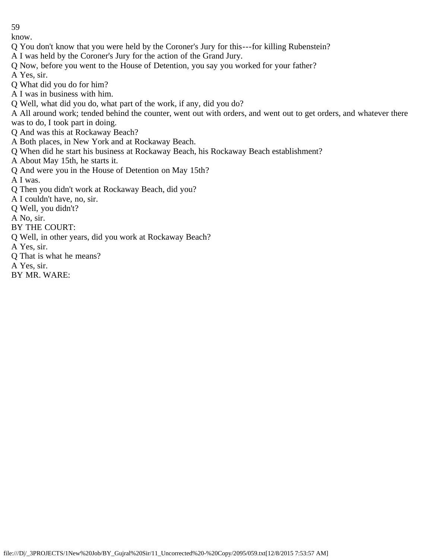know.

- Q You don't know that you were held by the Coroner's Jury for this---for killing Rubenstein?
- A I was held by the Coroner's Jury for the action of the Grand Jury.
- Q Now, before you went to the House of Detention, you say you worked for your father?
- A Yes, sir.
- Q What did you do for him?
- A I was in business with him.
- Q Well, what did you do, what part of the work, if any, did you do?
- A All around work; tended behind the counter, went out with orders, and went out to get orders, and whatever there was to do, I took part in doing.
- Q And was this at Rockaway Beach?
- A Both places, in New York and at Rockaway Beach.
- Q When did he start his business at Rockaway Beach, his Rockaway Beach establishment?
- A About May 15th, he starts it.
- Q And were you in the House of Detention on May 15th?
- A I was.
- Q Then you didn't work at Rockaway Beach, did you?
- A I couldn't have, no, sir.
- Q Well, you didn't?
- A No, sir.
- BY THE COURT:
- Q Well, in other years, did you work at Rockaway Beach?
- A Yes, sir.
- Q That is what he means?
- A Yes, sir.
- BY MR. WARE: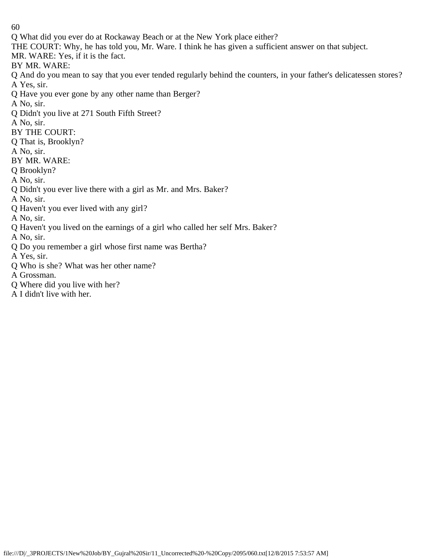Q What did you ever do at Rockaway Beach or at the New York place either?

THE COURT: Why, he has told you, Mr. Ware. I think he has given a sufficient answer on that subject.

MR. WARE: Yes, if it is the fact.

BY MR. WARE:

Q And do you mean to say that you ever tended regularly behind the counters, in your father's delicatessen stores? A Yes, sir.

Q Have you ever gone by any other name than Berger?

A No, sir.

Q Didn't you live at 271 South Fifth Street?

A No, sir.

BY THE COURT:

Q That is, Brooklyn?

A No, sir.

BY MR. WARE:

Q Brooklyn?

A No, sir.

Q Didn't you ever live there with a girl as Mr. and Mrs. Baker?

A No, sir.

Q Haven't you ever lived with any girl?

A No, sir.

Q Haven't you lived on the earnings of a girl who called her self Mrs. Baker?

A No, sir.

Q Do you remember a girl whose first name was Bertha?

A Yes, sir.

Q Who is she? What was her other name?

A Grossman.

Q Where did you live with her?

A I didn't live with her.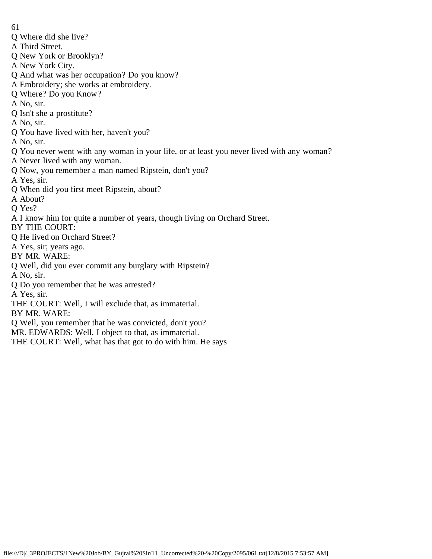- Q Where did she live?
- A Third Street.
- Q New York or Brooklyn?
- A New York City.
- Q And what was her occupation? Do you know?
- A Embroidery; she works at embroidery.
- Q Where? Do you Know?
- A No, sir.
- Q Isn't she a prostitute?
- A No, sir.
- Q You have lived with her, haven't you?
- A No, sir.
- Q You never went with any woman in your life, or at least you never lived with any woman?
- A Never lived with any woman.
- Q Now, you remember a man named Ripstein, don't you?
- A Yes, sir.
- Q When did you first meet Ripstein, about?
- A About?
- Q Yes?
- A I know him for quite a number of years, though living on Orchard Street.
- BY THE COURT:
- Q He lived on Orchard Street?
- A Yes, sir; years ago.
- BY MR. WARE:
- Q Well, did you ever commit any burglary with Ripstein?
- A No, sir.
- Q Do you remember that he was arrested?
- A Yes, sir.
- THE COURT: Well, I will exclude that, as immaterial.
- BY MR. WARE:
- Q Well, you remember that he was convicted, don't you?
- MR. EDWARDS: Well, I object to that, as immaterial.
- THE COURT: Well, what has that got to do with him. He says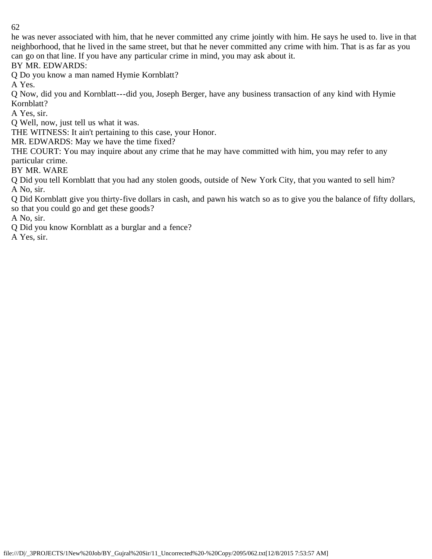he was never associated with him, that he never committed any crime jointly with him. He says he used to. live in that neighborhood, that he lived in the same street, but that he never committed any crime with him. That is as far as you can go on that line. If you have any particular crime in mind, you may ask about it.

BY MR. EDWARDS:

Q Do you know a man named Hymie Kornblatt?

A Yes.

Q Now, did you and Kornblatt---did you, Joseph Berger, have any business transaction of any kind with Hymie Kornblatt?

A Yes, sir.

Q Well, now, just tell us what it was.

THE WITNESS: It ain't pertaining to this case, your Honor.

MR. EDWARDS: May we have the time fixed?

THE COURT: You may inquire about any crime that he may have committed with him, you may refer to any particular crime.

BY MR. WARE

Q Did you tell Kornblatt that you had any stolen goods, outside of New York City, that you wanted to sell him? A No, sir.

Q Did Kornblatt give you thirty-five dollars in cash, and pawn his watch so as to give you the balance of fifty dollars, so that you could go and get these goods?

A No, sir.

Q Did you know Kornblatt as a burglar and a fence?

A Yes, sir.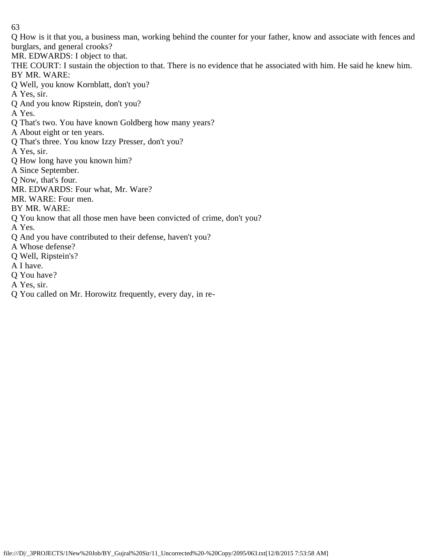Q How is it that you, a business man, working behind the counter for your father, know and associate with fences and burglars, and general crooks?

MR. EDWARDS: I object to that.

THE COURT: I sustain the objection to that. There is no evidence that he associated with him. He said he knew him. BY MR. WARE:

Q Well, you know Kornblatt, don't you?

A Yes, sir.

Q And you know Ripstein, don't you?

A Yes.

Q That's two. You have known Goldberg how many years?

A About eight or ten years.

Q That's three. You know Izzy Presser, don't you?

A Yes, sir.

Q How long have you known him?

A Since September.

Q Now, that's four.

MR. EDWARDS: Four what, Mr. Ware?

MR. WARE: Four men.

BY MR. WARE:

Q You know that all those men have been convicted of crime, don't you?

A Yes.

Q And you have contributed to their defense, haven't you?

A Whose defense?

Q Well, Ripstein's?

A I have.

Q You have?

A Yes, sir.

Q You called on Mr. Horowitz frequently, every day, in re-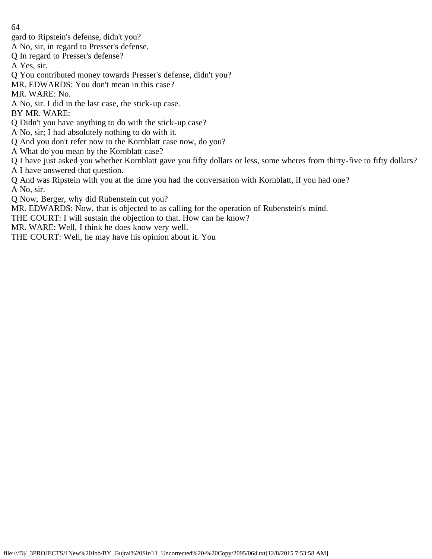- gard to Ripstein's defense, didn't you?
- A No, sir, in regard to Presser's defense.
- Q In regard to Presser's defense?
- A Yes, sir.
- Q You contributed money towards Presser's defense, didn't you?
- MR. EDWARDS: You don't mean in this case?
- MR. WARE: No.
- A No, sir. I did in the last case, the stick-up case.
- BY MR. WARE:
- Q Didn't you have anything to do with the stick-up case?
- A No, sir; I had absolutely nothing to do with it.
- Q And you don't refer now to the Kornblatt case now, do you?
- A What do you mean by the Kornblatt case?
- Q I have just asked you whether Kornblatt gave you fifty dollars or less, some wheres from thirty-five to fifty dollars? A I have answered that question.
- Q And was Ripstein with you at the time you had the conversation with Kornblatt, if you had one? A No, sir.
- Q Now, Berger, why did Rubenstein cut you?
- MR. EDWARDS: Now, that is objected to as calling for the operation of Rubenstein's mind.
- THE COURT: I will sustain the objection to that. How can he know?
- MR. WARE: Well, I think he does know very well.
- THE COURT: Well, he may have his opinion about it. You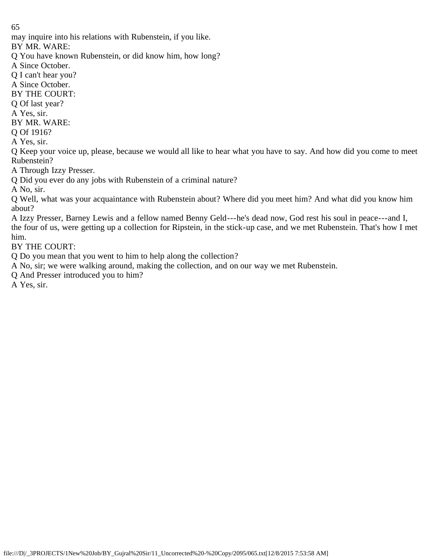may inquire into his relations with Rubenstein, if you like.

BY MR. WARE:

Q You have known Rubenstein, or did know him, how long?

A Since October.

Q I can't hear you?

A Since October.

BY THE COURT:

Q Of last year?

A Yes, sir.

BY MR. WARE:

Q Of 1916?

A Yes, sir.

Q Keep your voice up, please, because we would all like to hear what you have to say. And how did you come to meet Rubenstein?

A Through Izzy Presser.

Q Did you ever do any jobs with Rubenstein of a criminal nature?

A No, sir.

Q Well, what was your acquaintance with Rubenstein about? Where did you meet him? And what did you know him about?

A Izzy Presser, Barney Lewis and a fellow named Benny Geld---he's dead now, God rest his soul in peace---and I, the four of us, were getting up a collection for Ripstein, in the stick-up case, and we met Rubenstein. That's how I met him.

BY THE COURT:

Q Do you mean that you went to him to help along the collection?

A No, sir; we were walking around, making the collection, and on our way we met Rubenstein.

Q And Presser introduced you to him?

A Yes, sir.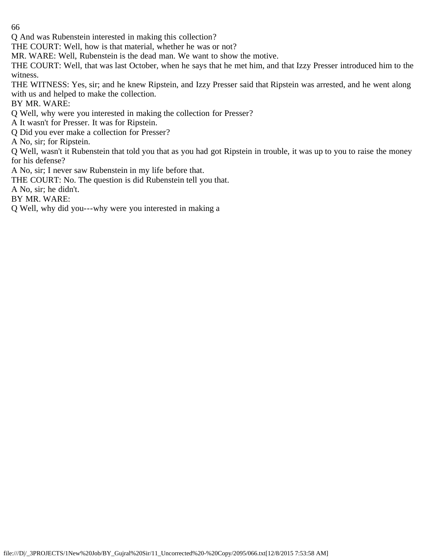Q And was Rubenstein interested in making this collection?

THE COURT: Well, how is that material, whether he was or not?

MR. WARE: Well, Rubenstein is the dead man. We want to show the motive.

THE COURT: Well, that was last October, when he says that he met him, and that Izzy Presser introduced him to the witness.

THE WITNESS: Yes, sir; and he knew Ripstein, and Izzy Presser said that Ripstein was arrested, and he went along with us and helped to make the collection.

BY MR. WARE:

Q Well, why were you interested in making the collection for Presser?

A It wasn't for Presser. It was for Ripstein.

Q Did you ever make a collection for Presser?

A No, sir; for Ripstein.

Q Well, wasn't it Rubenstein that told you that as you had got Ripstein in trouble, it was up to you to raise the money for his defense?

A No, sir; I never saw Rubenstein in my life before that.

THE COURT: No. The question is did Rubenstein tell you that.

A No, sir; he didn't.

BY MR. WARE:

Q Well, why did you---why were you interested in making a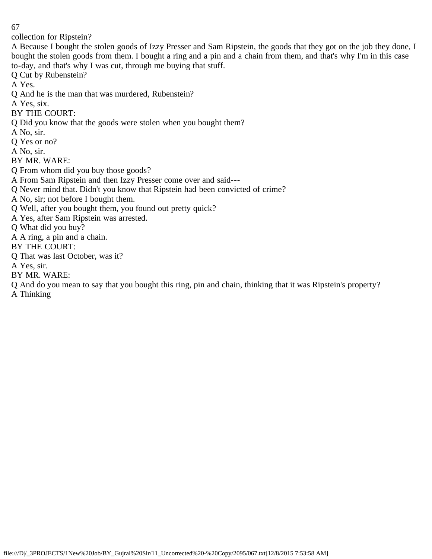collection for Ripstein?

A Because I bought the stolen goods of Izzy Presser and Sam Ripstein, the goods that they got on the job they done, I bought the stolen goods from them. I bought a ring and a pin and a chain from them, and that's why I'm in this case to-day, and that's why I was cut, through me buying that stuff.

Q Cut by Rubenstein?

A Yes.

- Q And he is the man that was murdered, Rubenstein?
- A Yes, six.
- BY THE COURT:
- Q Did you know that the goods were stolen when you bought them?
- A No, sir.
- Q Yes or no?
- A No, sir.
- BY MR. WARE:
- Q From whom did you buy those goods?
- A From Sam Ripstein and then Izzy Presser come over and said---
- Q Never mind that. Didn't you know that Ripstein had been convicted of crime?
- A No, sir; not before I bought them.
- Q Well, after you bought them, you found out pretty quick?
- A Yes, after Sam Ripstein was arrested.
- Q What did you buy?
- A A ring, a pin and a chain.
- BY THE COURT:
- Q That was last October, was it?
- A Yes, sir.
- BY MR. WARE:
- Q And do you mean to say that you bought this ring, pin and chain, thinking that it was Ripstein's property?
- A Thinking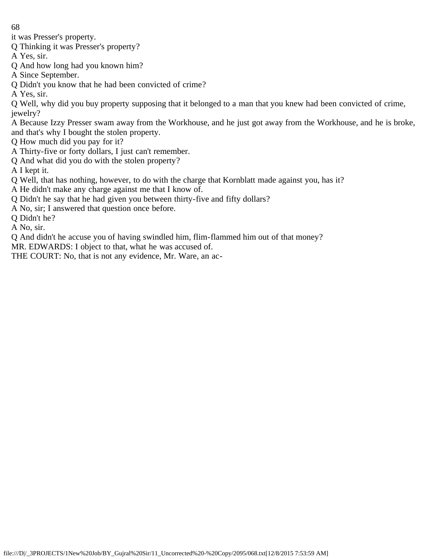it was Presser's property.

Q Thinking it was Presser's property?

A Yes, sir.

Q And how long had you known him?

A Since September.

Q Didn't you know that he had been convicted of crime?

A Yes, sir.

Q Well, why did you buy property supposing that it belonged to a man that you knew had been convicted of crime, jewelry?

A Because Izzy Presser swam away from the Workhouse, and he just got away from the Workhouse, and he is broke, and that's why I bought the stolen property.

Q How much did you pay for it?

A Thirty-five or forty dollars, I just can't remember.

Q And what did you do with the stolen property?

A I kept it.

Q Well, that has nothing, however, to do with the charge that Kornblatt made against you, has it?

A He didn't make any charge against me that I know of.

Q Didn't he say that he had given you between thirty-five and fifty dollars?

A No, sir; I answered that question once before.

Q Didn't he?

A No, sir.

Q And didn't he accuse you of having swindled him, flim-flammed him out of that money?

MR. EDWARDS: I object to that, what he was accused of.

THE COURT: No, that is not any evidence, Mr. Ware, an ac-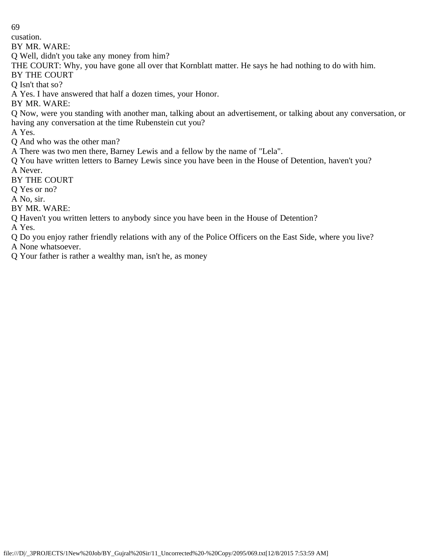cusation.

BY MR. WARE:

Q Well, didn't you take any money from him?

THE COURT: Why, you have gone all over that Kornblatt matter. He says he had nothing to do with him.

BY THE COURT

Q Isn't that so?

A Yes. I have answered that half a dozen times, your Honor.

BY MR. WARE:

Q Now, were you standing with another man, talking about an advertisement, or talking about any conversation, or having any conversation at the time Rubenstein cut you?

A Yes.

Q And who was the other man?

A There was two men there, Barney Lewis and a fellow by the name of "Lela".

Q You have written letters to Barney Lewis since you have been in the House of Detention, haven't you? A Never.

BY THE COURT

Q Yes or no?

A No, sir.

BY MR. WARE:

Q Haven't you written letters to anybody since you have been in the House of Detention?

A Yes.

Q Do you enjoy rather friendly relations with any of the Police Officers on the East Side, where you live? A None whatsoever.

Q Your father is rather a wealthy man, isn't he, as money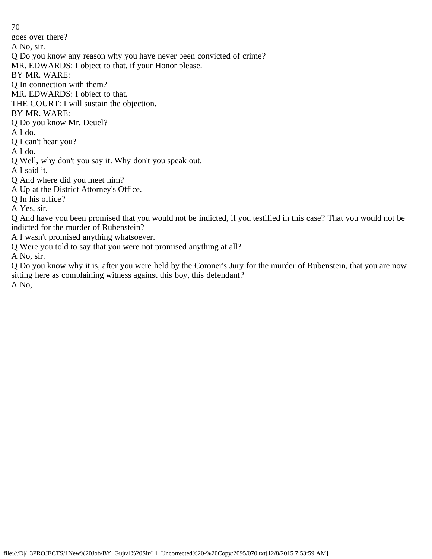70 goes over there? A No, sir. Q Do you know any reason why you have never been convicted of crime? MR. EDWARDS: I object to that, if your Honor please. BY MR. WARE: Q In connection with them? MR. EDWARDS: I object to that. THE COURT: I will sustain the objection. BY MR. WARE: Q Do you know Mr. Deuel? A I do. Q I can't hear you? A I do. Q Well, why don't you say it. Why don't you speak out. A I said it. Q And where did you meet him? A Up at the District Attorney's Office. Q In his office? A Yes, sir. Q And have you been promised that you would not be indicted, if you testified in this case? That you would not be indicted for the murder of Rubenstein? A I wasn't promised anything whatsoever. Q Were you told to say that you were not promised anything at all?

A No, sir.

Q Do you know why it is, after you were held by the Coroner's Jury for the murder of Rubenstein, that you are now sitting here as complaining witness against this boy, this defendant? A No,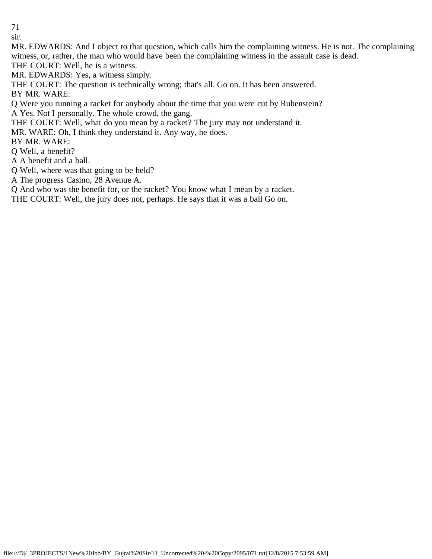sir.

MR. EDWARDS: And I object to that question, which calls him the complaining witness. He is not. The complaining witness, or, rather, the man who would have been the complaining witness in the assault case is dead. THE COURT: Well, he is a witness.

MR. EDWARDS: Yes, a witness simply.

THE COURT: The question is technically wrong; that's all. Go on. It has been answered. BY MR. WARE:

Q Were you running a racket for anybody about the time that you were cut by Rubenstein? A Yes. Not I personally. The whole crowd, the gang.

THE COURT: Well, what do you mean by a racket? The jury may not understand it.

MR. WARE: Oh, I think they understand it. Any way, he does.

BY MR. WARE:

Q Well, a benefit?

A A benefit and a ball.

Q Well, where was that going to be held?

A The progress Casino, 28 Avenue A.

Q And who was the benefit for, or the racket? You know what I mean by a racket.

THE COURT: Well, the jury does not, perhaps. He says that it was a ball Go on.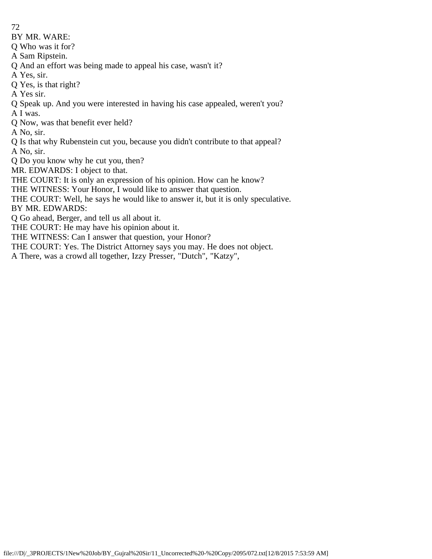BY MR. WARE:

Q Who was it for?

A Sam Ripstein.

- Q And an effort was being made to appeal his case, wasn't it?
- A Yes, sir.

Q Yes, is that right?

A Yes sir.

Q Speak up. And you were interested in having his case appealed, weren't you? A I was.

Q Now, was that benefit ever held?

A No, sir.

Q Is that why Rubenstein cut you, because you didn't contribute to that appeal? A No, sir.

Q Do you know why he cut you, then?

MR. EDWARDS: I object to that.

THE COURT: It is only an expression of his opinion. How can he know?

THE WITNESS: Your Honor, I would like to answer that question.

THE COURT: Well, he says he would like to answer it, but it is only speculative. BY MR. EDWARDS:

Q Go ahead, Berger, and tell us all about it.

THE COURT: He may have his opinion about it.

THE WITNESS: Can I answer that question, your Honor?

THE COURT: Yes. The District Attorney says you may. He does not object.

A There, was a crowd all together, Izzy Presser, "Dutch", "Katzy",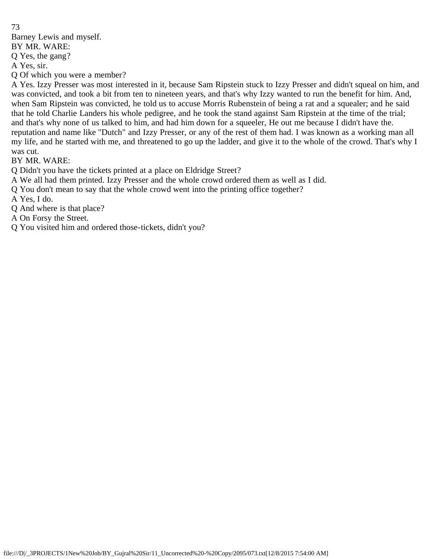73 Barney Lewis and myself. BY MR. WARE:

Q Yes, the gang?

A Yes, sir.

Q Of which you were a member?

A Yes. Izzy Presser was most interested in it, because Sam Ripstein stuck to Izzy Presser and didn't squeal on him, and was convicted, and took a bit from ten to nineteen years, and that's why Izzy wanted to run the benefit for him. And, when Sam Ripstein was convicted, he told us to accuse Morris Rubenstein of being a rat and a squealer; and he said that he told Charlie Landers his whole pedigree, and he took the stand against Sam Ripstein at the time of the trial; and that's why none of us talked to him, and had him down for a squeeler, He out me because I didn't have the. reputation and name like "Dutch" and Izzy Presser, or any of the rest of them had. I was known as a working man all my life, and he started with me, and threatened to go up the ladder, and give it to the whole of the crowd. That's why I was cut.

BY MR. WARE:

Q Didn't you have the tickets printed at a place on Eldridge Street?

A We all had them printed. Izzy Presser and the whole crowd ordered them as well as I did.

Q You don't mean to say that the whole crowd went into the printing office together?

A Yes, I do.

Q And where is that place?

A On Forsy the Street.

Q You visited him and ordered those-tickets, didn't you?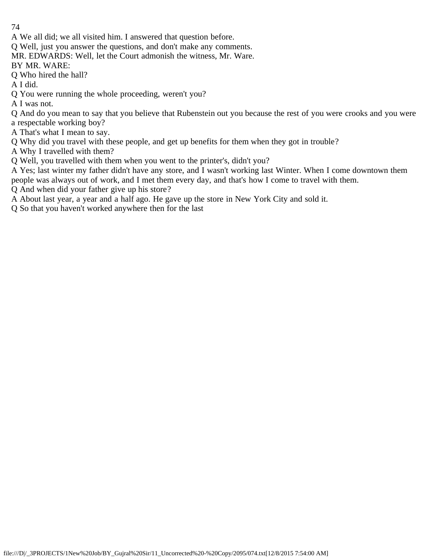A We all did; we all visited him. I answered that question before.

Q Well, just you answer the questions, and don't make any comments.

MR. EDWARDS: Well, let the Court admonish the witness, Mr. Ware.

BY MR. WARE:

Q Who hired the hall?

A I did.

Q You were running the whole proceeding, weren't you?

A I was not.

Q And do you mean to say that you believe that Rubenstein out you because the rest of you were crooks and you were a respectable working boy?

A That's what I mean to say.

Q Why did you travel with these people, and get up benefits for them when they got in trouble?

A Why I travelled with them?

Q Well, you travelled with them when you went to the printer's, didn't you?

A Yes; last winter my father didn't have any store, and I wasn't working last Winter. When I come downtown them

people was always out of work, and I met them every day, and that's how I come to travel with them.

Q And when did your father give up his store?

A About last year, a year and a half ago. He gave up the store in New York City and sold it.

Q So that you haven't worked anywhere then for the last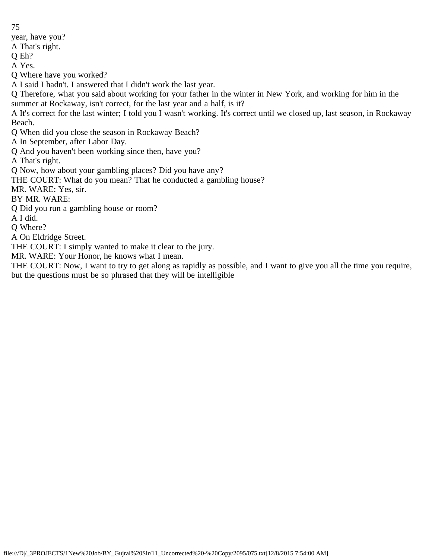year, have you? A That's right. Q Eh? A Yes. Q Where have you worked? A I said I hadn't. I answered that I didn't work the last year. Q Therefore, what you said about working for your father in the winter in New York, and working for him in the summer at Rockaway, isn't correct, for the last year and a half, is it? A It's correct for the last winter; I told you I wasn't working. It's correct until we closed up, last season, in Rockaway Beach. Q When did you close the season in Rockaway Beach? A In September, after Labor Day. Q And you haven't been working since then, have you? A That's right. Q Now, how about your gambling places? Did you have any? THE COURT: What do you mean? That he conducted a gambling house? MR. WARE: Yes, sir. BY MR. WARE: Q Did you run a gambling house or room? A I did. Q Where? A On Eldridge Street. THE COURT: I simply wanted to make it clear to the jury. MR. WARE: Your Honor, he knows what I mean.

75

THE COURT: Now, I want to try to get along as rapidly as possible, and I want to give you all the time you require, but the questions must be so phrased that they will be intelligible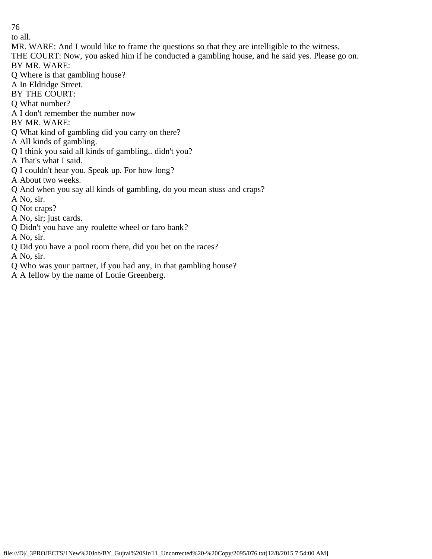to all.

- MR. WARE: And I would like to frame the questions so that they are intelligible to the witness.
- THE COURT: Now, you asked him if he conducted a gambling house, and he said yes. Please go on. BY MR. WARE:
- Q Where is that gambling house?
- A In Eldridge Street.
- BY THE COURT:
- Q What number?
- A I don't remember the number now
- BY MR. WARE:
- Q What kind of gambling did you carry on there?
- A All kinds of gambling.
- Q I think you said all kinds of gambling,. didn't you?
- A That's what I said.
- Q I couldn't hear you. Speak up. For how long?
- A About two weeks.
- Q And when you say all kinds of gambling, do you mean stuss and craps?
- A No, sir.
- Q Not craps?
- A No, sir; just cards.
- Q Didn't you have any roulette wheel or faro bank?
- A No, sir.
- Q Did you have a pool room there, did you bet on the races?
- A No, sir.
- Q Who was your partner, if you had any, in that gambling house?
- A A fellow by the name of Louie Greenberg.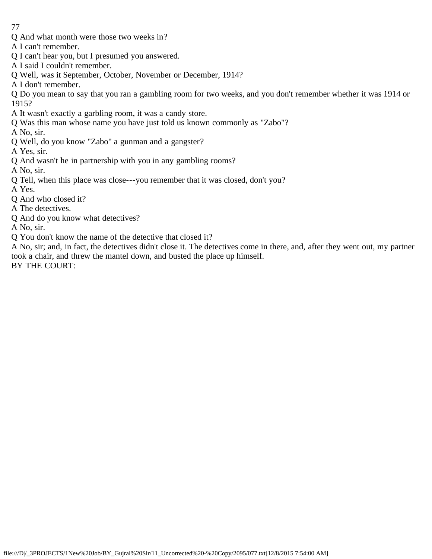- Q And what month were those two weeks in?
- A I can't remember.
- Q I can't hear you, but I presumed you answered.
- A I said I couldn't remember.
- Q Well, was it September, October, November or December, 1914?
- A I don't remember.
- Q Do you mean to say that you ran a gambling room for two weeks, and you don't remember whether it was 1914 or 1915?
- A It wasn't exactly a garbling room, it was a candy store.
- Q Was this man whose name you have just told us known commonly as "Zabo"?
- A No, sir.
- Q Well, do you know "Zabo" a gunman and a gangster?
- A Yes, sir.
- Q And wasn't he in partnership with you in any gambling rooms?
- A No, sir.
- Q Tell, when this place was close---you remember that it was closed, don't you?
- A Yes.
- Q And who closed it?
- A The detectives.
- Q And do you know what detectives?
- A No, sir.
- Q You don't know the name of the detective that closed it?
- A No, sir; and, in fact, the detectives didn't close it. The detectives come in there, and, after they went out, my partner took a chair, and threw the mantel down, and busted the place up himself.
- BY THE COURT: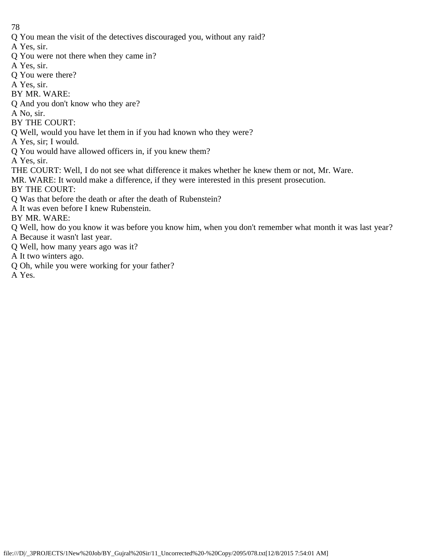Q You mean the visit of the detectives discouraged you, without any raid?

A Yes, sir.

- Q You were not there when they came in?
- A Yes, sir.
- Q You were there?
- A Yes, sir.
- BY MR. WARE:
- Q And you don't know who they are?
- A No, sir.
- BY THE COURT:
- Q Well, would you have let them in if you had known who they were?
- A Yes, sir; I would.
- Q You would have allowed officers in, if you knew them?

A Yes, sir.

- THE COURT: Well, I do not see what difference it makes whether he knew them or not, Mr. Ware.
- MR. WARE: It would make a difference, if they were interested in this present prosecution.
- BY THE COURT:
- Q Was that before the death or after the death of Rubenstein?
- A It was even before I knew Rubenstein.

BY MR. WARE:

- Q Well, how do you know it was before you know him, when you don't remember what month it was last year?
- A Because it wasn't last year.
- Q Well, how many years ago was it?
- A It two winters ago.
- Q Oh, while you were working for your father?

A Yes.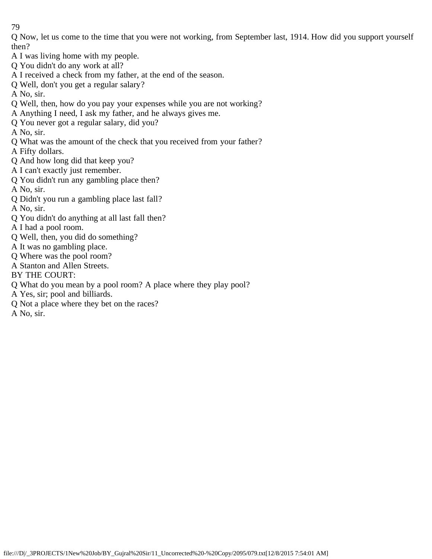Q Now, let us come to the time that you were not working, from September last, 1914. How did you support yourself then?

- A I was living home with my people.
- Q You didn't do any work at all?
- A I received a check from my father, at the end of the season.
- Q Well, don't you get a regular salary?
- A No, sir.
- Q Well, then, how do you pay your expenses while you are not working?
- A Anything I need, I ask my father, and he always gives me.
- Q You never got a regular salary, did you?
- A No, sir.
- Q What was the amount of the check that you received from your father?
- A Fifty dollars.
- Q And how long did that keep you?
- A I can't exactly just remember.
- Q You didn't run any gambling place then?
- A No, sir.
- Q Didn't you run a gambling place last fall?
- A No, sir.
- Q You didn't do anything at all last fall then?
- A I had a pool room.
- Q Well, then, you did do something?
- A It was no gambling place.
- Q Where was the pool room?
- A Stanton and Allen Streets.
- BY THE COURT:
- Q What do you mean by a pool room? A place where they play pool?
- A Yes, sir; pool and billiards.
- Q Not a place where they bet on the races?
- A No, sir.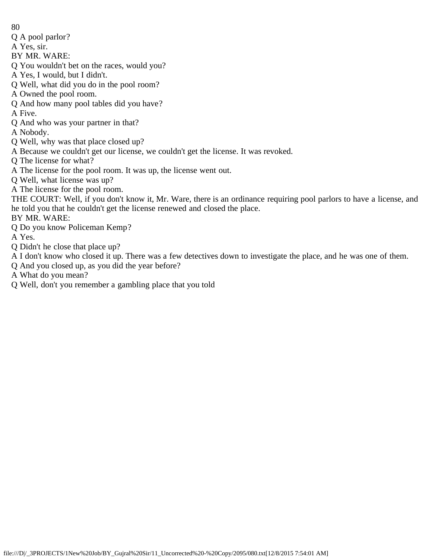- 80
- Q A pool parlor?
- A Yes, sir.
- BY MR. WARE:
- Q You wouldn't bet on the races, would you?
- A Yes, I would, but I didn't.
- Q Well, what did you do in the pool room?
- A Owned the pool room.
- Q And how many pool tables did you have?
- A Five.
- Q And who was your partner in that?
- A Nobody.
- Q Well, why was that place closed up?
- A Because we couldn't get our license, we couldn't get the license. It was revoked.
- Q The license for what?
- A The license for the pool room. It was up, the license went out.
- Q Well, what license was up?
- A The license for the pool room.
- THE COURT: Well, if you don't know it, Mr. Ware, there is an ordinance requiring pool parlors to have a license, and he told you that he couldn't get the license renewed and closed the place.
- BY MR. WARE:
- Q Do you know Policeman Kemp?
- A Yes.
- Q Didn't he close that place up?
- A I don't know who closed it up. There was a few detectives down to investigate the place, and he was one of them.
- Q And you closed up, as you did the year before?
- A What do you mean?
- Q Well, don't you remember a gambling place that you told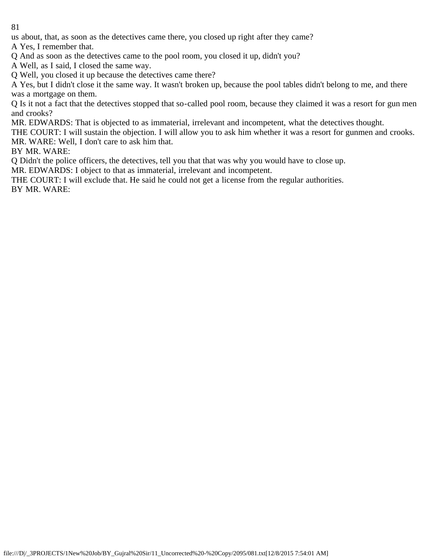us about, that, as soon as the detectives came there, you closed up right after they came?

A Yes, I remember that.

Q And as soon as the detectives came to the pool room, you closed it up, didn't you?

A Well, as I said, I closed the same way.

Q Well, you closed it up because the detectives came there?

A Yes, but I didn't close it the same way. It wasn't broken up, because the pool tables didn't belong to me, and there was a mortgage on them.

Q Is it not a fact that the detectives stopped that so-called pool room, because they claimed it was a resort for gun men and crooks?

MR. EDWARDS: That is objected to as immaterial, irrelevant and incompetent, what the detectives thought.

THE COURT: I will sustain the objection. I will allow you to ask him whether it was a resort for gunmen and crooks. MR. WARE: Well, I don't care to ask him that.

BY MR. WARE:

Q Didn't the police officers, the detectives, tell you that that was why you would have to close up.

MR. EDWARDS: I object to that as immaterial, irrelevant and incompetent.

THE COURT: I will exclude that. He said he could not get a license from the regular authorities. BY MR. WARE: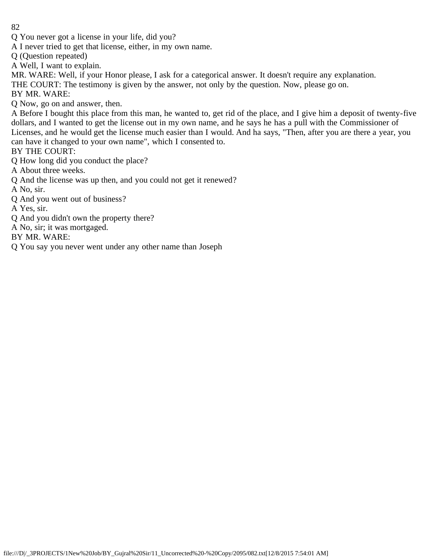- Q You never got a license in your life, did you?
- A I never tried to get that license, either, in my own name.
- Q (Question repeated)
- A Well, I want to explain.
- MR. WARE: Well, if your Honor please, I ask for a categorical answer. It doesn't require any explanation.
- THE COURT: The testimony is given by the answer, not only by the question. Now, please go on.
- BY MR. WARE:
- Q Now, go on and answer, then.
- A Before I bought this place from this man, he wanted to, get rid of the place, and I give him a deposit of twenty-five dollars, and I wanted to get the license out in my own name, and he says he has a pull with the Commissioner of Licenses, and he would get the license much easier than I would. And ha says, "Then, after you are there a year, you can have it changed to your own name", which I consented to.
- BY THE COURT:
- Q How long did you conduct the place?
- A About three weeks.
- Q And the license was up then, and you could not get it renewed?
- A No, sir.
- Q And you went out of business?
- A Yes, sir.
- Q And you didn't own the property there?
- A No, sir; it was mortgaged.
- BY MR. WARE:
- Q You say you never went under any other name than Joseph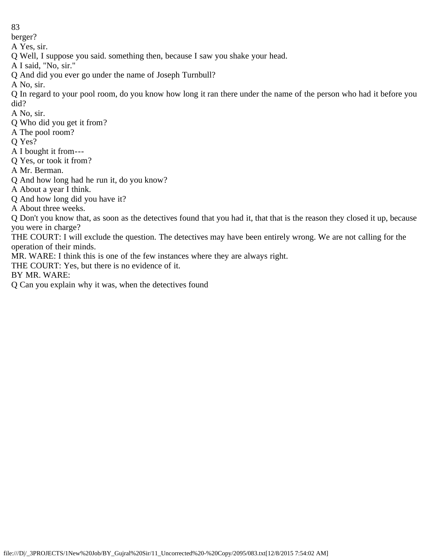berger?

A Yes, sir.

Q Well, I suppose you said. something then, because I saw you shake your head.

A I said, "No, sir."

Q And did you ever go under the name of Joseph Turnbull?

A No, sir.

Q In regard to your pool room, do you know how long it ran there under the name of the person who had it before you did?

A No, sir.

- Q Who did you get it from?
- A The pool room?

Q Yes?

- A I bought it from---
- Q Yes, or took it from?

A Mr. Berman.

Q And how long had he run it, do you know?

A About a year I think.

Q And how long did you have it?

A About three weeks.

Q Don't you know that, as soon as the detectives found that you had it, that that is the reason they closed it up, because you were in charge?

THE COURT: I will exclude the question. The detectives may have been entirely wrong. We are not calling for the operation of their minds.

MR. WARE: I think this is one of the few instances where they are always right.

THE COURT: Yes, but there is no evidence of it.

BY MR. WARE:

Q Can you explain why it was, when the detectives found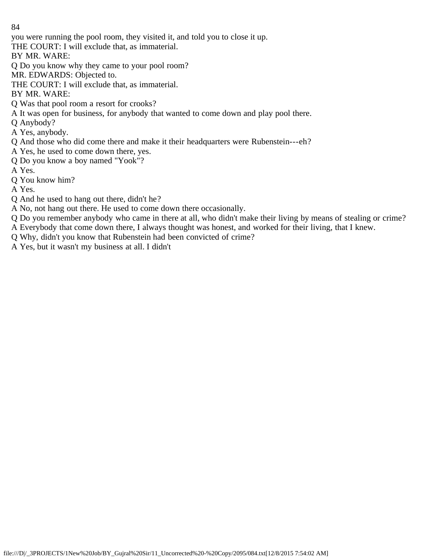you were running the pool room, they visited it, and told you to close it up.

THE COURT: I will exclude that, as immaterial.

BY MR. WARE:

Q Do you know why they came to your pool room?

MR. EDWARDS: Objected to.

THE COURT: I will exclude that, as immaterial.

BY MR. WARE:

Q Was that pool room a resort for crooks?

A It was open for business, for anybody that wanted to come down and play pool there.

Q Anybody?

A Yes, anybody.

Q And those who did come there and make it their headquarters were Rubenstein---eh?

A Yes, he used to come down there, yes.

Q Do you know a boy named "Yook"?

A Yes.

Q You know him?

A Yes.

Q And he used to hang out there, didn't he?

A No, not hang out there. He used to come down there occasionally.

Q Do you remember anybody who came in there at all, who didn't make their living by means of stealing or crime? A Everybody that come down there, I always thought was honest, and worked for their living, that I knew.

Q Why, didn't you know that Rubenstein had been convicted of crime?

A Yes, but it wasn't my business at all. I didn't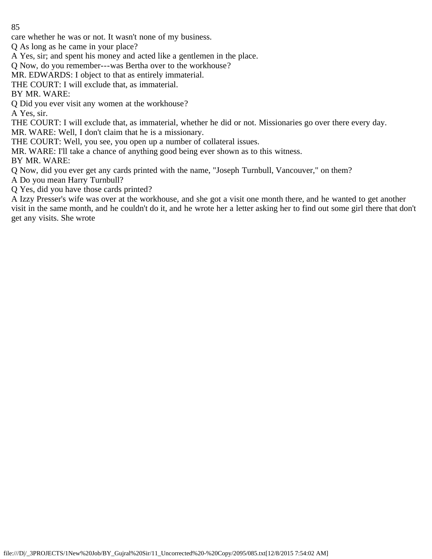care whether he was or not. It wasn't none of my business.

Q As long as he came in your place?

A Yes, sir; and spent his money and acted like a gentlemen in the place.

Q Now, do you remember---was Bertha over to the workhouse?

MR. EDWARDS: I object to that as entirely immaterial.

THE COURT: I will exclude that, as immaterial.

BY MR. WARE:

Q Did you ever visit any women at the workhouse?

A Yes, sir.

THE COURT: I will exclude that, as immaterial, whether he did or not. Missionaries go over there every day.

MR. WARE: Well, I don't claim that he is a missionary.

THE COURT: Well, you see, you open up a number of collateral issues.

MR. WARE: I'll take a chance of anything good being ever shown as to this witness.

BY MR. WARE:

Q Now, did you ever get any cards printed with the name, "Joseph Turnbull, Vancouver," on them?

A Do you mean Harry Turnbull?

Q Yes, did you have those cards printed?

A Izzy Presser's wife was over at the workhouse, and she got a visit one month there, and he wanted to get another visit in the same month, and he couldn't do it, and he wrote her a letter asking her to find out some girl there that don't get any visits. She wrote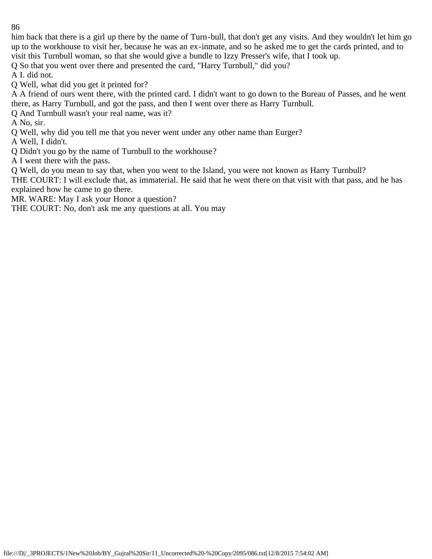him back that there is a girl up there by the name of Turn-bull, that don't get any visits. And they wouldn't let him go up to the workhouse to visit her, because he was an ex-inmate, and so he asked me to get the cards printed, and to visit this Turnbull woman, so that she would give a bundle to Izzy Presser's wife, that I took up.

Q So that you went over there and presented the card, "Harry Turnbull," did you?

A I. did not.

Q Well, what did you get it printed for?

A A friend of ours went there, with the printed card. I didn't want to go down to the Bureau of Passes, and he went there, as Harry Turnbull, and got the pass, and then I went over there as Harry Turnbull.

Q And Turnbull wasn't your real name, was it?

A No, sir.

Q Well, why did you tell me that you never went under any other name than Eurger?

A Well, I didn't.

Q Didn't you go by the name of Turnbull to the workhouse?

A I went there with the pass.

Q Well, do you mean to say that, when you went to the Island, you were not known as Harry Turnbull?

THE COURT: I will exclude that, as immaterial. He said that he went there on that visit with that pass, and he has explained how he came to go there.

MR. WARE: May I ask your Honor a question?

THE COURT: No, don't ask me any questions at all. You may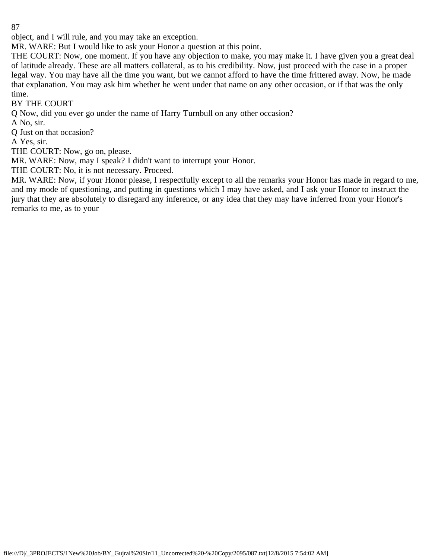object, and I will rule, and you may take an exception.

MR. WARE: But I would like to ask your Honor a question at this point.

THE COURT: Now, one moment. If you have any objection to make, you may make it. I have given you a great deal of latitude already. These are all matters collateral, as to his credibility. Now, just proceed with the case in a proper legal way. You may have all the time you want, but we cannot afford to have the time frittered away. Now, he made that explanation. You may ask him whether he went under that name on any other occasion, or if that was the only time.

## BY THE COURT

Q Now, did you ever go under the name of Harry Turnbull on any other occasion?

A No, sir.

Q Just on that occasion?

A Yes, sir.

THE COURT: Now, go on, please.

MR. WARE: Now, may I speak? I didn't want to interrupt your Honor.

THE COURT: No, it is not necessary. Proceed.

MR. WARE: Now, if your Honor please, I respectfully except to all the remarks your Honor has made in regard to me, and my mode of questioning, and putting in questions which I may have asked, and I ask your Honor to instruct the jury that they are absolutely to disregard any inference, or any idea that they may have inferred from your Honor's remarks to me, as to your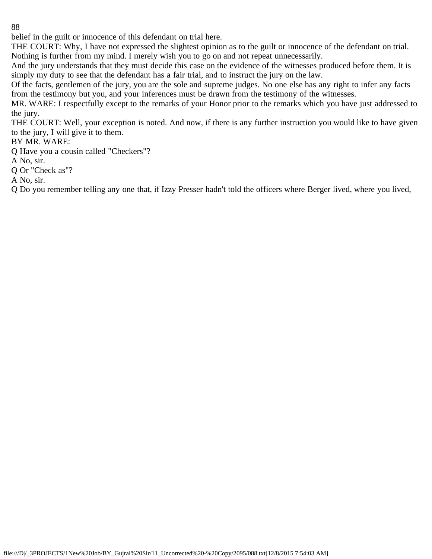belief in the guilt or innocence of this defendant on trial here.

THE COURT: Why, I have not expressed the slightest opinion as to the guilt or innocence of the defendant on trial. Nothing is further from my mind. I merely wish you to go on and not repeat unnecessarily.

And the jury understands that they must decide this case on the evidence of the witnesses produced before them. It is simply my duty to see that the defendant has a fair trial, and to instruct the jury on the law.

Of the facts, gentlemen of the jury, you are the sole and supreme judges. No one else has any right to infer any facts from the testimony but you, and your inferences must be drawn from the testimony of the witnesses.

MR. WARE: I respectfully except to the remarks of your Honor prior to the remarks which you have just addressed to the jury.

THE COURT: Well, your exception is noted. And now, if there is any further instruction you would like to have given to the jury, I will give it to them.

## BY MR. WARE:

Q Have you a cousin called "Checkers"?

A No, sir.

Q Or "Check as"?

A No, sir.

Q Do you remember telling any one that, if Izzy Presser hadn't told the officers where Berger lived, where you lived,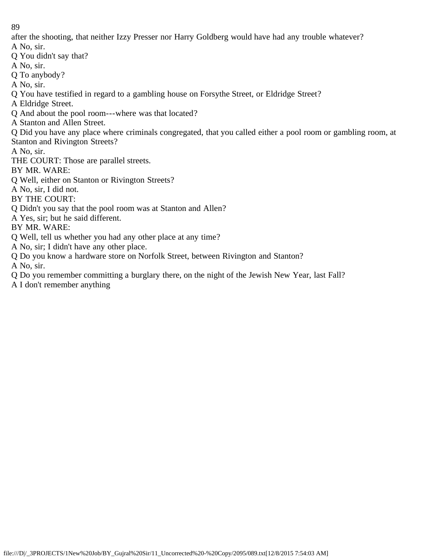after the shooting, that neither Izzy Presser nor Harry Goldberg would have had any trouble whatever?

A No, sir.

Q You didn't say that?

A No, sir.

Q To anybody?

A No, sir.

Q You have testified in regard to a gambling house on Forsythe Street, or Eldridge Street?

A Eldridge Street.

Q And about the pool room---where was that located?

A Stanton and Allen Street.

Q Did you have any place where criminals congregated, that you called either a pool room or gambling room, at Stanton and Rivington Streets?

A No, sir.

THE COURT: Those are parallel streets.

BY MR. WARE:

Q Well, either on Stanton or Rivington Streets?

A No, sir, I did not.

BY THE COURT:

Q Didn't you say that the pool room was at Stanton and Allen?

A Yes, sir; but he said different.

BY MR. WARE:

Q Well, tell us whether you had any other place at any time?

A No, sir; I didn't have any other place.

Q Do you know a hardware store on Norfolk Street, between Rivington and Stanton?

A No, sir.

Q Do you remember committing a burglary there, on the night of the Jewish New Year, last Fall?

A I don't remember anything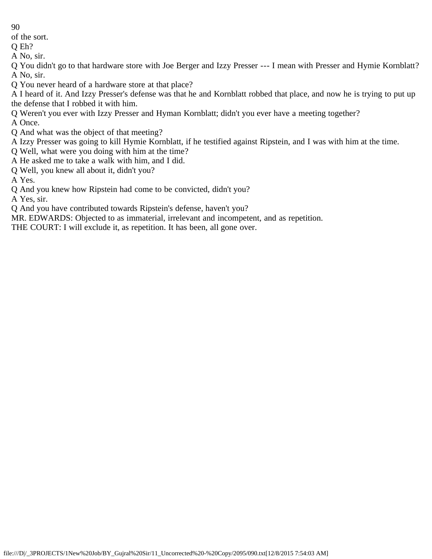of the sort.

Q Eh? A No, sir.

Q You didn't go to that hardware store with Joe Berger and Izzy Presser --- I mean with Presser and Hymie Kornblatt? A No, sir.

Q You never heard of a hardware store at that place?

A I heard of it. And Izzy Presser's defense was that he and Kornblatt robbed that place, and now he is trying to put up the defense that I robbed it with him.

Q Weren't you ever with Izzy Presser and Hyman Kornblatt; didn't you ever have a meeting together?

A Once.

Q And what was the object of that meeting?

A Izzy Presser was going to kill Hymie Kornblatt, if he testified against Ripstein, and I was with him at the time.

Q Well, what were you doing with him at the time?

A He asked me to take a walk with him, and I did.

Q Well, you knew all about it, didn't you?

A Yes.

Q And you knew how Ripstein had come to be convicted, didn't you?

A Yes, sir.

Q And you have contributed towards Ripstein's defense, haven't you?

MR. EDWARDS: Objected to as immaterial, irrelevant and incompetent, and as repetition.

THE COURT: I will exclude it, as repetition. It has been, all gone over.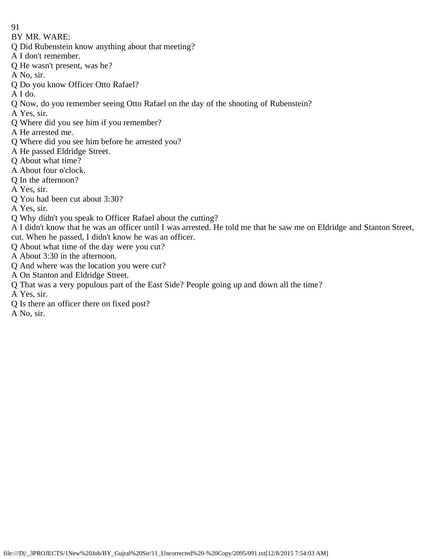- 91
- BY MR. WARE:
- Q Did Rubenstein know anything about that meeting?
- A I don't remember.
- Q He wasn't present, was he?
- A No, sir.
- Q Do you know Officer Otto Rafael?
- A I do.
- Q Now, do you remember seeing Otto Rafael on the day of the shooting of Rubenstein?
- A Yes, sir.
- Q Where did you see him if you remember?
- A He arrested me.
- Q Where did you see him before he arrested you?
- A He passed Eldridge Street.
- Q About what time?
- A About four o'clock.
- Q In the afternoon?
- A Yes, sir.
- Q You had been cut about 3:30?
- A Yes, sir.
- Q Why didn't you speak to Officer Rafael about the cutting?
- A I didn't know that he was an officer until I was arrested. He told me that he saw me on Eldridge and Stanton Street, cut. When he passed, I didn't know he was an officer.
- Q About what time of the day were you cut?
- A About 3:30 in the afternoon.
- Q And where was the location you were cut?
- A On Stanton and Eldridge Street.
- Q That was a very populous part of the East Side? People going up and down all the time?
- A Yes, sir.
- Q Is there an officer there on fixed post?
- A No, sir.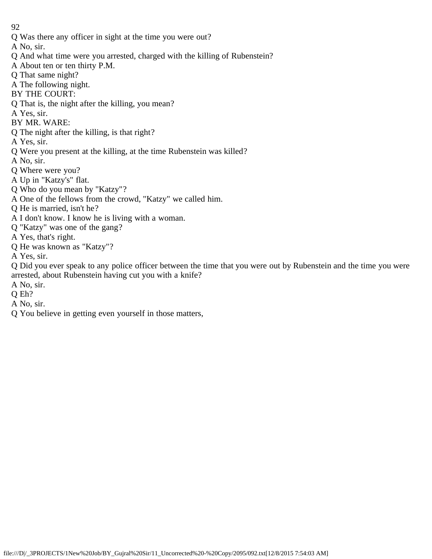Q Was there any officer in sight at the time you were out?

A No, sir.

- Q And what time were you arrested, charged with the killing of Rubenstein?
- A About ten or ten thirty P.M.
- Q That same night?
- A The following night.
- BY THE COURT:
- Q That is, the night after the killing, you mean?
- A Yes, sir.
- BY MR. WARE:
- Q The night after the killing, is that right?
- A Yes, sir.
- Q Were you present at the killing, at the time Rubenstein was killed?
- A No, sir.
- Q Where were you?
- A Up in "Katzy's" flat.
- Q Who do you mean by "Katzy"?
- A One of the fellows from the crowd, "Katzy" we called him.
- Q He is married, isn't he?
- A I don't know. I know he is living with a woman.
- Q "Katzy" was one of the gang?
- A Yes, that's right.
- Q He was known as "Katzy"?
- A Yes, sir.

Q Did you ever speak to any police officer between the time that you were out by Rubenstein and the time you were arrested, about Rubenstein having cut you with a knife?

- A No, sir.
- Q Eh?
- A No, sir.
- Q You believe in getting even yourself in those matters,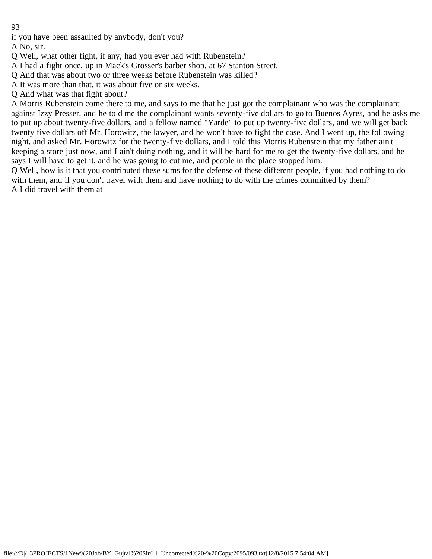if you have been assaulted by anybody, don't you?

A No, sir.

Q Well, what other fight, if any, had you ever had with Rubenstein?

A I had a fight once, up in Mack's Grosser's barber shop, at 67 Stanton Street.

Q And that was about two or three weeks before Rubenstein was killed?

A It was more than that, it was about five or six weeks.

Q And what was that fight about?

A Morris Rubenstein come there to me, and says to me that he just got the complainant who was the complainant against Izzy Presser, and he told me the complainant wants seventy-five dollars to go to Buenos Ayres, and he asks me to put up about twenty-five dollars, and a fellow named "Yarde" to put up twenty-five dollars, and we will get back twenty five dollars off Mr. Horowitz, the lawyer, and he won't have to fight the case. And I went up, the following night, and asked Mr. Horowitz for the twenty-five dollars, and I told this Morris Rubenstein that my father ain't keeping a store just now, and I ain't doing nothing, and it will be hard for me to get the twenty-five dollars, and he says I will have to get it, and he was going to cut me, and people in the place stopped him.

Q Well, how is it that you contributed these sums for the defense of these different people, if you had nothing to do with them, and if you don't travel with them and have nothing to do with the crimes committed by them? A I did travel with them at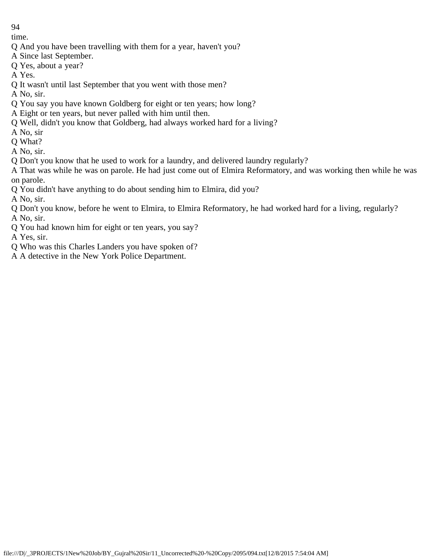time.

- Q And you have been travelling with them for a year, haven't you?
- A Since last September.
- Q Yes, about a year?
- A Yes.
- Q It wasn't until last September that you went with those men?
- A No, sir.
- Q You say you have known Goldberg for eight or ten years; how long?
- A Eight or ten years, but never palled with him until then.
- Q Well, didn't you know that Goldberg, had always worked hard for a living?
- A No, sir
- Q What?
- A No, sir.
- Q Don't you know that he used to work for a laundry, and delivered laundry regularly?
- A That was while he was on parole. He had just come out of Elmira Reformatory, and was working then while he was on parole.
- Q You didn't have anything to do about sending him to Elmira, did you?
- A No, sir.
- Q Don't you know, before he went to Elmira, to Elmira Reformatory, he had worked hard for a living, regularly? A No, sir.
- Q You had known him for eight or ten years, you say?
- A Yes, sir.
- Q Who was this Charles Landers you have spoken of?
- A A detective in the New York Police Department.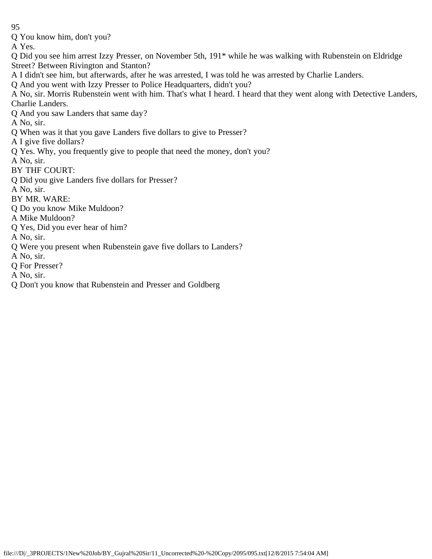Q You know him, don't you?

A Yes.

- Q Did you see him arrest Izzy Presser, on November 5th, 191\* while he was walking with Rubenstein on Eldridge Street? Between Rivington and Stanton?
- A I didn't see him, but afterwards, after he was arrested, I was told he was arrested by Charlie Landers.
- Q And you went with Izzy Presser to Police Headquarters, didn't you?
- A No, sir. Morris Rubenstein went with him. That's what I heard. I heard that they went along with Detective Landers, Charlie Landers.
- Q And you saw Landers that same day?
- A No, sir.
- Q When was it that you gave Landers five dollars to give to Presser?
- A I give five dollars?
- Q Yes. Why, you frequently give to people that need the money, don't you?
- A No, sir.
- BY THF COURT:
- Q Did you give Landers five dollars for Presser?
- A No, sir.
- BY MR. WARE:
- Q Do you know Mike Muldoon?
- A Mike Muldoon?
- Q Yes, Did you ever hear of him?
- A No, sir.
- Q Were you present when Rubenstein gave five dollars to Landers?
- A No, sir.
- Q For Presser?
- A No, sir.
- Q Don't you know that Rubenstein and Presser and Goldberg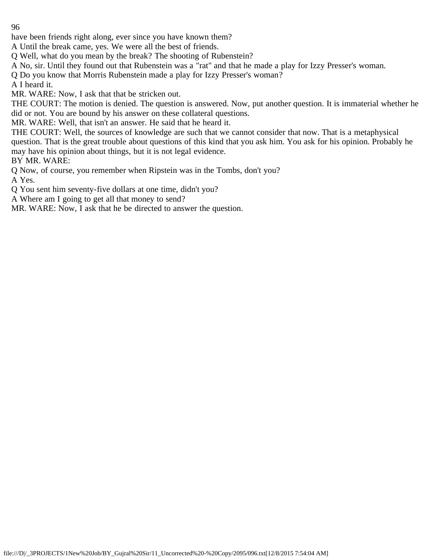have been friends right along, ever since you have known them?

A Until the break came, yes. We were all the best of friends.

Q Well, what do you mean by the break? The shooting of Rubenstein?

A No, sir. Until they found out that Rubenstein was a "rat" and that he made a play for Izzy Presser's woman.

Q Do you know that Morris Rubenstein made a play for Izzy Presser's woman?

A I heard it.

MR. WARE: Now, I ask that that be stricken out.

THE COURT: The motion is denied. The question is answered. Now, put another question. It is immaterial whether he did or not. You are bound by his answer on these collateral questions.

MR. WARE: Well, that isn't an answer. He said that he heard it.

THE COURT: Well, the sources of knowledge are such that we cannot consider that now. That is a metaphysical question. That is the great trouble about questions of this kind that you ask him. You ask for his opinion. Probably he may have his opinion about things, but it is not legal evidence.

BY MR. WARE:

Q Now, of course, you remember when Ripstein was in the Tombs, don't you?

A Yes.

Q You sent him seventy-five dollars at one time, didn't you?

A Where am I going to get all that money to send?

MR. WARE: Now, I ask that he be directed to answer the question.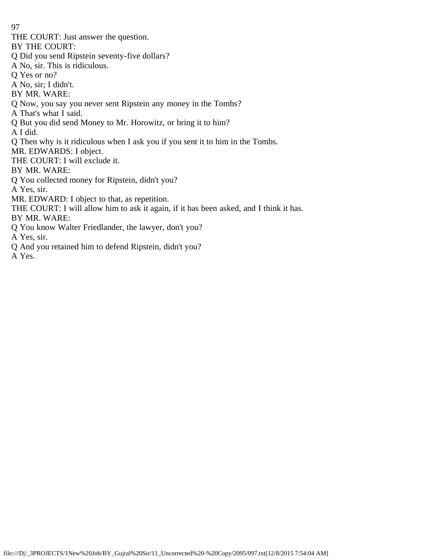THE COURT: Just answer the question.

BY THE COURT:

Q Did you send Ripstein seventy-five dollars?

A No, sir. This is ridiculous.

Q Yes or no?

A No, sir; I didn't.

BY MR. WARE:

Q Now, you say you never sent Ripstein any money in the Tombs?

A That's what I said.

Q But you did send Money to Mr. Horowitz, or bring it to him?

A I did.

Q Then why is it ridiculous when I ask you if you sent it to him in the Tombs.

MR. EDWARDS: I object.

THE COURT: I will exclude it.

BY MR. WARE:

Q You collected money for Ripstein, didn't you?

A Yes, sir.

MR. EDWARD: I object to that, as repetition.

THE COURT: I will allow him to ask it again, if it has been asked, and I think it has.

BY MR. WARE:

Q You know Walter Friedlander, the lawyer, don't you?

A Yes, sir.

Q And you retained him to defend Ripstein, didn't you?

A Yes.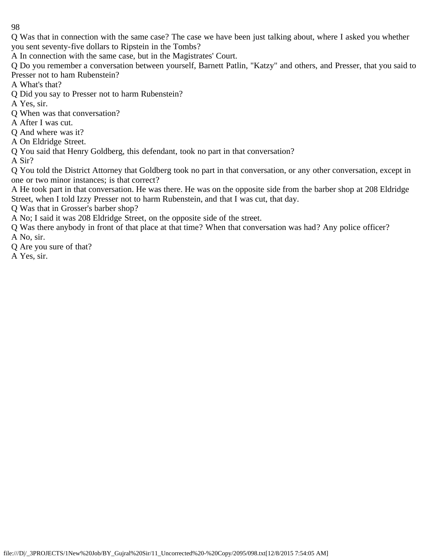Q Was that in connection with the same case? The case we have been just talking about, where I asked you whether you sent seventy-five dollars to Ripstein in the Tombs?

A In connection with the same case, but in the Magistrates' Court.

Q Do you remember a conversation between yourself, Barnett Patlin, "Katzy" and others, and Presser, that you said to Presser not to ham Rubenstein?

A What's that?

Q Did you say to Presser not to harm Rubenstein?

A Yes, sir.

Q When was that conversation?

A After I was cut.

Q And where was it?

A On Eldridge Street.

Q You said that Henry Goldberg, this defendant, took no part in that conversation?

A Sir?

Q You told the District Attorney that Goldberg took no part in that conversation, or any other conversation, except in one or two minor instances; is that correct?

A He took part in that conversation. He was there. He was on the opposite side from the barber shop at 208 Eldridge Street, when I told Izzy Presser not to harm Rubenstein, and that I was cut, that day.

Q Was that in Grosser's barber shop?

A No; I said it was 208 Eldridge Street, on the opposite side of the street.

Q Was there anybody in front of that place at that time? When that conversation was had? Any police officer? A No, sir.

Q Are you sure of that?

A Yes, sir.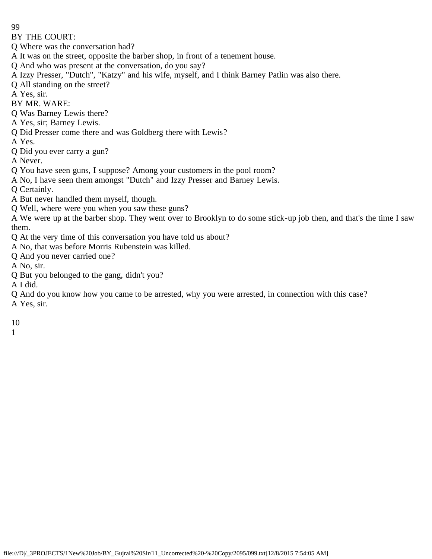BY THE COURT:

Q Where was the conversation had?

A It was on the street, opposite the barber shop, in front of a tenement house.

Q And who was present at the conversation, do you say?

A Izzy Presser, "Dutch", "Katzy" and his wife, myself, and I think Barney Patlin was also there.

Q All standing on the street?

A Yes, sir.

BY MR. WARE:

Q Was Barney Lewis there?

A Yes, sir; Barney Lewis.

Q Did Presser come there and was Goldberg there with Lewis?

A Yes.

Q Did you ever carry a gun?

A Never.

Q You have seen guns, I suppose? Among your customers in the pool room?

A No, I have seen them amongst "Dutch" and Izzy Presser and Barney Lewis.

Q Certainly.

A But never handled them myself, though.

Q Well, where were you when you saw these guns?

A We were up at the barber shop. They went over to Brooklyn to do some stick-up job then, and that's the time I saw them.

Q At the very time of this conversation you have told us about?

A No, that was before Morris Rubenstein was killed.

Q And you never carried one?

A No, sir.

Q But you belonged to the gang, didn't you?

A I did.

Q And do you know how you came to be arrested, why you were arrested, in connection with this case? A Yes, sir.

10

1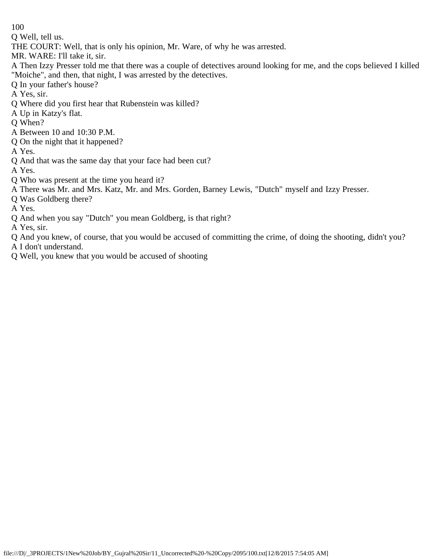Q Well, tell us.

THE COURT: Well, that is only his opinion, Mr. Ware, of why he was arrested.

MR. WARE: I'll take it, sir.

- A Then Izzy Presser told me that there was a couple of detectives around looking for me, and the cops believed I killed "Moiche", and then, that night, I was arrested by the detectives.
- Q In your father's house?
- A Yes, sir.
- Q Where did you first hear that Rubenstein was killed?
- A Up in Katzy's flat.
- Q When?
- A Between 10 and 10:30 P.M.
- Q On the night that it happened?

A Yes.

- Q And that was the same day that your face had been cut?
- A Yes.
- Q Who was present at the time you heard it?
- A There was Mr. and Mrs. Katz, Mr. and Mrs. Gorden, Barney Lewis, "Dutch" myself and Izzy Presser.
- Q Was Goldberg there?

A Yes.

Q And when you say "Dutch" you mean Goldberg, is that right?

A Yes, sir.

Q And you knew, of course, that you would be accused of committing the crime, of doing the shooting, didn't you? A I don't understand.

Q Well, you knew that you would be accused of shooting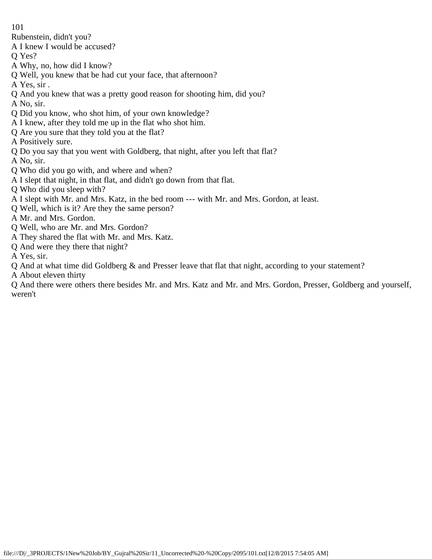Rubenstein, didn't you?

A I knew I would be accused?

- Q Yes?
- A Why, no, how did I know?
- Q Well, you knew that be had cut your face, that afternoon?
- A Yes, sir .
- Q And you knew that was a pretty good reason for shooting him, did you?
- A No, sir.
- Q Did you know, who shot him, of your own knowledge?
- A I knew, after they told me up in the flat who shot him.
- Q Are you sure that they told you at the flat?
- A Positively sure.
- Q Do you say that you went with Goldberg, that night, after you left that flat?
- A No, sir.
- Q Who did you go with, and where and when?
- A I slept that night, in that flat, and didn't go down from that flat.
- Q Who did you sleep with?
- A I slept with Mr. and Mrs. Katz, in the bed room --- with Mr. and Mrs. Gordon, at least.
- Q Well, which is it? Are they the same person?
- A Mr. and Mrs. Gordon.
- Q Well, who are Mr. and Mrs. Gordon?
- A They shared the flat with Mr. and Mrs. Katz.
- Q And were they there that night?
- A Yes, sir.
- Q And at what time did Goldberg & and Presser leave that flat that night, according to your statement?
- A About eleven thirty

Q And there were others there besides Mr. and Mrs. Katz and Mr. and Mrs. Gordon, Presser, Goldberg and yourself, weren't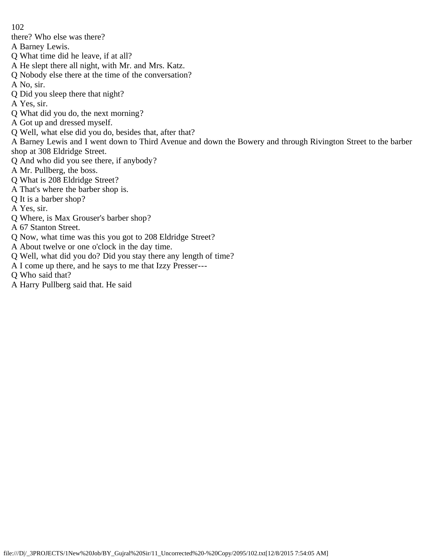- there? Who else was there?
- A Barney Lewis.
- Q What time did he leave, if at all?
- A He slept there all night, with Mr. and Mrs. Katz.
- Q Nobody else there at the time of the conversation?
- A No, sir.
- Q Did you sleep there that night?
- A Yes, sir.
- Q What did you do, the next morning?
- A Got up and dressed myself.
- Q Well, what else did you do, besides that, after that?

A Barney Lewis and I went down to Third Avenue and down the Bowery and through Rivington Street to the barber shop at 308 Eldridge Street.

- Q And who did you see there, if anybody?
- A Mr. Pullberg, the boss.
- Q What is 208 Eldridge Street?
- A That's where the barber shop is.
- Q It is a barber shop?
- A Yes, sir.
- Q Where, is Max Grouser's barber shop?
- A 67 Stanton Street.
- Q Now, what time was this you got to 208 Eldridge Street?
- A About twelve or one o'clock in the day time.
- Q Well, what did you do? Did you stay there any length of time?
- A I come up there, and he says to me that Izzy Presser---
- Q Who said that?
- A Harry Pullberg said that. He said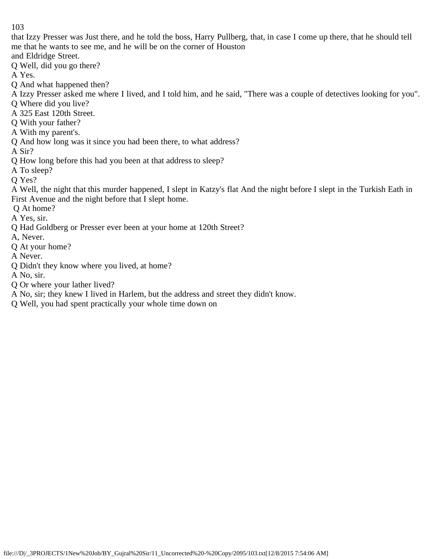that Izzy Presser was Just there, and he told the boss, Harry Pullberg, that, in case I come up there, that he should tell me that he wants to see me, and he will be on the corner of Houston

and Eldridge Street.

Q Well, did you go there?

A Yes.

Q And what happened then?

A Izzy Presser asked me where I lived, and I told him, and he said, "There was a couple of detectives looking for you".

Q Where did you live?

A 325 East 120th Street.

Q With your father?

A With my parent's.

Q And how long was it since you had been there, to what address?

A Sir?

Q How long before this had you been at that address to sleep?

A To sleep?

Q Yes?

A Well, the night that this murder happened, I slept in Katzy's flat And the night before I slept in the Turkish Eath in First Avenue and the night before that I slept home.

Q At home?

A Yes, sir.

Q Had Goldberg or Presser ever been at your home at 120th Street?

A, Never.

Q At your home?

A Never.

Q Didn't they know where you lived, at home?

A No, sir.

Q Or where your lather lived?

A No, sir; they knew I lived in Harlem, but the address and street they didn't know.

Q Well, you had spent practically your whole time down on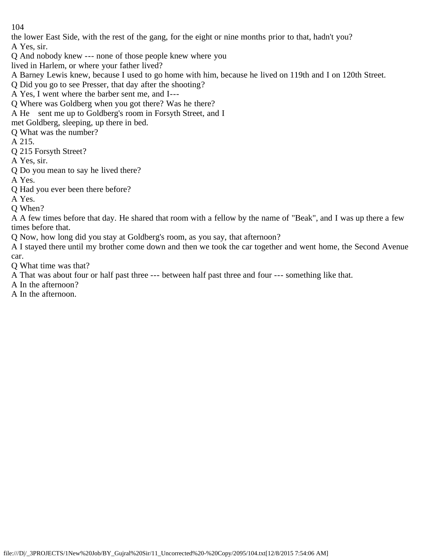the lower East Side, with the rest of the gang, for the eight or nine months prior to that, hadn't you? A Yes, sir.

Q And nobody knew --- none of those people knew where you

lived in Harlem, or where your father lived?

A Barney Lewis knew, because I used to go home with him, because he lived on 119th and I on 120th Street.

Q Did you go to see Presser, that day after the shooting?

A Yes, I went where the barber sent me, and I---

Q Where was Goldberg when you got there? Was he there?

A He sent me up to Goldberg's room in Forsyth Street, and I

met Goldberg, sleeping, up there in bed.

Q What was the number?

A 215.

Q 215 Forsyth Street?

A Yes, sir.

Q Do you mean to say he lived there?

A Yes.

Q Had you ever been there before?

A Yes.

Q When?

A A few times before that day. He shared that room with a fellow by the name of "Beak", and I was up there a few times before that.

Q Now, how long did you stay at Goldberg's room, as you say, that afternoon?

A I stayed there until my brother come down and then we took the car together and went home, the Second Avenue car.

Q What time was that?

A That was about four or half past three --- between half past three and four --- something like that.

A In the afternoon?

A In the afternoon.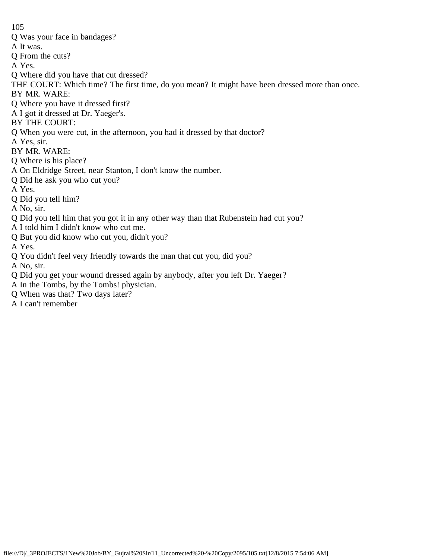- Q Was your face in bandages?
- A It was.
- Q From the cuts?
- A Yes.
- Q Where did you have that cut dressed?
- THE COURT: Which time? The first time, do you mean? It might have been dressed more than once.
- BY MR. WARE:
- Q Where you have it dressed first?
- A I got it dressed at Dr. Yaeger's.
- BY THE COURT:
- Q When you were cut, in the afternoon, you had it dressed by that doctor?
- A Yes, sir.
- BY MR. WARE:
- Q Where is his place?
- A On Eldridge Street, near Stanton, I don't know the number.
- Q Did he ask you who cut you?
- A Yes.
- Q Did you tell him?
- A No, sir.
- Q Did you tell him that you got it in any other way than that Rubenstein had cut you?
- A I told him I didn't know who cut me.
- Q But you did know who cut you, didn't you?
- A Yes.
- Q You didn't feel very friendly towards the man that cut you, did you?
- A No, sir.
- Q Did you get your wound dressed again by anybody, after you left Dr. Yaeger?
- A In the Tombs, by the Tombs! physician.
- Q When was that? Two days later?
- A I can't remember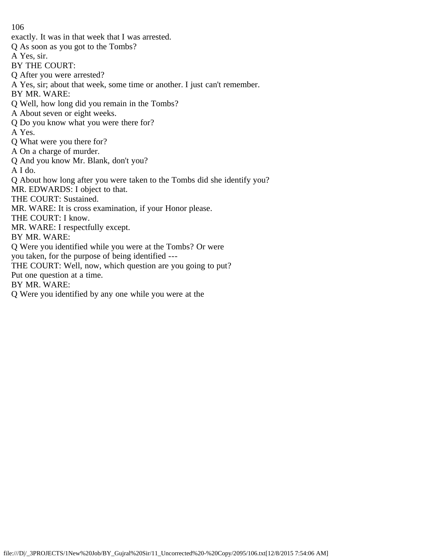- exactly. It was in that week that I was arrested.
- Q As soon as you got to the Tombs?
- A Yes, sir.
- BY THE COURT:
- Q After you were arrested?
- A Yes, sir; about that week, some time or another. I just can't remember.
- BY MR. WARE:
- Q Well, how long did you remain in the Tombs?
- A About seven or eight weeks.
- Q Do you know what you were there for?
- A Yes.
- Q What were you there for?
- A On a charge of murder.
- Q And you know Mr. Blank, don't you?
- A I do.
- Q About how long after you were taken to the Tombs did she identify you?
- MR. EDWARDS: I object to that.
- THE COURT: Sustained.
- MR. WARE: It is cross examination, if your Honor please.
- THE COURT: I know.
- MR. WARE: I respectfully except.
- BY MR. WARE:
- Q Were you identified while you were at the Tombs? Or were
- you taken, for the purpose of being identified ---
- THE COURT: Well, now, which question are you going to put?
- Put one question at a time.
- BY MR. WARE:
- Q Were you identified by any one while you were at the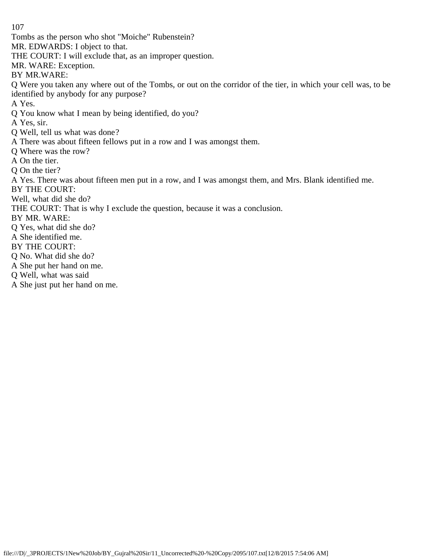Tombs as the person who shot "Moiche" Rubenstein?

MR. EDWARDS: I object to that.

THE COURT: I will exclude that, as an improper question.

MR. WARE: Exception.

BY MR.WARE:

Q Were you taken any where out of the Tombs, or out on the corridor of the tier, in which your cell was, to be identified by anybody for any purpose?

A Yes.

Q You know what I mean by being identified, do you?

A Yes, sir.

Q Well, tell us what was done?

A There was about fifteen fellows put in a row and I was amongst them.

Q Where was the row?

A On the tier.

Q On the tier?

A Yes. There was about fifteen men put in a row, and I was amongst them, and Mrs. Blank identified me.

BY THE COURT:

Well, what did she do?

THE COURT: That is why I exclude the question, because it was a conclusion.

BY MR. WARE:

Q Yes, what did she do?

A She identified me.

BY THE COURT:

Q No. What did she do?

A She put her hand on me.

Q Well, what was said

A She just put her hand on me.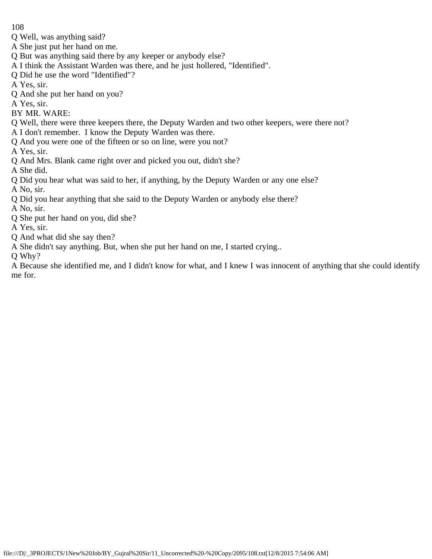- Q Well, was anything said?
- A She just put her hand on me.
- Q But was anything said there by any keeper or anybody else?
- A I think the Assistant Warden was there, and he just hollered, "Identified".
- Q Did he use the word "Identified"?
- A Yes, sir.
- Q And she put her hand on you?
- A Yes, sir.
- BY MR. WARE:
- Q Well, there were three keepers there, the Deputy Warden and two other keepers, were there not?
- A I don't remember. I know the Deputy Warden was there.
- Q And you were one of the fifteen or so on line, were you not?

A Yes, sir.

Q And Mrs. Blank came right over and picked you out, didn't she?

A She did.

- Q Did you hear what was said to her, if anything, by the Deputy Warden or any one else?
- A No, sir.
- Q Did you hear anything that she said to the Deputy Warden or anybody else there?

A No, sir.

- Q She put her hand on you, did she?
- A Yes, sir.
- Q And what did she say then?
- A She didn't say anything. But, when she put her hand on me, I started crying..

Q Why?

A Because she identified me, and I didn't know for what, and I knew I was innocent of anything that she could identify me for.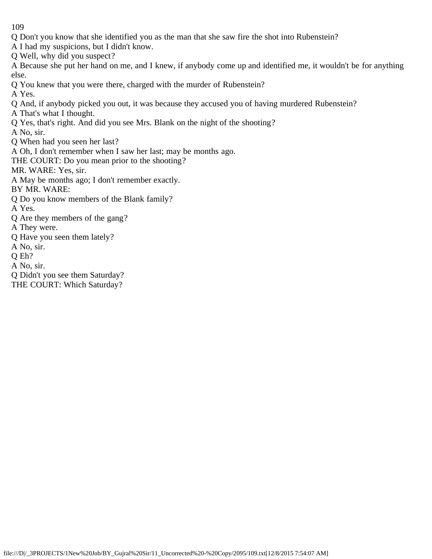Q Don't you know that she identified you as the man that she saw fire the shot into Rubenstein?

A I had my suspicions, but I didn't know.

Q Well, why did you suspect?

A Because she put her hand on me, and I knew, if anybody come up and identified me, it wouldn't be for anything else.

Q You knew that you were there, charged with the murder of Rubenstein?

A Yes.

Q And, if anybody picked you out, it was because they accused you of having murdered Rubenstein?

A That's what I thought.

Q Yes, that's right. And did you see Mrs. Blank on the night of the shooting?

A No, sir.

Q When had you seen her last?

A Oh, I don't remember when I saw her last; may be months ago.

THE COURT: Do you mean prior to the shooting?

MR. WARE: Yes, sir.

A May be months ago; I don't remember exactly.

BY MR. WARE:

Q Do you know members of the Blank family?

A Yes.

Q Are they members of the gang?

A They were.

Q Have you seen them lately?

A No, sir.

Q Eh?

A No, sir.

Q Didn't you see them Saturday?

THE COURT: Which Saturday?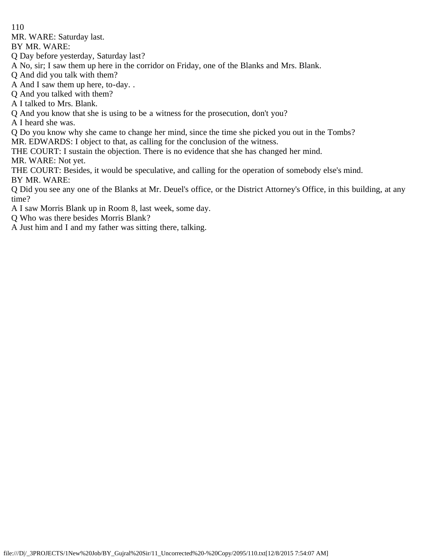MR. WARE: Saturday last.

BY MR. WARE:

Q Day before yesterday, Saturday last?

A No, sir; I saw them up here in the corridor on Friday, one of the Blanks and Mrs. Blank.

Q And did you talk with them?

A And I saw them up here, to-day. .

Q And you talked with them?

A I talked to Mrs. Blank.

Q And you know that she is using to be a witness for the prosecution, don't you?

A I heard she was.

Q Do you know why she came to change her mind, since the time she picked you out in the Tombs?

MR. EDWARDS: I object to that, as calling for the conclusion of the witness.

THE COURT: I sustain the objection. There is no evidence that she has changed her mind.

MR. WARE: Not yet.

THE COURT: Besides, it would be speculative, and calling for the operation of somebody else's mind. BY MR. WARE:

Q Did you see any one of the Blanks at Mr. Deuel's office, or the District Attorney's Office, in this building, at any time?

A I saw Morris Blank up in Room 8, last week, some day.

Q Who was there besides Morris Blank?

A Just him and I and my father was sitting there, talking.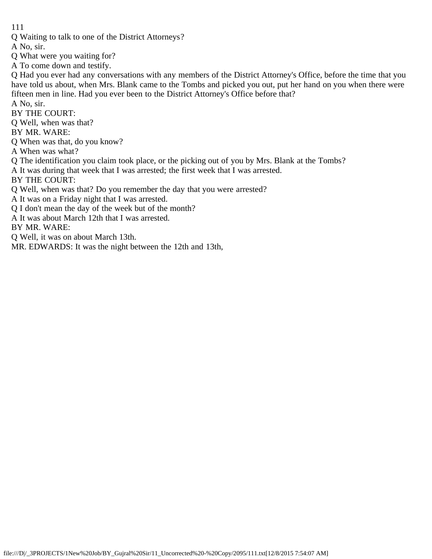Q Waiting to talk to one of the District Attorneys?

A No, sir.

- Q What were you waiting for?
- A To come down and testify.

Q Had you ever had any conversations with any members of the District Attorney's Office, before the time that you have told us about, when Mrs. Blank came to the Tombs and picked you out, put her hand on you when there were fifteen men in line. Had you ever been to the District Attorney's Office before that?

A No, sir.

BY THE COURT:

Q Well, when was that?

BY MR. WARE:

Q When was that, do you know?

A When was what?

Q The identification you claim took place, or the picking out of you by Mrs. Blank at the Tombs?

A It was during that week that I was arrested; the first week that I was arrested.

BY THE COURT:

Q Well, when was that? Do you remember the day that you were arrested?

A It was on a Friday night that I was arrested.

Q I don't mean the day of the week but of the month?

A It was about March 12th that I was arrested.

BY MR. WARE:

Q Well, it was on about March 13th.

MR. EDWARDS: It was the night between the 12th and 13th,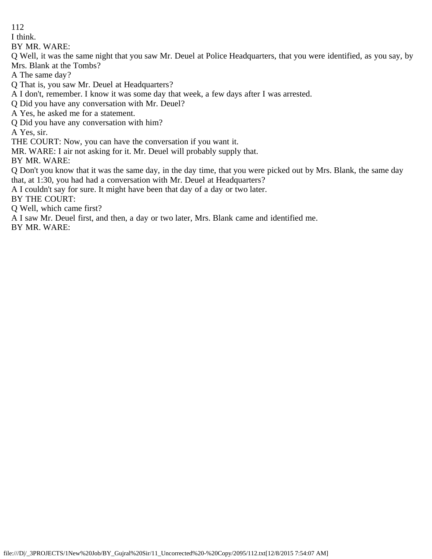I think.

BY MR. WARE:

Q Well, it was the same night that you saw Mr. Deuel at Police Headquarters, that you were identified, as you say, by Mrs. Blank at the Tombs?

A The same day?

Q That is, you saw Mr. Deuel at Headquarters?

A I don't, remember. I know it was some day that week, a few days after I was arrested.

Q Did you have any conversation with Mr. Deuel?

A Yes, he asked me for a statement.

Q Did you have any conversation with him?

A Yes, sir.

THE COURT: Now, you can have the conversation if you want it.

MR. WARE: I air not asking for it. Mr. Deuel will probably supply that.

BY MR. WARE:

Q Don't you know that it was the same day, in the day time, that you were picked out by Mrs. Blank, the same day that, at 1:30, you had had a conversation with Mr. Deuel at Headquarters?

A I couldn't say for sure. It might have been that day of a day or two later.

BY THE COURT:

Q Well, which came first?

A I saw Mr. Deuel first, and then, a day or two later, Mrs. Blank came and identified me.

BY MR. WARE: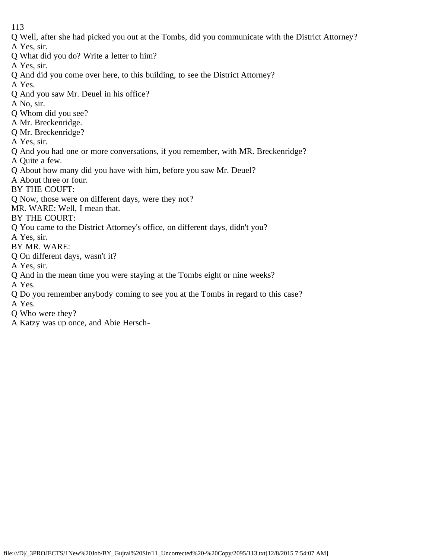Q Well, after she had picked you out at the Tombs, did you communicate with the District Attorney?

A Yes, sir.

Q What did you do? Write a letter to him?

A Yes, sir.

Q And did you come over here, to this building, to see the District Attorney?

A Yes.

- Q And you saw Mr. Deuel in his office?
- A No, sir.
- Q Whom did you see?
- A Mr. Breckenridge.
- Q Mr. Breckenridge?
- A Yes, sir.
- Q And you had one or more conversations, if you remember, with MR. Breckenridge?

A Quite a few.

- Q About how many did you have with him, before you saw Mr. Deuel?
- A About three or four.

BY THE COUFT:

Q Now, those were on different days, were they not?

MR. WARE: Well, I mean that.

BY THE COURT:

- Q You came to the District Attorney's office, on different days, didn't you?
- A Yes, sir.
- BY MR. WARE:
- Q On different days, wasn't it?

A Yes, sir.

Q And in the mean time you were staying at the Tombs eight or nine weeks?

A Yes.

Q Do you remember anybody coming to see you at the Tombs in regard to this case?

A Yes.

- Q Who were they?
- A Katzy was up once, and Abie Hersch-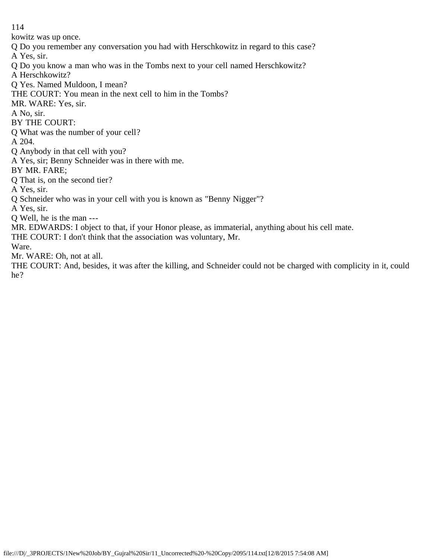kowitz was up once.

Q Do you remember any conversation you had with Herschkowitz in regard to this case?

A Yes, sir.

Q Do you know a man who was in the Tombs next to your cell named Herschkowitz?

A Herschkowitz?

Q Yes. Named Muldoon, I mean?

THE COURT: You mean in the next cell to him in the Tombs?

MR. WARE: Yes, sir.

A No, sir.

BY THE COURT:

Q What was the number of your cell?

A 204.

Q Anybody in that cell with you?

A Yes, sir; Benny Schneider was in there with me.

BY MR. FARE;

Q That is, on the second tier?

A Yes, sir.

Q Schneider who was in your cell with you is known as "Benny Nigger"?

A Yes, sir.

Q Well, he is the man ---

MR. EDWARDS: I object to that, if your Honor please, as immaterial, anything about his cell mate.

THE COURT: I don't think that the association was voluntary, Mr.

Ware.

Mr. WARE: Oh, not at all.

THE COURT: And, besides, it was after the killing, and Schneider could not be charged with complicity in it, could he?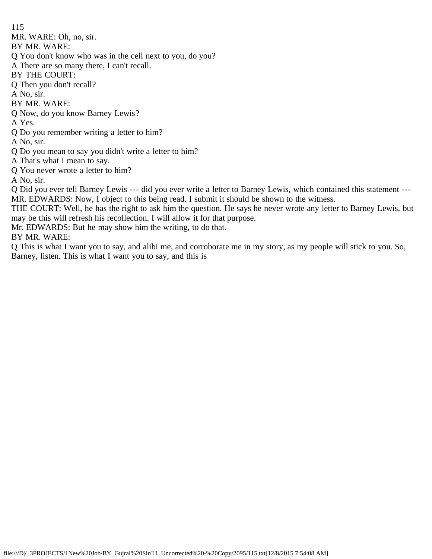115 MR. WARE: Oh, no, sir. BY MR. WARE: Q You don't know who was in the cell next to you, do you? A There are so many there, I can't recall. BY THE COURT: Q Then you don't recall? A No, sir. BY MR. WARE: Q Now, do you know Barney Lewis? A Yes. Q Do you remember writing a letter to him? A No, sir. Q Do you mean to say you didn't write a letter to him? A That's what I mean to say. Q You never wrote a letter to him? A No, sir.

Q Did you ever tell Barney Lewis --- did you ever write a letter to Barney Lewis, which contained this statement --- MR. EDWARDS: Now, I object to this being read. I submit it should be shown to the witness.

THE COURT: Well, he has the right to ask him the question. He says he never wrote any letter to Barney Lewis, but may be this will refresh his recollection. I will allow it for that purpose.

Mr. EDWARDS: But he may show him the writing, to do that.

BY MR. WARE:

Q This is what I want you to say, and alibi me, and corroborate me in my story, as my people will stick to you. So, Barney, listen. This is what I want you to say, and this is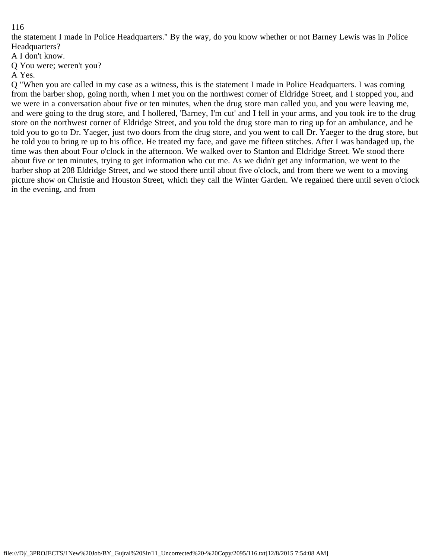the statement I made in Police Headquarters." By the way, do you know whether or not Barney Lewis was in Police Headquarters?

A I don't know.

Q You were; weren't you?

A Yes.

Q "When you are called in my case as a witness, this is the statement I made in Police Headquarters. I was coming from the barber shop, going north, when I met you on the northwest corner of Eldridge Street, and I stopped you, and we were in a conversation about five or ten minutes, when the drug store man called you, and you were leaving me, and were going to the drug store, and I hollered, 'Barney, I'm cut' and I fell in your arms, and you took ire to the drug store on the northwest corner of Eldridge Street, and you told the drug store man to ring up for an ambulance, and he told you to go to Dr. Yaeger, just two doors from the drug store, and you went to call Dr. Yaeger to the drug store, but he told you to bring re up to his office. He treated my face, and gave me fifteen stitches. After I was bandaged up, the time was then about Four o'clock in the afternoon. We walked over to Stanton and Eldridge Street. We stood there about five or ten minutes, trying to get information who cut me. As we didn't get any information, we went to the barber shop at 208 Eldridge Street, and we stood there until about five o'clock, and from there we went to a moving picture show on Christie and Houston Street, which they call the Winter Garden. We regained there until seven o'clock in the evening, and from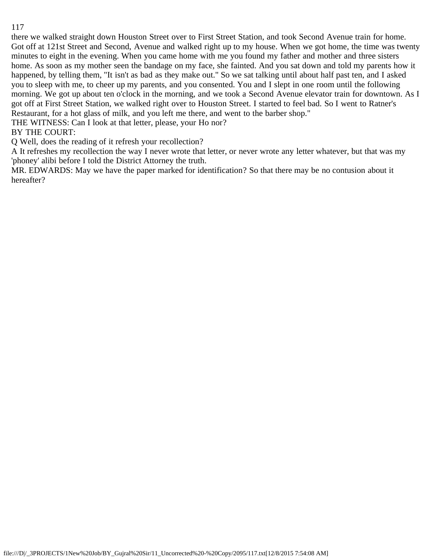there we walked straight down Houston Street over to First Street Station, and took Second Avenue train for home. Got off at 121st Street and Second, Avenue and walked right up to my house. When we got home, the time was twenty minutes to eight in the evening. When you came home with me you found my father and mother and three sisters home. As soon as my mother seen the bandage on my face, she fainted. And you sat down and told my parents how it happened, by telling them, "It isn't as bad as they make out." So we sat talking until about half past ten, and I asked you to sleep with me, to cheer up my parents, and you consented. You and I slept in one room until the following morning. We got up about ten o'clock in the morning, and we took a Second Avenue elevator train for downtown. As I got off at First Street Station, we walked right over to Houston Street. I started to feel bad. So I went to Ratner's Restaurant, for a hot glass of milk, and you left me there, and went to the barber shop."

THE WITNESS: Can I look at that letter, please, your Ho nor?

# BY THE COURT:

Q Well, does the reading of it refresh your recollection?

A It refreshes my recollection the way I never wrote that letter, or never wrote any letter whatever, but that was my 'phoney' alibi before I told the District Attorney the truth.

MR. EDWARDS: May we have the paper marked for identification? So that there may be no contusion about it hereafter?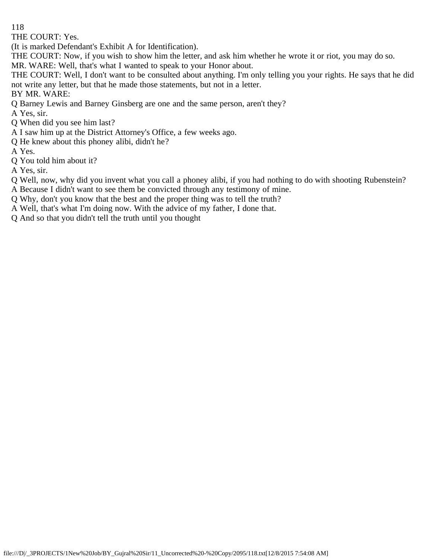THE COURT: Yes.

(It is marked Defendant's Exhibit A for Identification).

THE COURT: Now, if you wish to show him the letter, and ask him whether he wrote it or riot, you may do so.

MR. WARE: Well, that's what I wanted to speak to your Honor about.

THE COURT: Well, I don't want to be consulted about anything. I'm only telling you your rights. He says that he did not write any letter, but that he made those statements, but not in a letter.

BY MR. WARE:

Q Barney Lewis and Barney Ginsberg are one and the same person, aren't they?

A Yes, sir.

Q When did you see him last?

A I saw him up at the District Attorney's Office, a few weeks ago.

Q He knew about this phoney alibi, didn't he?

A Yes.

Q You told him about it?

A Yes, sir.

Q Well, now, why did you invent what you call a phoney alibi, if you had nothing to do with shooting Rubenstein? A Because I didn't want to see them be convicted through any testimony of mine.

- Q Why, don't you know that the best and the proper thing was to tell the truth?
- A Well, that's what I'm doing now. With the advice of my father, I done that.
- Q And so that you didn't tell the truth until you thought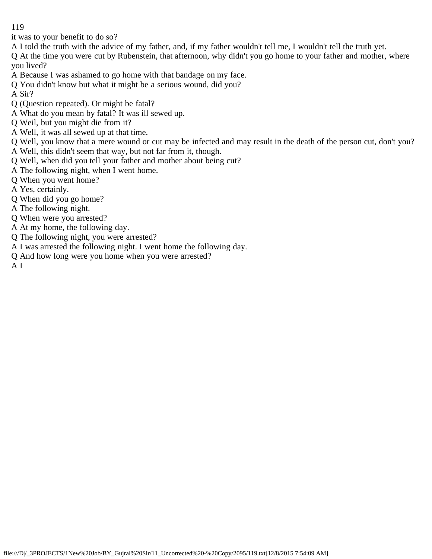it was to your benefit to do so?

A I told the truth with the advice of my father, and, if my father wouldn't tell me, I wouldn't tell the truth yet.

Q At the time you were cut by Rubenstein, that afternoon, why didn't you go home to your father and mother, where you lived?

- A Because I was ashamed to go home with that bandage on my face.
- Q You didn't know but what it might be a serious wound, did you?
- A Sir?
- Q (Question repeated). Or might be fatal?
- A What do you mean by fatal? It was ill sewed up.
- Q Weil, but you might die from it?
- A Well, it was all sewed up at that time.
- Q Well, you know that a mere wound or cut may be infected and may result in the death of the person cut, don't you?
- A Well, this didn't seem that way, but not far from it, though.
- Q Well, when did you tell your father and mother about being cut?
- A The following night, when I went home.
- Q When you went home?
- A Yes, certainly.
- Q When did you go home?
- A The following night.
- Q When were you arrested?
- A At my home, the following day.
- Q The following night, you were arrested?
- A I was arrested the following night. I went home the following day.
- Q And how long were you home when you were arrested?

A I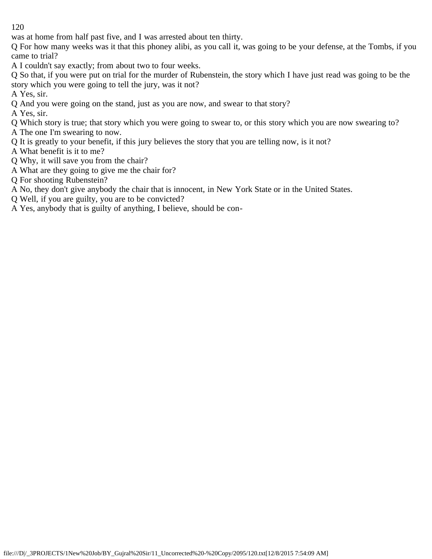was at home from half past five, and I was arrested about ten thirty.

Q For how many weeks was it that this phoney alibi, as you call it, was going to be your defense, at the Tombs, if you came to trial?

A I couldn't say exactly; from about two to four weeks.

Q So that, if you were put on trial for the murder of Rubenstein, the story which I have just read was going to be the story which you were going to tell the jury, was it not?

A Yes, sir.

Q And you were going on the stand, just as you are now, and swear to that story?

A Yes, sir.

Q Which story is true; that story which you were going to swear to, or this story which you are now swearing to?

A The one I'm swearing to now.

Q It is greatly to your benefit, if this jury believes the story that you are telling now, is it not?

A What benefit is it to me?

Q Why, it will save you from the chair?

- A What are they going to give me the chair for?
- Q For shooting Rubenstein?

A No, they don't give anybody the chair that is innocent, in New York State or in the United States.

Q Well, if you are guilty, you are to be convicted?

A Yes, anybody that is guilty of anything, I believe, should be con-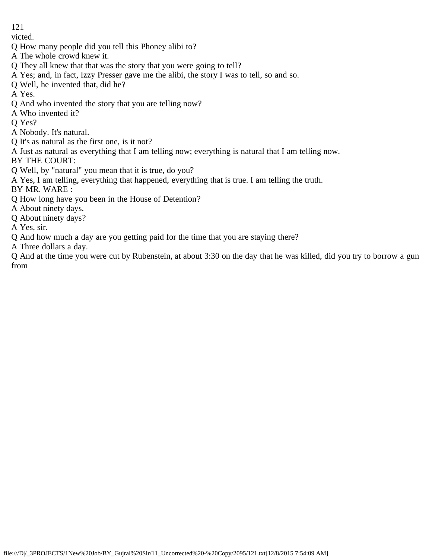victed.

- Q How many people did you tell this Phoney alibi to?
- A The whole crowd knew it.
- Q They all knew that that was the story that you were going to tell?
- A Yes; and, in fact, Izzy Presser gave me the alibi, the story I was to tell, so and so.
- Q Well, he invented that, did he?

A Yes.

- Q And who invented the story that you are telling now?
- A Who invented it?

Q Yes?

- A Nobody. It's natural.
- Q It's as natural as the first one, is it not?
- A Just as natural as everything that I am telling now; everything is natural that I am telling now.

BY THE COURT:

- Q Well, by "natural" you mean that it is true, do you?
- A Yes, I am telling, everything that happened, everything that is true. I am telling the truth.

BY MR. WARE :

- Q How long have you been in the House of Detention?
- A About ninety days.

Q About ninety days?

A Yes, sir.

Q And how much a day are you getting paid for the time that you are staying there?

A Three dollars a day.

Q And at the time you were cut by Rubenstein, at about 3:30 on the day that he was killed, did you try to borrow a gun from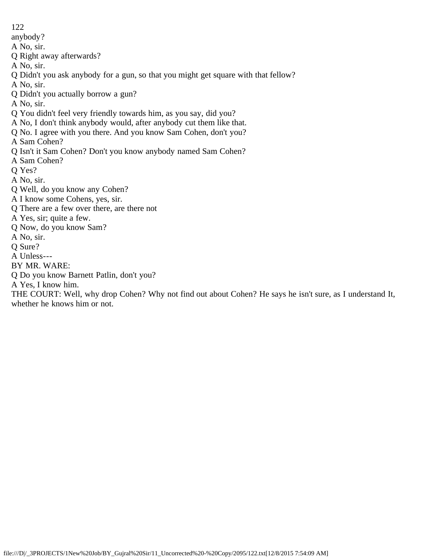122 anybody? A No, sir. Q Right away afterwards? A No, sir. Q Didn't you ask anybody for a gun, so that you might get square with that fellow? A No, sir. Q Didn't you actually borrow a gun? A No, sir. Q You didn't feel very friendly towards him, as you say, did you? A No, I don't think anybody would, after anybody cut them like that. Q No. I agree with you there. And you know Sam Cohen, don't you? A Sam Cohen? Q Isn't it Sam Cohen? Don't you know anybody named Sam Cohen? A Sam Cohen? Q Yes? A No, sir. Q Well, do you know any Cohen? A I know some Cohens, yes, sir. Q There are a few over there, are there not A Yes, sir; quite a few. Q Now, do you know Sam? A No, sir. Q Sure? A Unless--- BY MR. WARE: Q Do you know Barnett Patlin, don't you? A Yes, I know him.

THE COURT: Well, why drop Cohen? Why not find out about Cohen? He says he isn't sure, as I understand It, whether he knows him or not.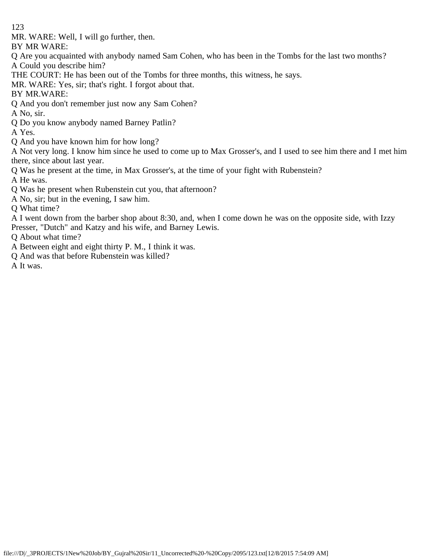MR. WARE: Well, I will go further, then.

BY MR WARE:

Q Are you acquainted with anybody named Sam Cohen, who has been in the Tombs for the last two months? A Could you describe him?

THE COURT: He has been out of the Tombs for three months, this witness, he says.

MR. WARE: Yes, sir; that's right. I forgot about that.

BY MR.WARE:

Q And you don't remember just now any Sam Cohen?

A No, sir.

Q Do you know anybody named Barney Patlin?

A Yes.

Q And you have known him for how long?

A Not very long. I know him since he used to come up to Max Grosser's, and I used to see him there and I met him there, since about last year.

Q Was he present at the time, in Max Grosser's, at the time of your fight with Rubenstein?

A He was.

Q Was he present when Rubenstein cut you, that afternoon?

A No, sir; but in the evening, I saw him.

Q What time?

A I went down from the barber shop about 8:30, and, when I come down he was on the opposite side, with Izzy Presser, "Dutch" and Katzy and his wife, and Barney Lewis.

Q About what time?

A Between eight and eight thirty P. M., I think it was.

Q And was that before Rubenstein was killed?

A It was.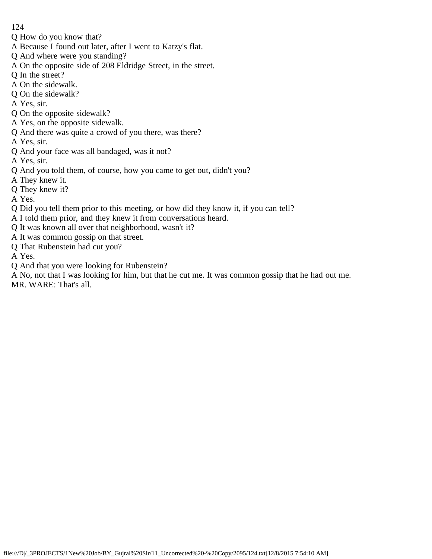- Q How do you know that?
- A Because I found out later, after I went to Katzy's flat.
- Q And where were you standing?
- A On the opposite side of 208 Eldridge Street, in the street.
- Q In the street?
- A On the sidewalk.
- Q On the sidewalk?
- A Yes, sir.
- Q On the opposite sidewalk?
- A Yes, on the opposite sidewalk.
- Q And there was quite a crowd of you there, was there?
- A Yes, sir.
- Q And your face was all bandaged, was it not?
- A Yes, sir.
- Q And you told them, of course, how you came to get out, didn't you?
- A They knew it.
- Q They knew it?
- A Yes.
- Q Did you tell them prior to this meeting, or how did they know it, if you can tell?
- A I told them prior, and they knew it from conversations heard.
- Q It was known all over that neighborhood, wasn't it?
- A It was common gossip on that street.
- Q That Rubenstein had cut you?
- A Yes.
- Q And that you were looking for Rubenstein?
- A No, not that I was looking for him, but that he cut me. It was common gossip that he had out me. MR. WARE: That's all.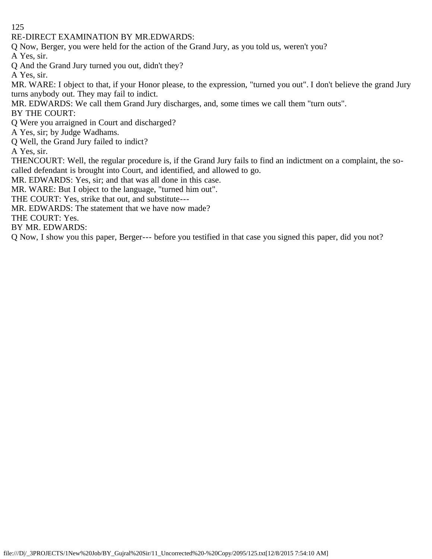RE-DIRECT EXAMINATION BY MR.EDWARDS:

Q Now, Berger, you were held for the action of the Grand Jury, as you told us, weren't you?

A Yes, sir.

Q And the Grand Jury turned you out, didn't they?

A Yes, sir.

MR. WARE: I object to that, if your Honor please, to the expression, "turned you out". I don't believe the grand Jury turns anybody out. They may fail to indict.

MR. EDWARDS: We call them Grand Jury discharges, and, some times we call them "turn outs". BY THE COURT:

Q Were you arraigned in Court and discharged?

A Yes, sir; by Judge Wadhams.

Q Well, the Grand Jury failed to indict?

A Yes, sir.

THENCOURT: Well, the regular procedure is, if the Grand Jury fails to find an indictment on a complaint, the socalled defendant is brought into Court, and identified, and allowed to go.

MR. EDWARDS: Yes, sir; and that was all done in this case.

MR. WARE: But I object to the language, "turned him out".

THE COURT: Yes, strike that out, and substitute---

MR. EDWARDS: The statement that we have now made?

THE COURT: Yes.

BY MR. EDWARDS:

Q Now, I show you this paper, Berger--- before you testified in that case you signed this paper, did you not?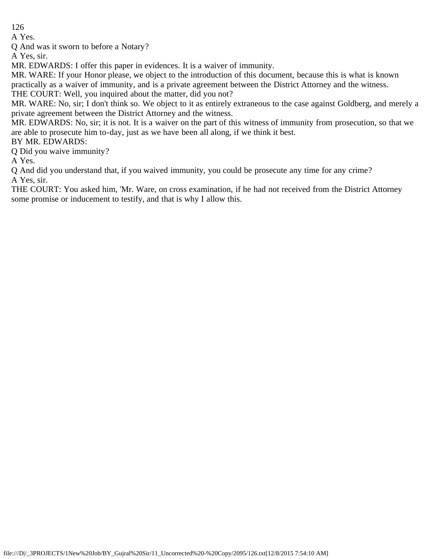A Yes.

Q And was it sworn to before a Notary?

A Yes, sir.

MR. EDWARDS: I offer this paper in evidences. It is a waiver of immunity.

MR. WARE: If your Honor please, we object to the introduction of this document, because this is what is known practically as a waiver of immunity, and is a private agreement between the District Attorney and the witness.

THE COURT: Well, you inquired about the matter, did you not?

MR. WARE: No, sir; I don't think so. We object to it as entirely extraneous to the case against Goldberg, and merely a private agreement between the District Attorney and the witness.

MR. EDWARDS: No, sir; it is not. It is a waiver on the part of this witness of immunity from prosecution, so that we are able to prosecute him to-day, just as we have been all along, if we think it best.

## BY MR. EDWARDS:

Q Did you waive immunity?

A Yes.

Q And did you understand that, if you waived immunity, you could be prosecute any time for any crime? A Yes, sir.

THE COURT: You asked him, 'Mr. Ware, on cross examination, if he had not received from the District Attorney some promise or inducement to testify, and that is why I allow this.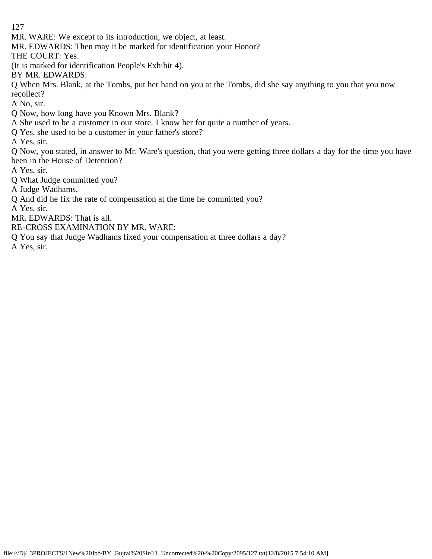MR. WARE: We except to its introduction, we object, at least.

MR. EDWARDS: Then may it be marked for identification your Honor?

THE COURT: Yes.

(It is marked for identification People's Exhibit 4).

BY MR. EDWARDS:

Q When Mrs. Blank, at the Tombs, put her hand on you at the Tombs, did she say anything to you that you now recollect?

A No, sir.

Q Now, how long have you Known Mrs. Blank?

A She used to be a customer in our store. I know her for quite a number of years.

Q Yes, she used to be a customer in your father's store?

A Yes, sir.

Q Now, you stated, in answer to Mr. Ware's question, that you were getting three dollars a day for the time you have been in the House of Detention?

A Yes, sir.

Q What Judge committed you?

A Judge Wadhams.

Q And did he fix the rate of compensation at the time he committed you?

A Yes, sir.

MR. EDWARDS: That is all.

RE-CROSS EXAMINATION BY MR. WARE:

Q You say that Judge Wadhams fixed your compensation at three dollars a day?

A Yes, sir.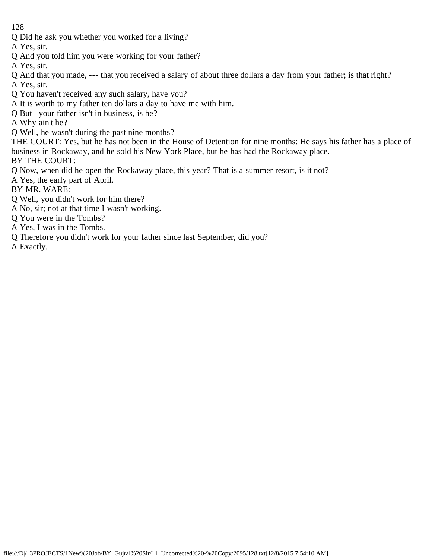Q Did he ask you whether you worked for a living?

A Yes, sir.

Q And you told him you were working for your father?

A Yes, sir.

Q And that you made, --- that you received a salary of about three dollars a day from your father; is that right? A Yes, sir.

- Q You haven't received any such salary, have you?
- A It is worth to my father ten dollars a day to have me with him.
- Q But your father isn't in business, is he?

A Why ain't he?

Q Well, he wasn't during the past nine months?

THE COURT: Yes, but he has not been in the House of Detention for nine months: He says his father has a place of business in Rockaway, and he sold his New York Place, but he has had the Rockaway place.

BY THE COURT:

Q Now, when did he open the Rockaway place, this year? That is a summer resort, is it not?

- A Yes, the early part of April.
- BY MR. WARE:
- Q Well, you didn't work for him there?
- A No, sir; not at that time I wasn't working.
- Q You were in the Tombs?
- A Yes, I was in the Tombs.
- Q Therefore you didn't work for your father since last September, did you?
- A Exactly.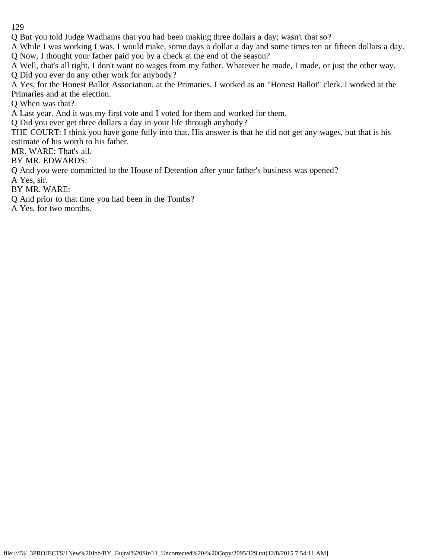Q But you told Judge Wadhams that you had been making three dollars a day; wasn't that so?

A While I was working I was. I would make, some days a dollar a day and some times ten or fifteen dollars a day. Q Now, I thought your father paid you by a check at the end of the season?

A Well, that's all right, I don't want no wages from my father. Whatever he made, I made, or just the other way. Q Did you ever do any other work for anybody?

A Yes, for the Honest Ballot Association, at the Primaries. I worked as an "Honest Ballot" clerk. I worked at the Primaries and at the election.

Q When was that?

A Last year. And it was my first vote and I voted for them and worked for them.

Q Did you ever get three dollars a day in your life through anybody?

THE COURT: I think you have gone fully into that. His answer is that he did not get any wages, but that is his estimate of his worth to his father.

MR. WARE: That's all.

BY MR. EDWARDS:

Q And you were committed to the House of Detention after your father's business was opened?

A Yes, sir.

BY MR. WARE:

Q And prior to that time you had been in the Tombs?

A Yes, for two months.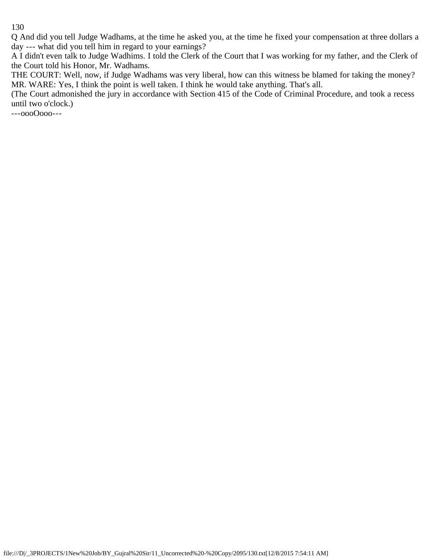Q And did you tell Judge Wadhams, at the time he asked you, at the time he fixed your compensation at three dollars a day --- what did you tell him in regard to your earnings?

A I didn't even talk to Judge Wadhims. I told the Clerk of the Court that I was working for my father, and the Clerk of the Court told his Honor, Mr. Wadhams.

THE COURT: Well, now, if Judge Wadhams was very liberal, how can this witness be blamed for taking the money? MR. WARE: Yes, I think the point is well taken. I think he would take anything. That's all.

(The Court admonished the jury in accordance with Section 415 of the Code of Criminal Procedure, and took a recess until two o'clock.)

---oooOooo---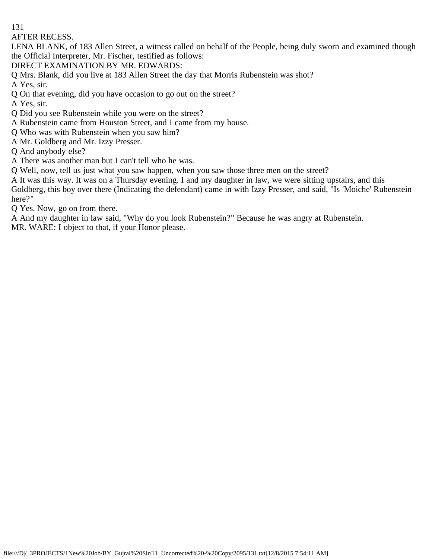AFTER RECESS.

LENA BLANK, of 183 Allen Street, a witness called on behalf of the People, being duly sworn and examined though the Official Interpreter, Mr. Fischer, testified as follows:

DIRECT EXAMINATION BY MR. EDWARDS:

Q Mrs. Blank, did you live at 183 Allen Street the day that Morris Rubenstein was shot?

A Yes, sir.

Q On that evening, did you have occasion to go out on the street?

A Yes, sir.

Q Did you see Rubenstein while you were on the street?

A Rubenstein came from Houston Street, and I came from my house.

Q Who was with Rubenstein when you saw him?

A Mr. Goldberg and Mr. Izzy Presser.

Q And anybody else?

A There was another man but I can't tell who he was.

Q Well, now, tell us just what you saw happen, when you saw those three men on the street?

A It was this way. It was on a Thursday evening. I and my daughter in law, we were sitting upstairs, and this Goldberg, this boy over there (Indicating the defendant) came in with Izzy Presser, and said, "Is 'Moiche' Rubenstein here?"

Q Yes. Now, go on from there.

A And my daughter in law said, "Why do you look Rubenstein?" Because he was angry at Rubenstein.

MR. WARE: I object to that, if your Honor please.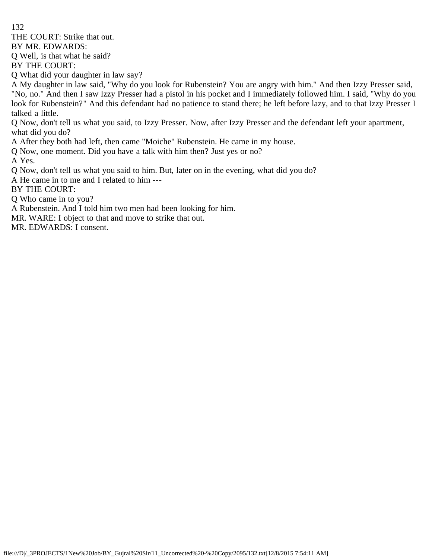THE COURT: Strike that out.

BY MR. EDWARDS:

Q Well, is that what he said?

BY THE COURT:

Q What did your daughter in law say?

A My daughter in law said, "Why do you look for Rubenstein? You are angry with him." And then Izzy Presser said, "No, no." And then I saw Izzy Presser had a pistol in his pocket and I immediately followed him. I said, "Why do you look for Rubenstein?" And this defendant had no patience to stand there; he left before lazy, and to that Izzy Presser I talked a little.

Q Now, don't tell us what you said, to Izzy Presser. Now, after Izzy Presser and the defendant left your apartment, what did you do?

A After they both had left, then came "Moiche" Rubenstein. He came in my house.

Q Now, one moment. Did you have a talk with him then? Just yes or no?

A Yes.

Q Now, don't tell us what you said to him. But, later on in the evening, what did you do?

A He came in to me and I related to him ---

BY THE COURT:

Q Who came in to you?

A Rubenstein. And I told him two men had been looking for him.

MR. WARE: I object to that and move to strike that out.

MR. EDWARDS: I consent.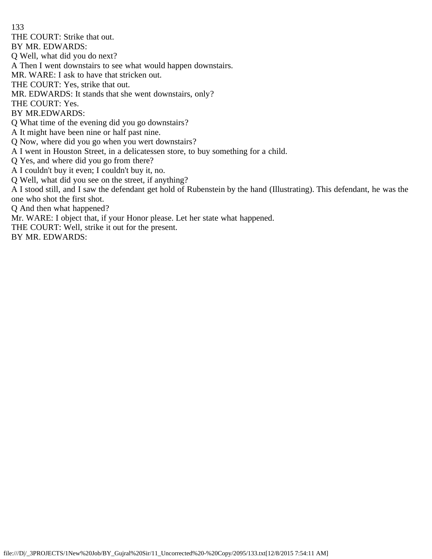THE COURT: Strike that out.

BY MR. EDWARDS:

Q Well, what did you do next?

A Then I went downstairs to see what would happen downstairs.

MR. WARE: I ask to have that stricken out.

THE COURT: Yes, strike that out.

MR. EDWARDS: It stands that she went downstairs, only?

THE COURT: Yes.

BY MR.EDWARDS:

Q What time of the evening did you go downstairs?

A It might have been nine or half past nine.

Q Now, where did you go when you wert downstairs?

A I went in Houston Street, in a delicatessen store, to buy something for a child.

Q Yes, and where did you go from there?

A I couldn't buy it even; I couldn't buy it, no.

Q Well, what did you see on the street, if anything?

A I stood still, and I saw the defendant get hold of Rubenstein by the hand (Illustrating). This defendant, he was the one who shot the first shot.

Q And then what happened?

Mr. WARE: I object that, if your Honor please. Let her state what happened.

THE COURT: Well, strike it out for the present.

BY MR. EDWARDS: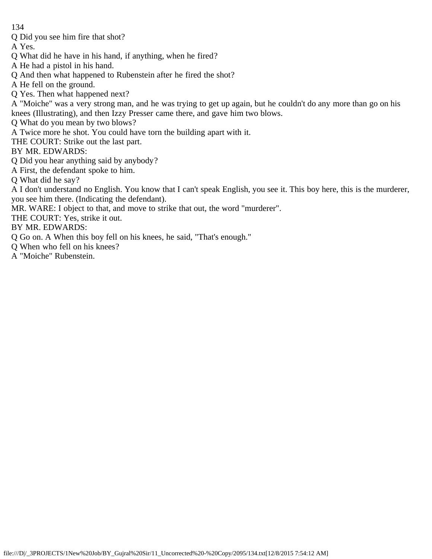Q Did you see him fire that shot?

A Yes.

- Q What did he have in his hand, if anything, when he fired?
- A He had a pistol in his hand.
- Q And then what happened to Rubenstein after he fired the shot?
- A He fell on the ground.
- Q Yes. Then what happened next?
- A "Moiche" was a very strong man, and he was trying to get up again, but he couldn't do any more than go on his knees (Illustrating), and then Izzy Presser came there, and gave him two blows.
- Q What do you mean by two blows?
- A Twice more he shot. You could have torn the building apart with it.
- THE COURT: Strike out the last part.
- BY MR. EDWARDS:
- Q Did you hear anything said by anybody?
- A First, the defendant spoke to him.
- Q What did he say?
- A I don't understand no English. You know that I can't speak English, you see it. This boy here, this is the murderer, you see him there. (Indicating the defendant).
- MR. WARE: I object to that, and move to strike that out, the word "murderer".
- THE COURT: Yes, strike it out.
- BY MR. EDWARDS:
- Q Go on. A When this boy fell on his knees, he said, "That's enough."
- Q When who fell on his knees?
- A "Moiche" Rubenstein.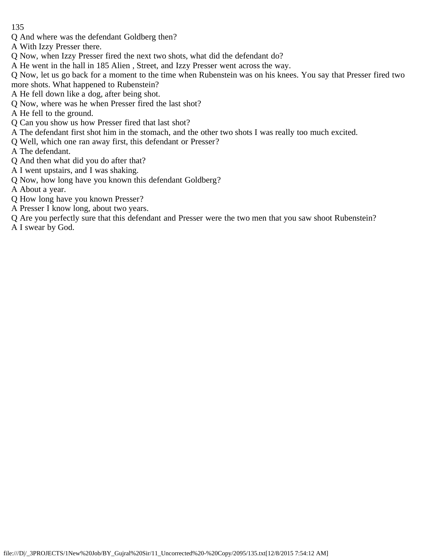- Q And where was the defendant Goldberg then?
- A With Izzy Presser there.
- Q Now, when Izzy Presser fired the next two shots, what did the defendant do?
- A He went in the hall in 185 Alien , Street, and Izzy Presser went across the way.
- Q Now, let us go back for a moment to the time when Rubenstein was on his knees. You say that Presser fired two more shots. What happened to Rubenstein?
- A He fell down like a dog, after being shot.
- Q Now, where was he when Presser fired the last shot?
- A He fell to the ground.
- Q Can you show us how Presser fired that last shot?
- A The defendant first shot him in the stomach, and the other two shots I was really too much excited.
- Q Well, which one ran away first, this defendant or Presser?
- A The defendant.
- Q And then what did you do after that?
- A I went upstairs, and I was shaking.
- Q Now, how long have you known this defendant Goldberg?
- A About a year.
- Q How long have you known Presser?
- A Presser I know long, about two years.
- Q Are you perfectly sure that this defendant and Presser were the two men that you saw shoot Rubenstein? A I swear by God.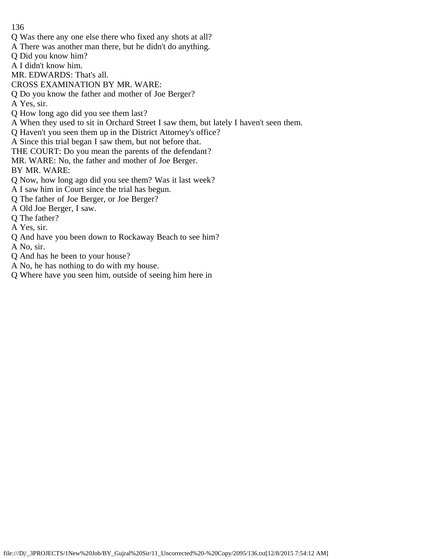- Q Was there any one else there who fixed any shots at all?
- A There was another man there, but he didn't do anything.
- Q Did you know him?
- A I didn't know him.
- MR. EDWARDS: That's all.
- CROSS EXAMINATION BY MR. WARE:
- Q Do you know the father and mother of Joe Berger?
- A Yes, sir.
- Q How long ago did you see them last?
- A When they used to sit in Orchard Street I saw them, but lately I haven't seen them.
- Q Haven't you seen them up in the District Attorney's office?
- A Since this trial began I saw them, but not before that.
- THE COURT: Do you mean the parents of the defendant?
- MR. WARE: No, the father and mother of Joe Berger.
- BY MR. WARE:
- Q Now, how long ago did you see them? Was it last week?
- A I saw him in Court since the trial has begun.
- Q The father of Joe Berger, or Joe Berger?
- A Old Joe Berger, I saw.
- Q The father?
- A Yes, sir.
- Q And have you been down to Rockaway Beach to see him?
- A No, sir.
- Q And has he been to your house?
- A No, he has nothing to do with my house.
- Q Where have you seen him, outside of seeing him here in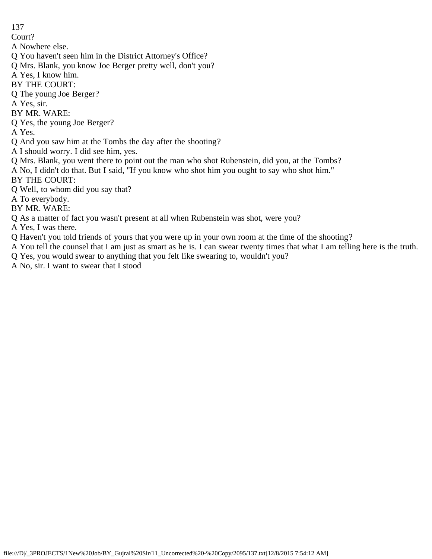Court?

- A Nowhere else.
- Q You haven't seen him in the District Attorney's Office?
- Q Mrs. Blank, you know Joe Berger pretty well, don't you?
- A Yes, I know him.
- BY THE COURT:
- Q The young Joe Berger?
- A Yes, sir.
- BY MR. WARE:
- Q Yes, the young Joe Berger?
- A Yes.
- Q And you saw him at the Tombs the day after the shooting?
- A I should worry. I did see him, yes.
- Q Mrs. Blank, you went there to point out the man who shot Rubenstein, did you, at the Tombs?
- A No, I didn't do that. But I said, "If you know who shot him you ought to say who shot him."
- BY THE COURT:
- Q Well, to whom did you say that?
- A To everybody.
- BY MR. WARE:
- Q As a matter of fact you wasn't present at all when Rubenstein was shot, were you?
- A Yes, I was there.
- Q Haven't you told friends of yours that you were up in your own room at the time of the shooting?
- A You tell the counsel that I am just as smart as he is. I can swear twenty times that what I am telling here is the truth.
- Q Yes, you would swear to anything that you felt like swearing to, wouldn't you?
- A No, sir. I want to swear that I stood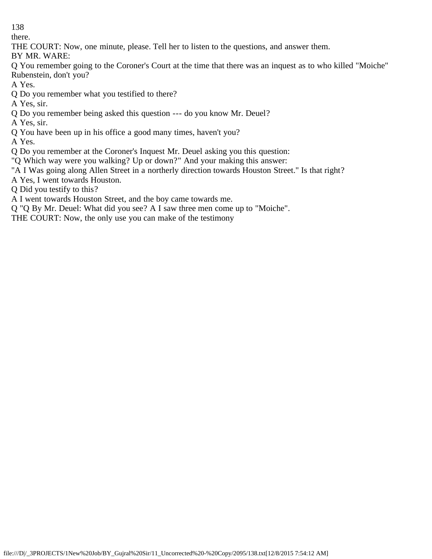there.

THE COURT: Now, one minute, please. Tell her to listen to the questions, and answer them.

BY MR. WARE:

Q You remember going to the Coroner's Court at the time that there was an inquest as to who killed "Moiche" Rubenstein, don't you?

A Yes.

Q Do you remember what you testified to there?

A Yes, sir.

Q Do you remember being asked this question --- do you know Mr. Deuel?

A Yes, sir.

Q You have been up in his office a good many times, haven't you?

A Yes.

Q Do you remember at the Coroner's Inquest Mr. Deuel asking you this question:

"Q Which way were you walking? Up or down?" And your making this answer:

"A I Was going along Allen Street in a northerly direction towards Houston Street." Is that right?

A Yes, I went towards Houston.

Q Did you testify to this?

A I went towards Houston Street, and the boy came towards me.

Q "Q By Mr. Deuel: What did you see? A I saw three men come up to "Moiche".

THE COURT: Now, the only use you can make of the testimony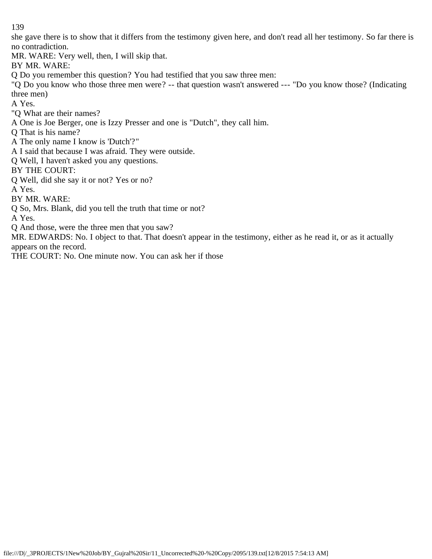she gave there is to show that it differs from the testimony given here, and don't read all her testimony. So far there is no contradiction.

MR. WARE: Very well, then, I will skip that.

BY MR. WARE:

Q Do you remember this question? You had testified that you saw three men:

"Q Do you know who those three men were? -- that question wasn't answered --- "Do you know those? (Indicating three men)

A Yes.

"Q What are their names?

A One is Joe Berger, one is Izzy Presser and one is "Dutch", they call him.

Q That is his name?

A The only name I know is 'Dutch'?"

A I said that because I was afraid. They were outside.

Q Well, I haven't asked you any questions.

BY THE COURT:

Q Well, did she say it or not? Yes or no?

A Yes.

BY MR. WARE:

Q So, Mrs. Blank, did you tell the truth that time or not?

A Yes.

Q And those, were the three men that you saw?

MR. EDWARDS: No. I object to that. That doesn't appear in the testimony, either as he read it, or as it actually appears on the record.

THE COURT: No. One minute now. You can ask her if those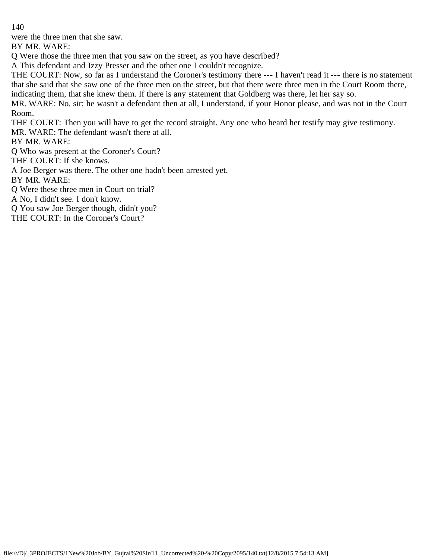were the three men that she saw.

BY MR. WARE:

Q Were those the three men that you saw on the street, as you have described?

A This defendant and Izzy Presser and the other one I couldn't recognize.

THE COURT: Now, so far as I understand the Coroner's testimony there --- I haven't read it --- there is no statement that she said that she saw one of the three men on the street, but that there were three men in the Court Room there, indicating them, that she knew them. If there is any statement that Goldberg was there, let her say so.

MR. WARE: No, sir; he wasn't a defendant then at all, I understand, if your Honor please, and was not in the Court Room.

THE COURT: Then you will have to get the record straight. Any one who heard her testify may give testimony. MR. WARE: The defendant wasn't there at all.

BY MR. WARE:

Q Who was present at the Coroner's Court?

THE COURT: If she knows.

A Joe Berger was there. The other one hadn't been arrested yet.

BY MR. WARE:

Q Were these three men in Court on trial?

A No, I didn't see. I don't know.

Q You saw Joe Berger though, didn't you?

THE COURT: In the Coroner's Court?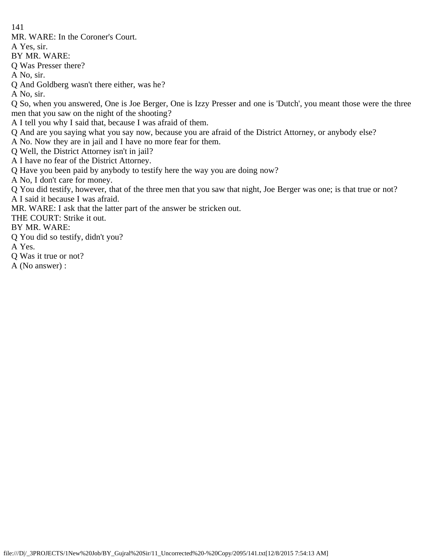MR. WARE: In the Coroner's Court.

A Yes, sir.

BY MR. WARE:

Q Was Presser there?

A No, sir.

Q And Goldberg wasn't there either, was he?

A No, sir.

Q So, when you answered, One is Joe Berger, One is Izzy Presser and one is 'Dutch', you meant those were the three men that you saw on the night of the shooting?

A I tell you why I said that, because I was afraid of them.

Q And are you saying what you say now, because you are afraid of the District Attorney, or anybody else?

A No. Now they are in jail and I have no more fear for them.

Q Well, the District Attorney isn't in jail?

A I have no fear of the District Attorney.

Q Have you been paid by anybody to testify here the way you are doing now?

A No, I don't care for money.

Q You did testify, however, that of the three men that you saw that night, Joe Berger was one; is that true or not?

A I said it because I was afraid.

MR. WARE: I ask that the latter part of the answer be stricken out.

THE COURT: Strike it out.

BY MR. WARE:

Q You did so testify, didn't you?

A Yes.

Q Was it true or not?

A (No answer) :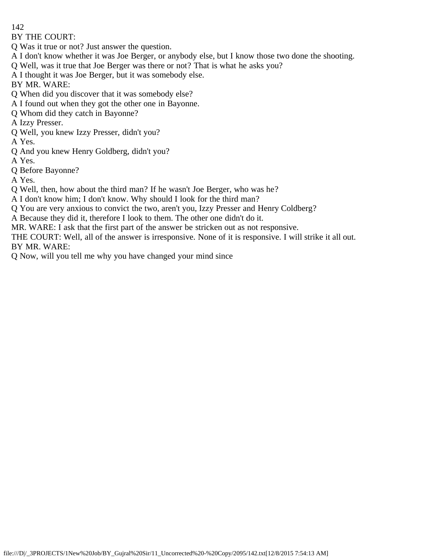BY THE COURT:

Q Was it true or not? Just answer the question.

- A I don't know whether it was Joe Berger, or anybody else, but I know those two done the shooting.
- Q Well, was it true that Joe Berger was there or not? That is what he asks you?
- A I thought it was Joe Berger, but it was somebody else.

BY MR. WARE:

- Q When did you discover that it was somebody else?
- A I found out when they got the other one in Bayonne.
- Q Whom did they catch in Bayonne?
- A Izzy Presser.
- Q Well, you knew Izzy Presser, didn't you?

A Yes.

- Q And you knew Henry Goldberg, didn't you?
- A Yes.
- Q Before Bayonne?

A Yes.

- Q Well, then, how about the third man? If he wasn't Joe Berger, who was he?
- A I don't know him; I don't know. Why should I look for the third man?
- Q You are very anxious to convict the two, aren't you, Izzy Presser and Henry Coldberg?
- A Because they did it, therefore I look to them. The other one didn't do it.
- MR. WARE: I ask that the first part of the answer be stricken out as not responsive.
- THE COURT: Well, all of the answer is irresponsive. None of it is responsive. I will strike it all out. BY MR. WARE:
- Q Now, will you tell me why you have changed your mind since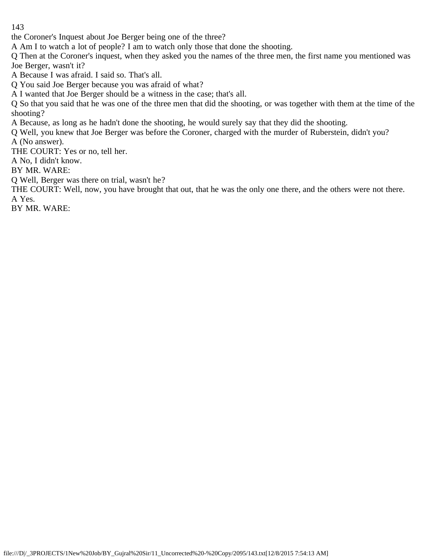the Coroner's Inquest about Joe Berger being one of the three?

A Am I to watch a lot of people? I am to watch only those that done the shooting.

Q Then at the Coroner's inquest, when they asked you the names of the three men, the first name you mentioned was Joe Berger, wasn't it?

A Because I was afraid. I said so. That's all.

Q You said Joe Berger because you was afraid of what?

A I wanted that Joe Berger should be a witness in the case; that's all.

Q So that you said that he was one of the three men that did the shooting, or was together with them at the time of the shooting?

A Because, as long as he hadn't done the shooting, he would surely say that they did the shooting.

Q Well, you knew that Joe Berger was before the Coroner, charged with the murder of Ruberstein, didn't you?

A (No answer).

THE COURT: Yes or no, tell her.

A No, I didn't know.

BY MR. WARE:

Q Well, Berger was there on trial, wasn't he?

THE COURT: Well, now, you have brought that out, that he was the only one there, and the others were not there. A Yes.

BY MR. WARE: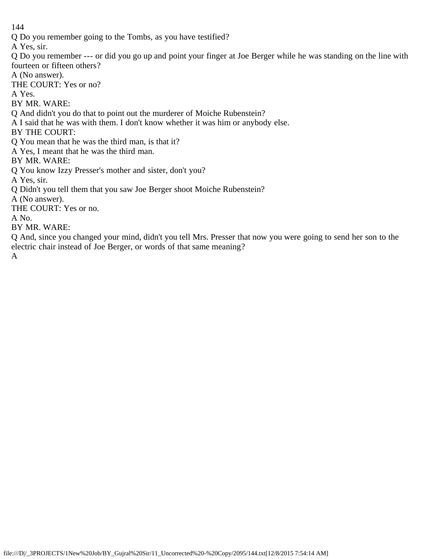Q Do you remember going to the Tombs, as you have testified?

A Yes, sir.

Q Do you remember --- or did you go up and point your finger at Joe Berger while he was standing on the line with fourteen or fifteen others?

A (No answer).

THE COURT: Yes or no?

A Yes.

BY MR. WARE:

Q And didn't you do that to point out the murderer of Moiche Rubenstein?

A I said that he was with them. I don't know whether it was him or anybody else.

BY THE COURT:

Q You mean that he was the third man, is that it?

A Yes, I meant that he was the third man.

BY MR. WARE:

Q You know Izzy Presser's mother and sister, don't you?

A Yes, sir.

Q Didn't you tell them that you saw Joe Berger shoot Moiche Rubenstein?

A (No answer).

THE COURT: Yes or no.

A No.

BY MR. WARE:

Q And, since you changed your mind, didn't you tell Mrs. Presser that now you were going to send her son to the electric chair instead of Joe Berger, or words of that same meaning?

A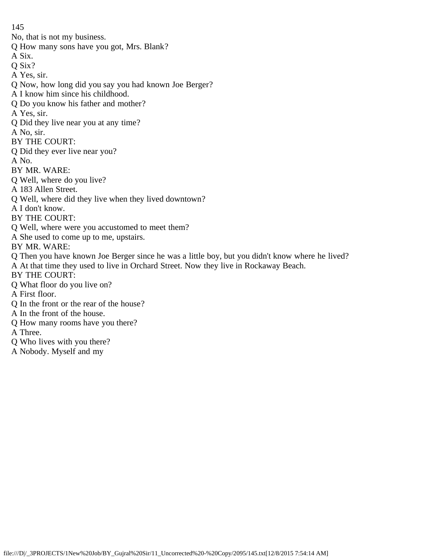No, that is not my business.

- Q How many sons have you got, Mrs. Blank?
- A Six.
- Q Six?
- A Yes, sir.
- Q Now, how long did you say you had known Joe Berger?
- A I know him since his childhood.
- Q Do you know his father and mother?
- A Yes, sir.
- Q Did they live near you at any time?
- A No, sir.
- BY THE COURT:
- Q Did they ever live near you?
- A No.
- BY MR. WARE:
- Q Well, where do you live?
- A 183 Allen Street.
- Q Well, where did they live when they lived downtown?
- A I don't know.
- BY THE COURT:
- Q Well, where were you accustomed to meet them?
- A She used to come up to me, upstairs.
- BY MR. WARE:
- Q Then you have known Joe Berger since he was a little boy, but you didn't know where he lived? A At that time they used to live in Orchard Street. Now they live in Rockaway Beach.
- BY THE COURT:
- Q What floor do you live on?
- A First floor.
- Q In the front or the rear of the house?
- A In the front of the house.
- Q How many rooms have you there?
- A Three.
- Q Who lives with you there?
- A Nobody. Myself and my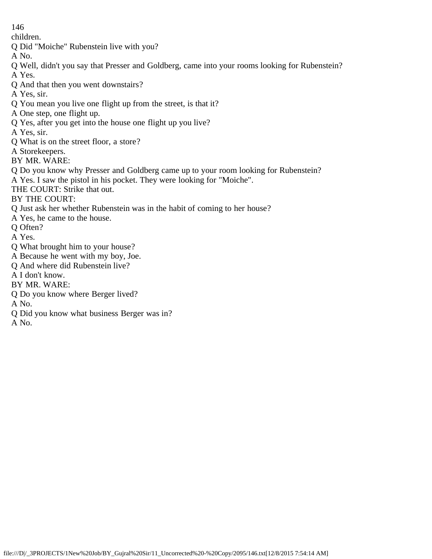children.

Q Did "Moiche" Rubenstein live with you?

A No.

Q Well, didn't you say that Presser and Goldberg, came into your rooms looking for Rubenstein? A Yes.

Q And that then you went downstairs?

A Yes, sir.

Q You mean you live one flight up from the street, is that it?

A One step, one flight up.

Q Yes, after you get into the house one flight up you live?

A Yes, sir.

Q What is on the street floor, a store?

A Storekeepers.

BY MR. WARE:

Q Do you know why Presser and Goldberg came up to your room looking for Rubenstein?

A Yes. I saw the pistol in his pocket. They were looking for "Moiche".

THE COURT: Strike that out.

BY THE COURT:

Q Just ask her whether Rubenstein was in the habit of coming to her house?

A Yes, he came to the house.

Q Often?

A Yes.

Q What brought him to your house?

A Because he went with my boy, Joe.

Q And where did Rubenstein live?

A I don't know.

BY MR. WARE:

Q Do you know where Berger lived?

A No.

Q Did you know what business Berger was in?

A No.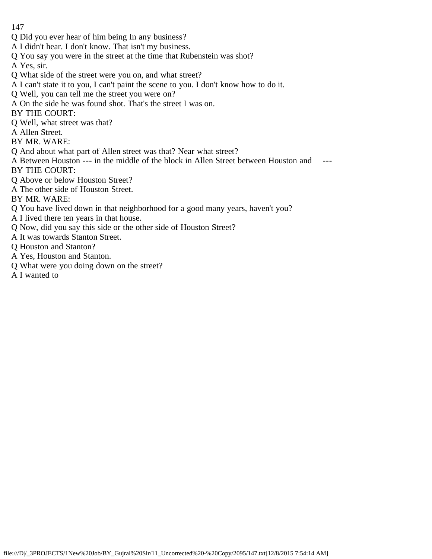- Q Did you ever hear of him being In any business?
- A I didn't hear. I don't know. That isn't my business.
- Q You say you were in the street at the time that Rubenstein was shot?

A Yes, sir.

- Q What side of the street were you on, and what street?
- A I can't state it to you, I can't paint the scene to you. I don't know how to do it.
- Q Well, you can tell me the street you were on?
- A On the side he was found shot. That's the street I was on.
- BY THE COURT:
- Q Well, what street was that?
- A Allen Street.
- BY MR. WARE:
- Q And about what part of Allen street was that? Near what street?
- A Between Houston --- in the middle of the block in Allen Street between Houston and --- BY THE COURT:
- Q Above or below Houston Street?
- A The other side of Houston Street.

BY MR. WARE:

- Q You have lived down in that neighborhood for a good many years, haven't you?
- A I lived there ten years in that house.
- Q Now, did you say this side or the other side of Houston Street?
- A It was towards Stanton Street.
- Q Houston and Stanton?
- A Yes, Houston and Stanton.
- Q What were you doing down on the street?
- A I wanted to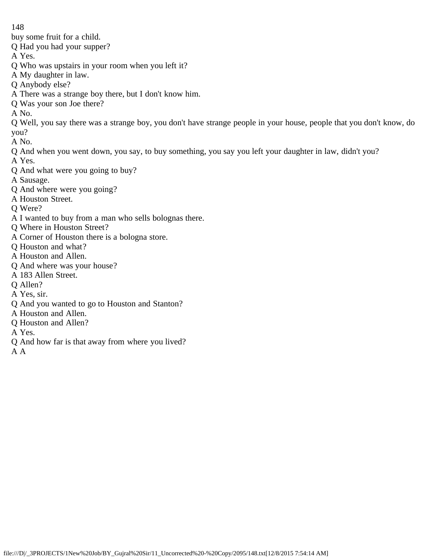buy some fruit for a child.

Q Had you had your supper?

A Yes.

- Q Who was upstairs in your room when you left it?
- A My daughter in law.
- Q Anybody else?
- A There was a strange boy there, but I don't know him.
- Q Was your son Joe there?

A No.

Q Well, you say there was a strange boy, you don't have strange people in your house, people that you don't know, do you?

A No.

- Q And when you went down, you say, to buy something, you say you left your daughter in law, didn't you?
- A Yes.
- Q And what were you going to buy?
- A Sausage.
- Q And where were you going?
- A Houston Street.
- Q Were?
- A I wanted to buy from a man who sells bolognas there.
- Q Where in Houston Street?
- A Corner of Houston there is a bologna store.
- Q Houston and what?
- A Houston and Allen.
- Q And where was your house?
- A 183 Allen Street.
- Q Allen?
- A Yes, sir.
- Q And you wanted to go to Houston and Stanton?
- A Houston and Allen.
- Q Houston and Allen?
- A Yes.
- Q And how far is that away from where you lived?

A A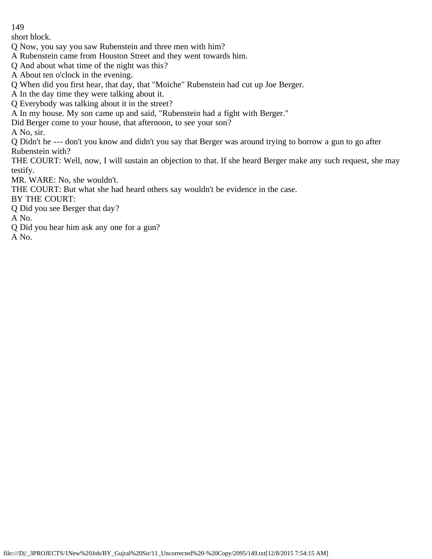short block.

- Q Now, you say you saw Rubenstein and three men with him?
- A Rubenstein came from Houston Street and they went towards him.
- Q And about what time of the night was this?
- A About ten o'clock in the evening.
- Q When did you first hear, that day, that "Moiche" Rubenstein had cut up Joe Berger.
- A In the day time they were talking about it.
- Q Everybody was talking about it in the street?
- A In my house. My son came up and said, "Rubenstein had a fight with Berger."
- Did Berger come to your house, that afternoon, to see your son?
- A No, sir.

Q Didn't he --- don't you know and didn't you say that Berger was around trying to borrow a gun to go after Rubenstein with?

THE COURT: Well, now, I will sustain an objection to that. If she heard Berger make any such request, she may testify.

MR. WARE: No, she wouldn't.

THE COURT: But what she had heard others say wouldn't be evidence in the case.

- BY THE COURT:
- Q Did you see Berger that day?

A No.

- Q Did you hear him ask any one for a gun?
- A No.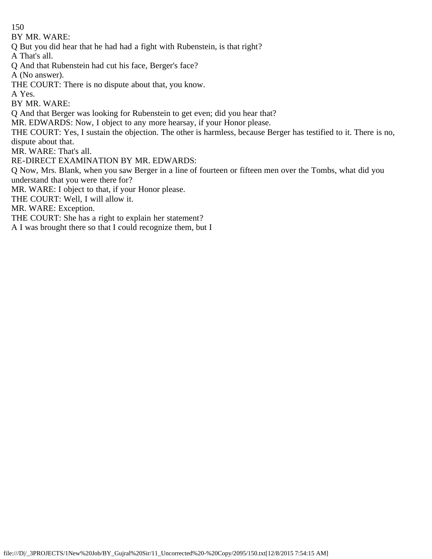BY MR. WARE:

Q But you did hear that he had had a fight with Rubenstein, is that right?

A That's all.

Q And that Rubenstein had cut his face, Berger's face?

A (No answer).

THE COURT: There is no dispute about that, you know.

A Yes.

BY MR. WARE:

Q And that Berger was looking for Rubenstein to get even; did you hear that?

MR. EDWARDS: Now, I object to any more hearsay, if your Honor please.

THE COURT: Yes, I sustain the objection. The other is harmless, because Berger has testified to it. There is no, dispute about that.

MR. WARE: That's all.

RE-DIRECT EXAMINATION BY MR. EDWARDS:

Q Now, Mrs. Blank, when you saw Berger in a line of fourteen or fifteen men over the Tombs, what did you understand that you were there for?

MR. WARE: I object to that, if your Honor please.

THE COURT: Well, I will allow it.

MR. WARE: Exception.

THE COURT: She has a right to explain her statement?

A I was brought there so that I could recognize them, but I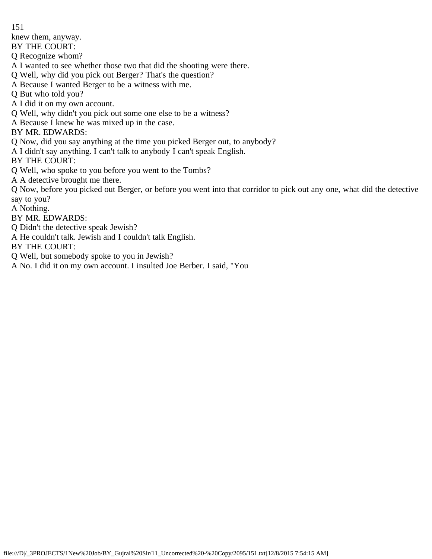knew them, anyway.

BY THE COURT:

Q Recognize whom?

A I wanted to see whether those two that did the shooting were there.

Q Well, why did you pick out Berger? That's the question?

A Because I wanted Berger to be a witness with me.

Q But who told you?

A I did it on my own account.

Q Well, why didn't you pick out some one else to be a witness?

A Because I knew he was mixed up in the case.

BY MR. EDWARDS:

Q Now, did you say anything at the time you picked Berger out, to anybody?

A I didn't say anything. I can't talk to anybody I can't speak English.

BY THE COURT:

Q Well, who spoke to you before you went to the Tombs?

A A detective brought me there.

Q Now, before you picked out Berger, or before you went into that corridor to pick out any one, what did the detective say to you?

A Nothing.

BY MR. EDWARDS:

Q Didn't the detective speak Jewish?

A He couldn't talk. Jewish and I couldn't talk English.

BY THE COURT:

Q Well, but somebody spoke to you in Jewish?

A No. I did it on my own account. I insulted Joe Berber. I said, "You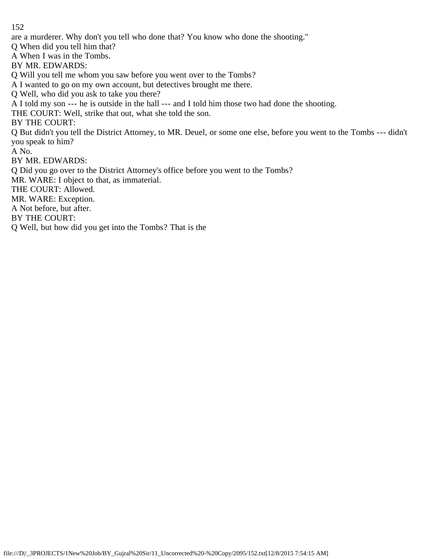are a murderer. Why don't you tell who done that? You know who done the shooting."

Q When did you tell him that?

A When I was in the Tombs.

BY MR. EDWARDS:

Q Will you tell me whom you saw before you went over to the Tombs?

A I wanted to go on my own account, but detectives brought me there.

Q Well, who did you ask to take you there?

A I told my son --- he is outside in the hall --- and I told him those two had done the shooting.

THE COURT: Well, strike that out, what she told the son.

BY THE COURT:

Q But didn't you tell the District Attorney, to MR. Deuel, or some one else, before you went to the Tombs --- didn't you speak to him?

A No.

BY MR. EDWARDS:

Q Did you go over to the District Attorney's office before you went to the Tombs?

MR. WARE: I object to that, as immaterial.

THE COURT: Allowed.

MR. WARE: Exception.

A Not before, but after.

BY THE COURT:

Q Well, but how did you get into the Tombs? That is the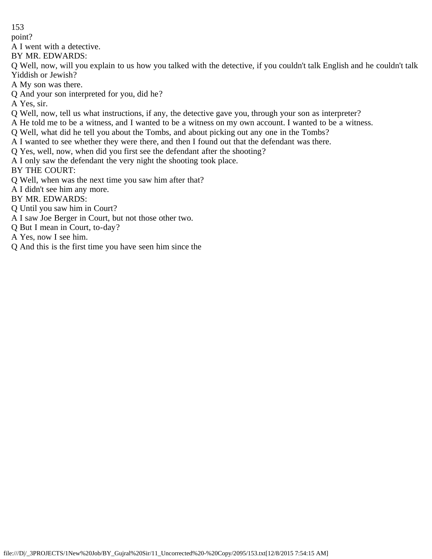point?

A I went with a detective.

BY MR. EDWARDS:

Q Well, now, will you explain to us how you talked with the detective, if you couldn't talk English and he couldn't talk Yiddish or Jewish?

- A My son was there.
- Q And your son interpreted for you, did he?

A Yes, sir.

- Q Well, now, tell us what instructions, if any, the detective gave you, through your son as interpreter?
- A He told me to be a witness, and I wanted to be a witness on my own account. I wanted to be a witness.
- Q Well, what did he tell you about the Tombs, and about picking out any one in the Tombs?
- A I wanted to see whether they were there, and then I found out that the defendant was there.
- Q Yes, well, now, when did you first see the defendant after the shooting?

A I only saw the defendant the very night the shooting took place.

BY THE COURT:

- Q Well, when was the next time you saw him after that?
- A I didn't see him any more.

BY MR. EDWARDS:

- Q Until you saw him in Court?
- A I saw Joe Berger in Court, but not those other two.
- Q But I mean in Court, to-day?
- A Yes, now I see him.
- Q And this is the first time you have seen him since the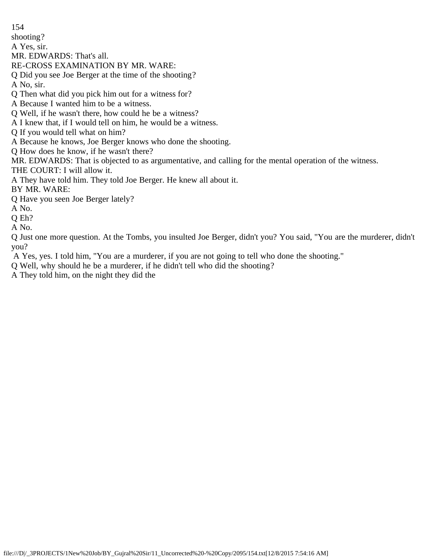154 shooting? A Yes, sir. MR. EDWARDS: That's all. RE-CROSS EXAMINATION BY MR. WARE: Q Did you see Joe Berger at the time of the shooting? A No, sir. Q Then what did you pick him out for a witness for? A Because I wanted him to be a witness. Q Well, if he wasn't there, how could he be a witness? A I knew that, if I would tell on him, he would be a witness. Q If you would tell what on him? A Because he knows, Joe Berger knows who done the shooting. Q How does he know, if he wasn't there? MR. EDWARDS: That is objected to as argumentative, and calling for the mental operation of the witness. THE COURT: I will allow it. A They have told him. They told Joe Berger. He knew all about it. BY MR. WARE: Q Have you seen Joe Berger lately? A No. Q Eh? A No. Q Just one more question. At the Tombs, you insulted Joe Berger, didn't you? You said, "You are the murderer, didn't

you?

A Yes, yes. I told him, "You are a murderer, if you are not going to tell who done the shooting."

Q Well, why should he be a murderer, if he didn't tell who did the shooting?

A They told him, on the night they did the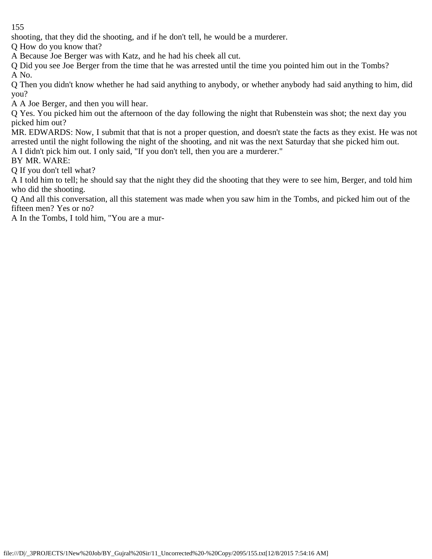shooting, that they did the shooting, and if he don't tell, he would be a murderer.

Q How do you know that?

A Because Joe Berger was with Katz, and he had his cheek all cut.

Q Did you see Joe Berger from the time that he was arrested until the time you pointed him out in the Tombs? A No.

Q Then you didn't know whether he had said anything to anybody, or whether anybody had said anything to him, did you?

A A Joe Berger, and then you will hear.

Q Yes. You picked him out the afternoon of the day following the night that Rubenstein was shot; the next day you picked him out?

MR. EDWARDS: Now, I submit that that is not a proper question, and doesn't state the facts as they exist. He was not arrested until the night following the night of the shooting, and nit was the next Saturday that she picked him out. A I didn't pick him out. I only said, "If you don't tell, then you are a murderer."

BY MR. WARE:

Q If you don't tell what?

A I told him to tell; he should say that the night they did the shooting that they were to see him, Berger, and told him who did the shooting.

Q And all this conversation, all this statement was made when you saw him in the Tombs, and picked him out of the fifteen men? Yes or no?

A In the Tombs, I told him, "You are a mur-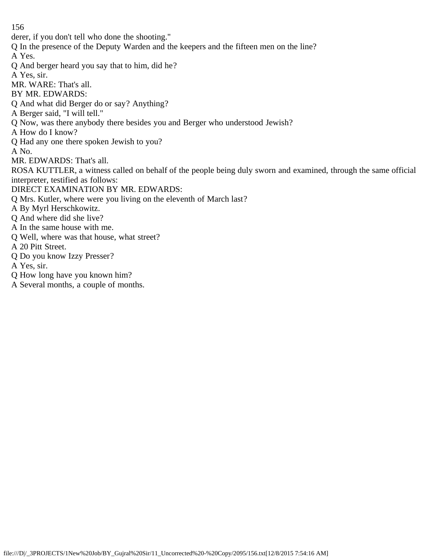derer, if you don't tell who done the shooting." Q In the presence of the Deputy Warden and the keepers and the fifteen men on the line? A Yes. Q And berger heard you say that to him, did he? A Yes, sir. MR. WARE: That's all. BY MR. EDWARDS: Q And what did Berger do or say? Anything? A Berger said, "I will tell." Q Now, was there anybody there besides you and Berger who understood Jewish? A How do I know? Q Had any one there spoken Jewish to you? A No. MR. EDWARDS: That's all. ROSA KUTTLER, a witness called on behalf of the people being duly sworn and examined, through the same official interpreter, testified as follows: DIRECT EXAMINATION BY MR. EDWARDS: Q Mrs. Kutler, where were you living on the eleventh of March last? A By Myrl Herschkowitz. Q And where did she live? A In the same house with me. Q Well, where was that house, what street? A 20 Pitt Street. Q Do you know Izzy Presser? A Yes, sir. Q How long have you known him?

A Several months, a couple of months.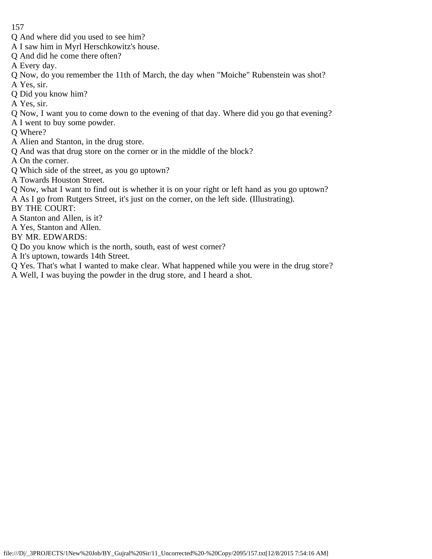- Q And where did you used to see him?
- A I saw him in Myrl Herschkowitz's house.
- Q And did he come there often?
- A Every day.
- Q Now, do you remember the 11th of March, the day when "Moiche" Rubenstein was shot?
- A Yes, sir.
- Q Did you know him?
- A Yes, sir.
- Q Now, I want you to come down to the evening of that day. Where did you go that evening?
- A I went to buy some powder.
- Q Where?
- A Alien and Stanton, in the drug store.
- Q And was that drug store on the corner or in the middle of the block?
- A On the corner.
- Q Which side of the street, as you go uptown?
- A Towards Houston Street.
- Q Now, what I want to find out is whether it is on your right or left hand as you go uptown?
- A As I go from Rutgers Street, it's just on the corner, on the left side. (Illustrating).
- BY THE COURT:
- A Stanton and Allen, is it?
- A Yes, Stanton and Allen.
- BY MR. EDWARDS:
- Q Do you know which is the north, south, east of west corner?
- A It's uptown, towards 14th Street.
- Q Yes. That's what I wanted to make clear. What happened while you were in the drug store?
- A Well, I was buying the powder in the drug store, and I heard a shot.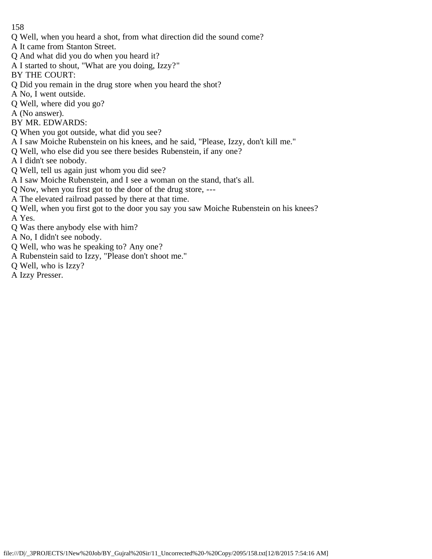- Q Well, when you heard a shot, from what direction did the sound come?
- A It came from Stanton Street.
- Q And what did you do when you heard it?
- A I started to shout, "What are you doing, Izzy?"
- BY THE COURT:
- Q Did you remain in the drug store when you heard the shot?
- A No, I went outside.
- Q Well, where did you go?
- A (No answer).
- BY MR. EDWARDS:
- Q When you got outside, what did you see?
- A I saw Moiche Rubenstein on his knees, and he said, "Please, Izzy, don't kill me."
- Q Well, who else did you see there besides Rubenstein, if any one?
- A I didn't see nobody.
- Q Well, tell us again just whom you did see?
- A I saw Moiche Rubenstein, and I see a woman on the stand, that's all.
- Q Now, when you first got to the door of the drug store, ---
- A The elevated railroad passed by there at that time.
- Q Well, when you first got to the door you say you saw Moiche Rubenstein on his knees? A Yes.
- Q Was there anybody else with him?
- A No, I didn't see nobody.
- Q Well, who was he speaking to? Any one?
- A Rubenstein said to Izzy, "Please don't shoot me."
- Q Well, who is Izzy?
- A Izzy Presser.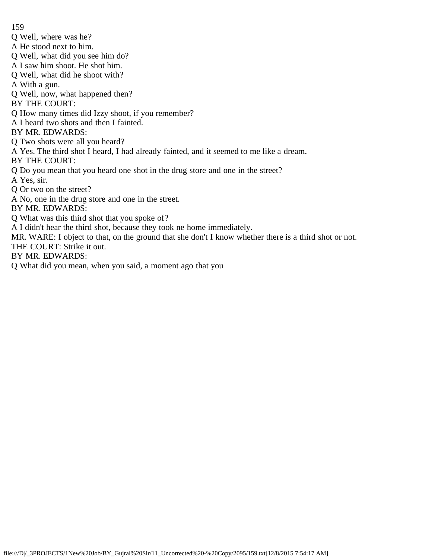Q Well, where was he?

A He stood next to him.

Q Well, what did you see him do?

A I saw him shoot. He shot him.

Q Well, what did he shoot with?

A With a gun.

Q Well, now, what happened then?

BY THE COURT:

Q How many times did Izzy shoot, if you remember?

A I heard two shots and then I fainted.

BY MR. EDWARDS:

Q Two shots were all you heard?

A Yes. The third shot I heard, I had already fainted, and it seemed to me like a dream.

BY THE COURT:

Q Do you mean that you heard one shot in the drug store and one in the street?

A Yes, sir.

Q Or two on the street?

A No, one in the drug store and one in the street.

BY MR. EDWARDS:

Q What was this third shot that you spoke of?

A I didn't hear the third shot, because they took ne home immediately.

MR. WARE: I object to that, on the ground that she don't I know whether there is a third shot or not.

THE COURT: Strike it out.

BY MR. EDWARDS:

Q What did you mean, when you said, a moment ago that you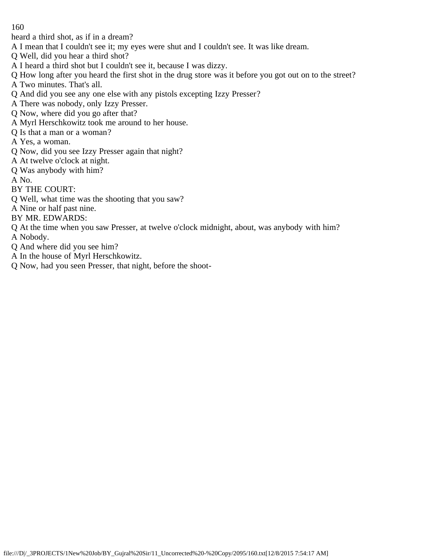heard a third shot, as if in a dream?

- A I mean that I couldn't see it; my eyes were shut and I couldn't see. It was like dream.
- Q Well, did you hear a third shot?
- A I heard a third shot but I couldn't see it, because I was dizzy.
- Q How long after you heard the first shot in the drug store was it before you got out on to the street?
- A Two minutes. That's all.
- Q And did you see any one else with any pistols excepting Izzy Presser?
- A There was nobody, only Izzy Presser.
- Q Now, where did you go after that?
- A Myrl Herschkowitz took me around to her house.
- Q Is that a man or a woman?
- A Yes, a woman.
- Q Now, did you see Izzy Presser again that night?
- A At twelve o'clock at night.
- Q Was anybody with him?
- A No.
- BY THE COURT:
- Q Well, what time was the shooting that you saw?
- A Nine or half past nine.
- BY MR. EDWARDS:
- Q At the time when you saw Presser, at twelve o'clock midnight, about, was anybody with him? A Nobody.
- Q And where did you see him?
- A In the house of Myrl Herschkowitz.
- Q Now, had you seen Presser, that night, before the shoot-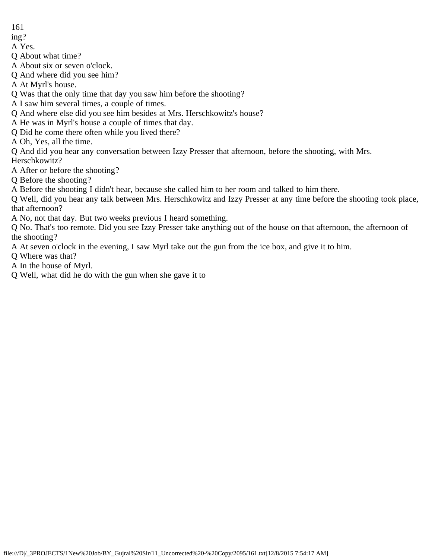- 161
- ing?
- A Yes.

Q About what time?

A About six or seven o'clock.

Q And where did you see him?

A At Myrl's house.

Q Was that the only time that day you saw him before the shooting?

A I saw him several times, a couple of times.

Q And where else did you see him besides at Mrs. Herschkowitz's house?

A He was in Myrl's house a couple of times that day.

Q Did he come there often while you lived there?

A Oh, Yes, all the time.

Q And did you hear any conversation between Izzy Presser that afternoon, before the shooting, with Mrs. Herschkowitz?

A After or before the shooting?

Q Before the shooting?

A Before the shooting I didn't hear, because she called him to her room and talked to him there.

Q Well, did you hear any talk between Mrs. Herschkowitz and Izzy Presser at any time before the shooting took place, that afternoon?

A No, not that day. But two weeks previous I heard something.

Q No. That's too remote. Did you see Izzy Presser take anything out of the house on that afternoon, the afternoon of the shooting?

A At seven o'clock in the evening, I saw Myrl take out the gun from the ice box, and give it to him.

Q Where was that?

A In the house of Myrl.

Q Well, what did he do with the gun when she gave it to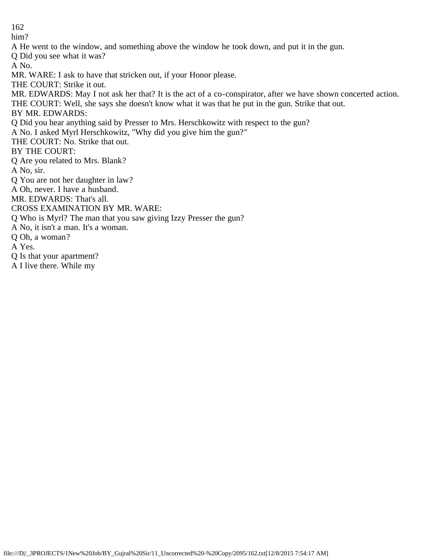him? A He went to the window, and something above the window he took down, and put it in the gun. Q Did you see what it was? A No. MR. WARE: I ask to have that stricken out, if your Honor please. THE COURT: Strike it out. MR. EDWARDS: May I not ask her that? It is the act of a co-conspirator, after we have shown concerted action. THE COURT: Well, she says she doesn't know what it was that he put in the gun. Strike that out. BY MR. EDWARDS: Q Did you hear anything said by Presser to Mrs. Herschkowitz with respect to the gun? A No. I asked Myrl Herschkowitz, "Why did you give him the gun?" THE COURT: No. Strike that out. BY THE COURT: Q Are you related to Mrs. Blank? A No, sir. Q You are not her daughter in law? A Oh, never. I have a husband. MR. EDWARDS: That's all. CROSS EXAMINATION BY MR. WARE: Q Who is Myrl? The man that you saw giving Izzy Presser the gun? A No, it isn't a man. It's a woman. Q Oh, a woman? A Yes. Q Is that your apartment? A I live there. While my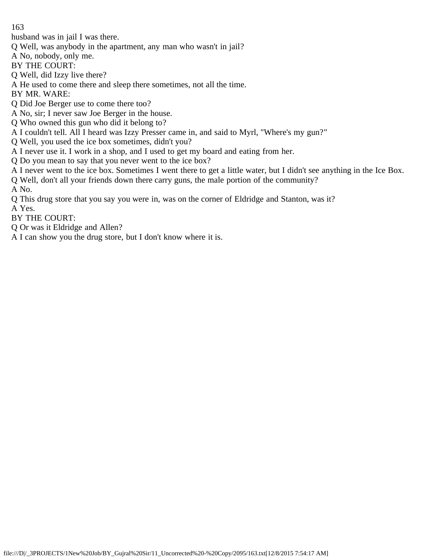husband was in jail I was there.

Q Well, was anybody in the apartment, any man who wasn't in jail?

A No, nobody, only me.

BY THE COURT:

Q Well, did Izzy live there?

A He used to come there and sleep there sometimes, not all the time.

BY MR. WARE:

Q Did Joe Berger use to come there too?

A No, sir; I never saw Joe Berger in the house.

Q Who owned this gun who did it belong to?

A I couldn't tell. All I heard was Izzy Presser came in, and said to Myrl, "Where's my gun?"

Q Well, you used the ice box sometimes, didn't you?

A I never use it. I work in a shop, and I used to get my board and eating from her.

Q Do you mean to say that you never went to the ice box?

A I never went to the ice box. Sometimes I went there to get a little water, but I didn't see anything in the Ice Box.

Q Well, don't all your friends down there carry guns, the male portion of the community? A No.

Q This drug store that you say you were in, was on the corner of Eldridge and Stanton, was it?

A Yes.

BY THE COURT:

Q Or was it Eldridge and Allen?

A I can show you the drug store, but I don't know where it is.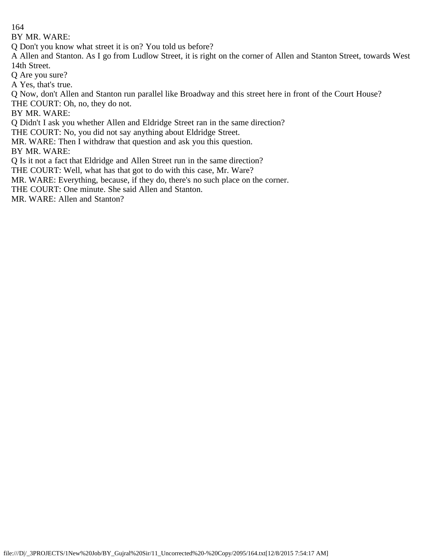BY MR. WARE:

Q Don't you know what street it is on? You told us before?

A Allen and Stanton. As I go from Ludlow Street, it is right on the corner of Allen and Stanton Street, towards West 14th Street.

Q Are you sure?

A Yes, that's true.

Q Now, don't Allen and Stanton run parallel like Broadway and this street here in front of the Court House?

THE COURT: Oh, no, they do not.

BY MR. WARE:

Q Didn't I ask you whether Allen and Eldridge Street ran in the same direction?

THE COURT: No, you did not say anything about Eldridge Street.

MR. WARE: Then I withdraw that question and ask you this question.

BY MR. WARE:

Q Is it not a fact that Eldridge and Allen Street run in the same direction?

THE COURT: Well, what has that got to do with this case, Mr. Ware?

MR. WARE: Everything, because, if they do, there's no such place on the corner.

THE COURT: One minute. She said Allen and Stanton.

MR. WARE: Allen and Stanton?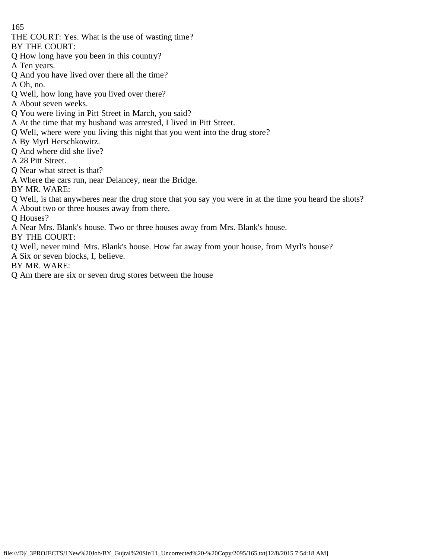THE COURT: Yes. What is the use of wasting time?

BY THE COURT:

- Q How long have you been in this country?
- A Ten years.
- Q And you have lived over there all the time?
- A Oh, no.
- Q Well, how long have you lived over there?
- A About seven weeks.
- Q You were living in Pitt Street in March, you said?
- A At the time that my husband was arrested, I lived in Pitt Street.
- Q Well, where were you living this night that you went into the drug store?
- A By Myrl Herschkowitz.
- Q And where did she live?
- A 28 Pitt Street.
- Q Near what street is that?
- A Where the cars run, near Delancey, near the Bridge.
- BY MR. WARE:
- Q Well, is that anywheres near the drug store that you say you were in at the time you heard the shots?
- A About two or three houses away from there.

Q Houses?

A Near Mrs. Blank's house. Two or three houses away from Mrs. Blank's house.

BY THE COURT:

- Q Well, never mind Mrs. Blank's house. How far away from your house, from Myrl's house?
- A Six or seven blocks, I, believe.
- BY MR. WARE:
- Q Am there are six or seven drug stores between the house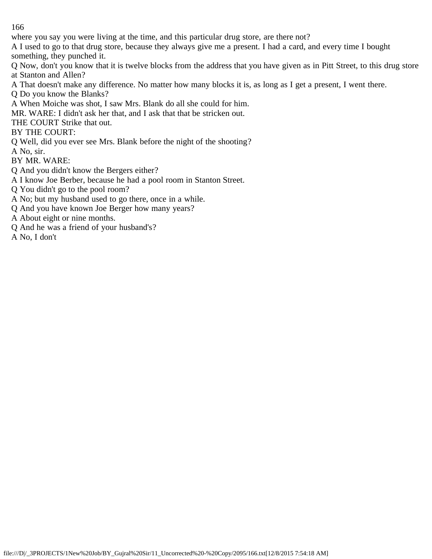where you say you were living at the time, and this particular drug store, are there not?

A I used to go to that drug store, because they always give me a present. I had a card, and every time I bought something, they punched it.

Q Now, don't you know that it is twelve blocks from the address that you have given as in Pitt Street, to this drug store at Stanton and Allen?

- A That doesn't make any difference. No matter how many blocks it is, as long as I get a present, I went there.
- Q Do you know the Blanks?
- A When Moiche was shot, I saw Mrs. Blank do all she could for him.

MR. WARE: I didn't ask her that, and I ask that that be stricken out.

THE COURT Strike that out.

BY THE COURT:

Q Well, did you ever see Mrs. Blank before the night of the shooting?

A No, sir.

BY MR. WARE:

- Q And you didn't know the Bergers either?
- A I know Joe Berber, because he had a pool room in Stanton Street.
- Q You didn't go to the pool room?
- A No; but my husband used to go there, once in a while.
- Q And you have known Joe Berger how many years?
- A About eight or nine months.
- Q And he was a friend of your husband's?
- A No, I don't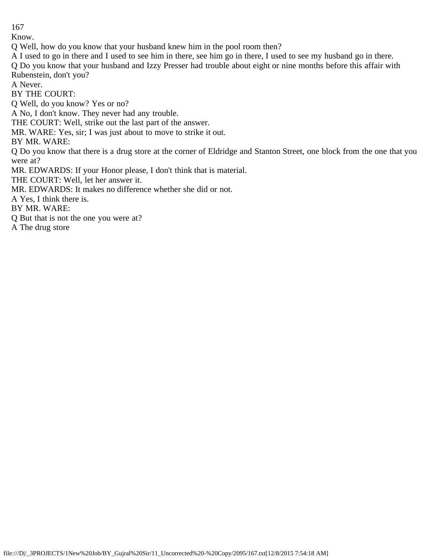Know.

Q Well, how do you know that your husband knew him in the pool room then?

A I used to go in there and I used to see him in there, see him go in there, I used to see my husband go in there.

Q Do you know that your husband and Izzy Presser had trouble about eight or nine months before this affair with Rubenstein, don't you?

A Never.

BY THE COURT:

Q Well, do you know? Yes or no?

A No, I don't know. They never had any trouble.

THE COURT: Well, strike out the last part of the answer.

MR. WARE: Yes, sir; I was just about to move to strike it out.

BY MR. WARE:

Q Do you know that there is a drug store at the corner of Eldridge and Stanton Street, one block from the one that you were at?

MR. EDWARDS: If your Honor please, I don't think that is material.

THE COURT: Well, let her answer it.

MR. EDWARDS: It makes no difference whether she did or not.

A Yes, I think there is.

BY MR. WARE:

Q But that is not the one you were at?

A The drug store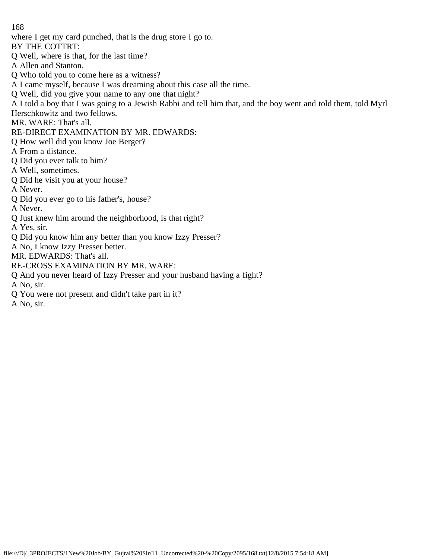where I get my card punched, that is the drug store I go to.

BY THE COTTRT:

Q Well, where is that, for the last time?

A Allen and Stanton.

- Q Who told you to come here as a witness?
- A I came myself, because I was dreaming about this case all the time.
- Q Well, did you give your name to any one that night?

A I told a boy that I was going to a Jewish Rabbi and tell him that, and the boy went and told them, told Myrl

Herschkowitz and two fellows.

MR. WARE: That's all.

RE-DIRECT EXAMINATION BY MR. EDWARDS:

- Q How well did you know Joe Berger?
- A From a distance.
- Q Did you ever talk to him?
- A Well, sometimes.
- Q Did he visit you at your house?

A Never.

Q Did you ever go to his father's, house?

A Never.

Q Just knew him around the neighborhood, is that right?

A Yes, sir.

Q Did you know him any better than you know Izzy Presser?

A No, I know Izzy Presser better.

MR. EDWARDS: That's all.

- RE-CROSS EXAMINATION BY MR. WARE:
- Q And you never heard of Izzy Presser and your husband having a fight?

A No, sir.

Q You were not present and didn't take part in it?

A No, sir.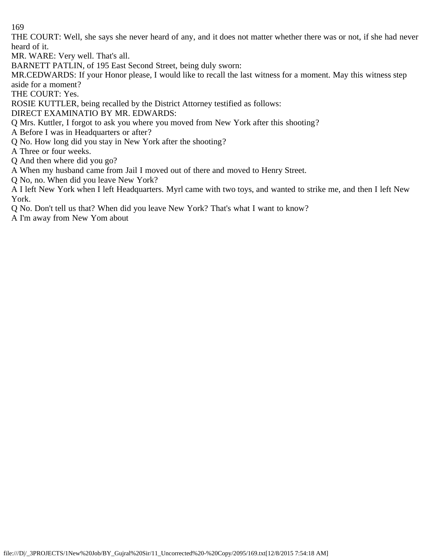THE COURT: Well, she says she never heard of any, and it does not matter whether there was or not, if she had never heard of it.

MR. WARE: Very well. That's all.

BARNETT PATLIN, of 195 East Second Street, being duly sworn:

MR.CEDWARDS: If your Honor please, I would like to recall the last witness for a moment. May this witness step aside for a moment?

THE COURT: Yes.

ROSIE KUTTLER, being recalled by the District Attorney testified as follows:

DIRECT EXAMINATIO BY MR. EDWARDS:

Q Mrs. Kuttler, I forgot to ask you where you moved from New York after this shooting?

A Before I was in Headquarters or after?

Q No. How long did you stay in New York after the shooting?

A Three or four weeks.

Q And then where did you go?

A When my husband came from Jail I moved out of there and moved to Henry Street.

Q No, no. When did you leave New York?

A I left New York when I left Headquarters. Myrl came with two toys, and wanted to strike me, and then I left New York.

Q No. Don't tell us that? When did you leave New York? That's what I want to know?

A I'm away from New Yom about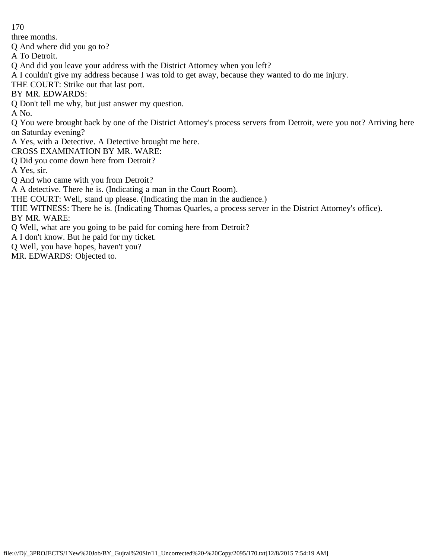three months.

Q And where did you go to?

A To Detroit.

Q And did you leave your address with the District Attorney when you left?

A I couldn't give my address because I was told to get away, because they wanted to do me injury.

THE COURT: Strike out that last port.

BY MR. EDWARDS:

Q Don't tell me why, but just answer my question.

A No.

Q You were brought back by one of the District Attorney's process servers from Detroit, were you not? Arriving here on Saturday evening?

A Yes, with a Detective. A Detective brought me here.

CROSS EXAMINATION BY MR. WARE:

Q Did you come down here from Detroit?

A Yes, sir.

Q And who came with you from Detroit?

A A detective. There he is. (Indicating a man in the Court Room).

THE COURT: Well, stand up please. (Indicating the man in the audience.)

THE WITNESS: There he is. (Indicating Thomas Quarles, a process server in the District Attorney's office). BY MR. WARE:

Q Well, what are you going to be paid for coming here from Detroit?

A I don't know. But he paid for my ticket.

Q Well, you have hopes, haven't you?

MR. EDWARDS: Objected to.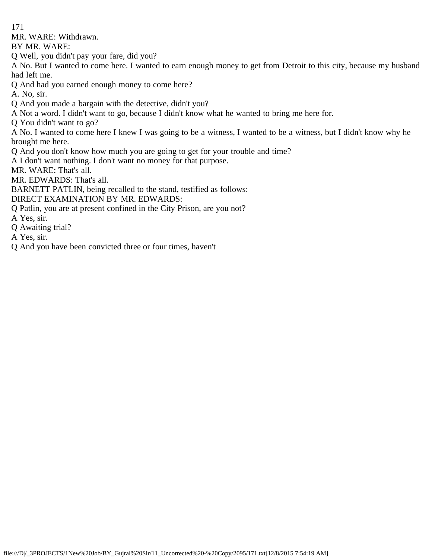MR. WARE: Withdrawn.

BY MR. WARE:

Q Well, you didn't pay your fare, did you?

A No. But I wanted to come here. I wanted to earn enough money to get from Detroit to this city, because my husband had left me.

Q And had you earned enough money to come here?

A. No, sir.

- Q And you made a bargain with the detective, didn't you?
- A Not a word. I didn't want to go, because I didn't know what he wanted to bring me here for.

Q You didn't want to go?

A No. I wanted to come here I knew I was going to be a witness, I wanted to be a witness, but I didn't know why he brought me here.

Q And you don't know how much you are going to get for your trouble and time?

A I don't want nothing. I don't want no money for that purpose.

MR. WARE: That's all.

MR. EDWARDS: That's all.

BARNETT PATLIN, being recalled to the stand, testified as follows:

DIRECT EXAMINATION BY MR. EDWARDS:

- Q Patlin, you are at present confined in the City Prison, are you not?
- A Yes, sir.
- Q Awaiting trial?
- A Yes, sir.
- Q And you have been convicted three or four times, haven't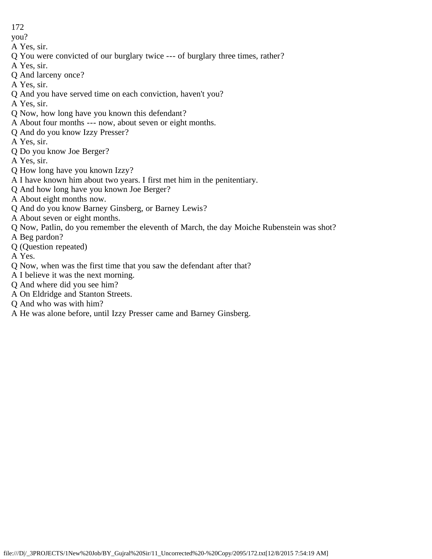you?

- A Yes, sir.
- Q You were convicted of our burglary twice --- of burglary three times, rather?
- A Yes, sir.
- Q And larceny once?
- A Yes, sir.
- Q And you have served time on each conviction, haven't you?
- A Yes, sir.
- Q Now, how long have you known this defendant?
- A About four months --- now, about seven or eight months.
- Q And do you know Izzy Presser?
- A Yes, sir.
- Q Do you know Joe Berger?
- A Yes, sir.
- Q How long have you known Izzy?
- A I have known him about two years. I first met him in the penitentiary.
- Q And how long have you known Joe Berger?
- A About eight months now.
- Q And do you know Barney Ginsberg, or Barney Lewis?
- A About seven or eight months.
- Q Now, Patlin, do you remember the eleventh of March, the day Moiche Rubenstein was shot?
- A Beg pardon?
- Q (Question repeated)
- A Yes.
- Q Now, when was the first time that you saw the defendant after that?
- A I believe it was the next morning.
- Q And where did you see him?
- A On Eldridge and Stanton Streets.
- Q And who was with him?
- A He was alone before, until Izzy Presser came and Barney Ginsberg.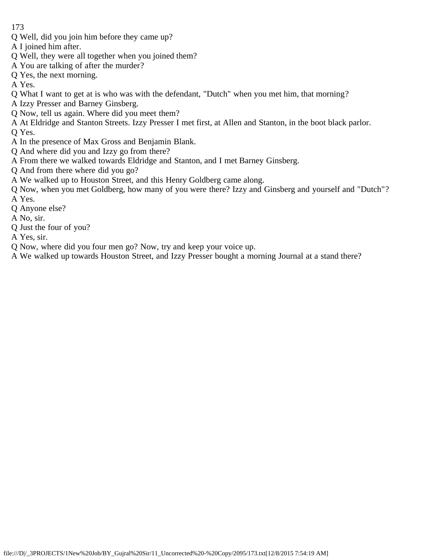- Q Well, did you join him before they came up?
- A I joined him after.
- Q Well, they were all together when you joined them?
- A You are talking of after the murder?
- Q Yes, the next morning.
- A Yes.
- Q What I want to get at is who was with the defendant, "Dutch" when you met him, that morning?
- A Izzy Presser and Barney Ginsberg.
- Q Now, tell us again. Where did you meet them?
- A At Eldridge and Stanton Streets. Izzy Presser I met first, at Allen and Stanton, in the boot black parlor. Q Yes.
- A In the presence of Max Gross and Benjamin Blank.
- Q And where did you and Izzy go from there?
- A From there we walked towards Eldridge and Stanton, and I met Barney Ginsberg.
- Q And from there where did you go?
- A We walked up to Houston Street, and this Henry Goldberg came along.
- Q Now, when you met Goldberg, how many of you were there? Izzy and Ginsberg and yourself and "Dutch"? A Yes.
- Q Anyone else?
- A No, sir.
- Q Just the four of you?
- A Yes, sir.
- Q Now, where did you four men go? Now, try and keep your voice up.
- A We walked up towards Houston Street, and Izzy Presser bought a morning Journal at a stand there?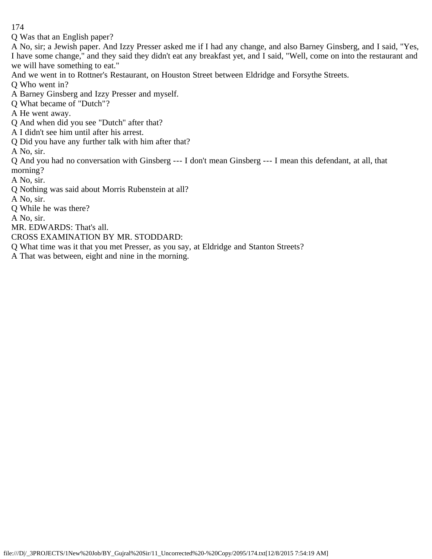Q Was that an English paper?

A No, sir; a Jewish paper. And Izzy Presser asked me if I had any change, and also Barney Ginsberg, and I said, "Yes, I have some change," and they said they didn't eat any breakfast yet, and I said, "Well, come on into the restaurant and we will have something to eat."

And we went in to Rottner's Restaurant, on Houston Street between Eldridge and Forsythe Streets.

Q Who went in?

A Barney Ginsberg and Izzy Presser and myself.

Q What became of "Dutch"?

A He went away.

Q And when did you see "Dutch'' after that?

A I didn't see him until after his arrest.

Q Did you have any further talk with him after that?

A No, sir.

Q And you had no conversation with Ginsberg --- I don't mean Ginsberg --- I mean this defendant, at all, that morning?

A No, sir.

Q Nothing was said about Morris Rubenstein at all?

A No, sir.

Q While he was there?

A No, sir.

MR. EDWARDS: That's all.

CROSS EXAMINATION BY MR. STODDARD:

Q What time was it that you met Presser, as you say, at Eldridge and Stanton Streets?

A That was between, eight and nine in the morning.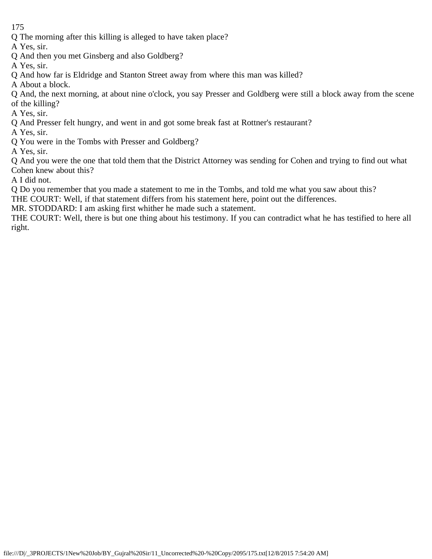Q The morning after this killing is alleged to have taken place?

A Yes, sir.

- Q And then you met Ginsberg and also Goldberg?
- A Yes, sir.
- Q And how far is Eldridge and Stanton Street away from where this man was killed?

A About a block.

Q And, the next morning, at about nine o'clock, you say Presser and Goldberg were still a block away from the scene of the killing?

A Yes, sir.

- Q And Presser felt hungry, and went in and got some break fast at Rottner's restaurant?
- A Yes, sir.
- Q You were in the Tombs with Presser and Goldberg?

A Yes, sir.

Q And you were the one that told them that the District Attorney was sending for Cohen and trying to find out what Cohen knew about this?

A I did not.

Q Do you remember that you made a statement to me in the Tombs, and told me what you saw about this?

THE COURT: Well, if that statement differs from his statement here, point out the differences.

MR. STODDARD: I am asking first whither he made such a statement.

THE COURT: Well, there is but one thing about his testimony. If you can contradict what he has testified to here all right.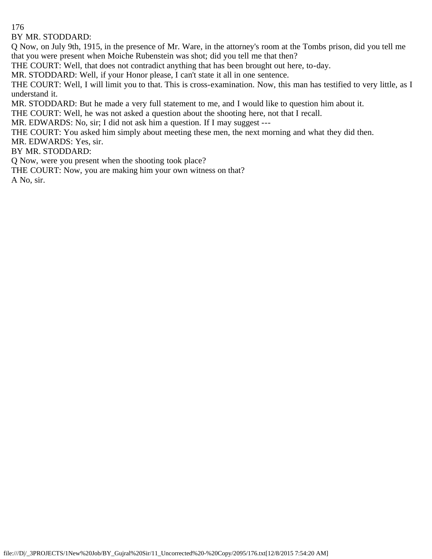BY MR. STODDARD:

Q Now, on July 9th, 1915, in the presence of Mr. Ware, in the attorney's room at the Tombs prison, did you tell me that you were present when Moiche Rubenstein was shot; did you tell me that then?

THE COURT: Well, that does not contradict anything that has been brought out here, to-day.

MR. STODDARD: Well, if your Honor please, I can't state it all in one sentence.

THE COURT: Well, I will limit you to that. This is cross-examination. Now, this man has testified to very little, as I understand it.

MR. STODDARD: But he made a very full statement to me, and I would like to question him about it.

THE COURT: Well, he was not asked a question about the shooting here, not that I recall.

MR. EDWARDS: No, sir; I did not ask him a question. If I may suggest ---

THE COURT: You asked him simply about meeting these men, the next morning and what they did then.

MR. EDWARDS: Yes, sir.

BY MR. STODDARD:

Q Now, were you present when the shooting took place?

THE COURT: Now, you are making him your own witness on that?

A No, sir.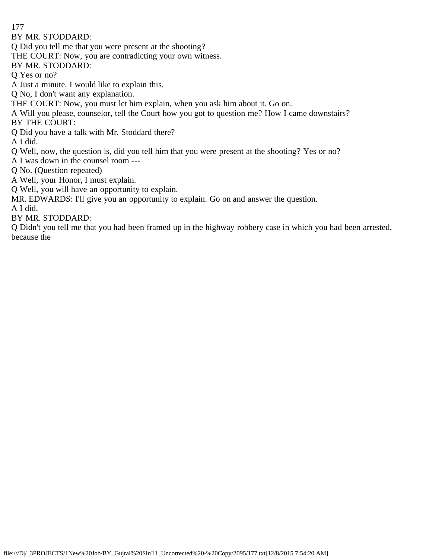BY MR. STODDARD:

Q Did you tell me that you were present at the shooting?

THE COURT: Now, you are contradicting your own witness.

BY MR. STODDARD:

Q Yes or no?

A Just a minute. I would like to explain this.

Q No, I don't want any explanation.

THE COURT: Now, you must let him explain, when you ask him about it. Go on.

A Will you please, counselor, tell the Court how you got to question me? How I came downstairs?

BY THE COURT:

Q Did you have a talk with Mr. Stoddard there?

A I did.

Q Well, now, the question is, did you tell him that you were present at the shooting? Yes or no?

A I was down in the counsel room ---

Q No. (Question repeated)

A Well, your Honor, I must explain.

Q Well, you will have an opportunity to explain.

MR. EDWARDS: I'll give you an opportunity to explain. Go on and answer the question.

A I did.

BY MR. STODDARD:

Q Didn't you tell me that you had been framed up in the highway robbery case in which you had been arrested, because the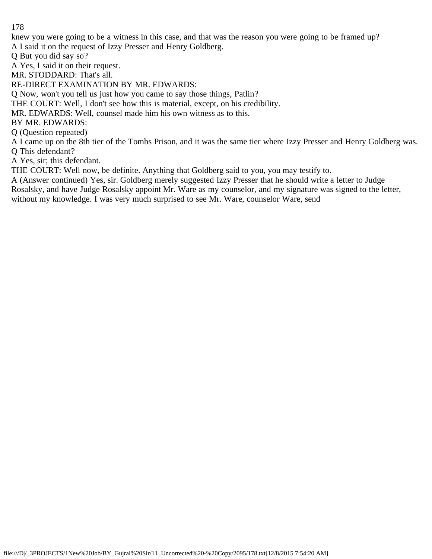knew you were going to be a witness in this case, and that was the reason you were going to be framed up? A I said it on the request of Izzy Presser and Henry Goldberg.

Q But you did say so?

A Yes, I said it on their request.

MR. STODDARD: That's all.

RE-DIRECT EXAMINATION BY MR. EDWARDS:

Q Now, won't you tell us just how you came to say those things, Patlin?

THE COURT: Well, I don't see how this is material, except, on his credibility.

MR. EDWARDS: Well, counsel made him his own witness as to this.

BY MR. EDWARDS:

Q (Question repeated)

A I came up on the 8th tier of the Tombs Prison, and it was the same tier where Izzy Presser and Henry Goldberg was. Q This defendant?

A Yes, sir; this defendant.

THE COURT: Well now, be definite. Anything that Goldberg said to you, you may testify to.

A (Answer continued) Yes, sir. Goldberg merely suggested Izzy Presser that he should write a letter to Judge Rosalsky, and have Judge Rosalsky appoint Mr. Ware as my counselor, and my signature was signed to the letter, without my knowledge. I was very much surprised to see Mr. Ware, counselor Ware, send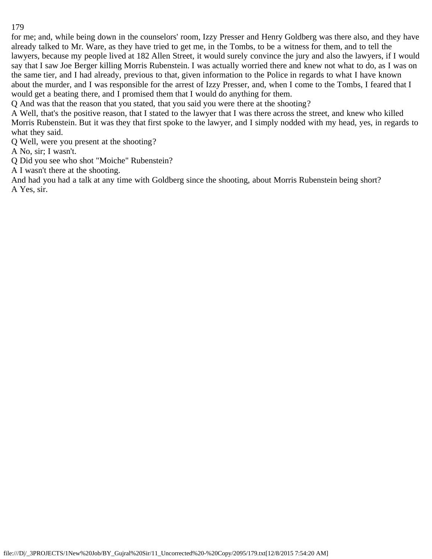for me; and, while being down in the counselors' room, Izzy Presser and Henry Goldberg was there also, and they have already talked to Mr. Ware, as they have tried to get me, in the Tombs, to be a witness for them, and to tell the lawyers, because my people lived at 182 Allen Street, it would surely convince the jury and also the lawyers, if I would say that I saw Joe Berger killing Morris Rubenstein. I was actually worried there and knew not what to do, as I was on the same tier, and I had already, previous to that, given information to the Police in regards to what I have known about the murder, and I was responsible for the arrest of Izzy Presser, and, when I come to the Tombs, I feared that I would get a beating there, and I promised them that I would do anything for them.

Q And was that the reason that you stated, that you said you were there at the shooting?

A Well, that's the positive reason, that I stated to the lawyer that I was there across the street, and knew who killed Morris Rubenstein. But it was they that first spoke to the lawyer, and I simply nodded with my head, yes, in regards to what they said.

Q Well, were you present at the shooting?

A No, sir; I wasn't.

Q Did you see who shot "Moiche" Rubenstein?

A I wasn't there at the shooting.

And had you had a talk at any time with Goldberg since the shooting, about Morris Rubenstein being short? A Yes, sir.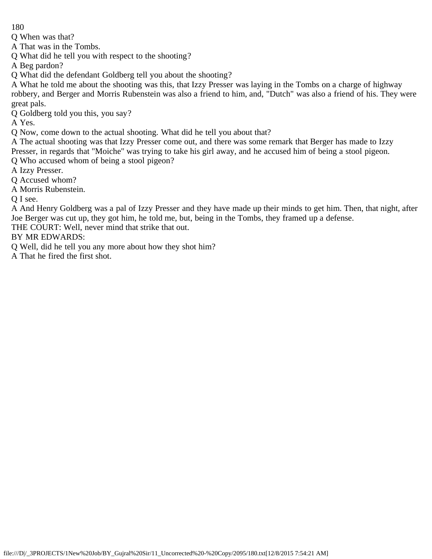Q When was that?

A That was in the Tombs.

Q What did he tell you with respect to the shooting?

A Beg pardon?

Q What did the defendant Goldberg tell you about the shooting?

A What he told me about the shooting was this, that Izzy Presser was laying in the Tombs on a charge of highway robbery, and Berger and Morris Rubenstein was also a friend to him, and, "Dutch" was also a friend of his. They were great pals.

Q Goldberg told you this, you say?

A Yes.

Q Now, come down to the actual shooting. What did he tell you about that?

A The actual shooting was that Izzy Presser come out, and there was some remark that Berger has made to Izzy Presser, in regards that "Moiche" was trying to take his girl away, and he accused him of being a stool pigeon.

Q Who accused whom of being a stool pigeon?

A Izzy Presser.

Q Accused whom?

A Morris Rubenstein.

Q I see.

A And Henry Goldberg was a pal of Izzy Presser and they have made up their minds to get him. Then, that night, after Joe Berger was cut up, they got him, he told me, but, being in the Tombs, they framed up a defense.

THE COURT: Well, never mind that strike that out.

BY MR EDWARDS:

Q Well, did he tell you any more about how they shot him?

A That he fired the first shot.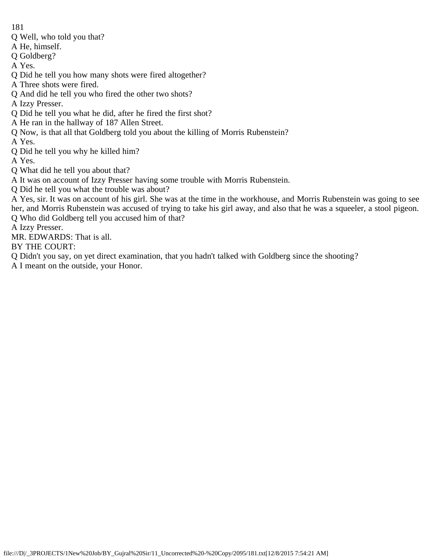- Q Well, who told you that?
- A He, himself.
- Q Goldberg?
- A Yes.
- Q Did he tell you how many shots were fired altogether?
- A Three shots were fired.
- Q And did he tell you who fired the other two shots?
- A Izzy Presser.
- Q Did he tell you what he did, after he fired the first shot?
- A He ran in the hallway of 187 Allen Street.
- Q Now, is that all that Goldberg told you about the killing of Morris Rubenstein?
- A Yes.
- Q Did he tell you why he killed him?
- A Yes.
- Q What did he tell you about that?
- A It was on account of Izzy Presser having some trouble with Morris Rubenstein.
- Q Did he tell you what the trouble was about?
- A Yes, sir. It was on account of his girl. She was at the time in the workhouse, and Morris Rubenstein was going to see her, and Morris Rubenstein was accused of trying to take his girl away, and also that he was a squeeler, a stool pigeon. Q Who did Goldberg tell you accused him of that?
- A Izzy Presser.
- MR. EDWARDS: That is all.
- BY THE COURT:
- Q Didn't you say, on yet direct examination, that you hadn't talked with Goldberg since the shooting?
- A I meant on the outside, your Honor.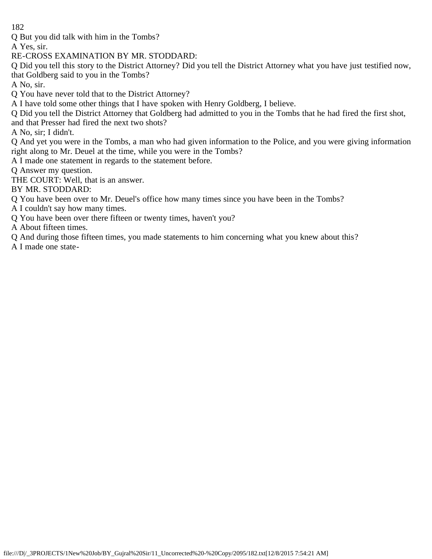Q But you did talk with him in the Tombs?

A Yes, sir.

RE-CROSS EXAMINATION BY MR. STODDARD:

Q Did you tell this story to the District Attorney? Did you tell the District Attorney what you have just testified now, that Goldberg said to you in the Tombs?

A No, sir.

Q You have never told that to the District Attorney?

A I have told some other things that I have spoken with Henry Goldberg, I believe.

Q Did you tell the District Attorney that Goldberg had admitted to you in the Tombs that he had fired the first shot,

and that Presser had fired the next two shots?

A No, sir; I didn't.

Q And yet you were in the Tombs, a man who had given information to the Police, and you were giving information right along to Mr. Deuel at the time, while you were in the Tombs?

A I made one statement in regards to the statement before.

Q Answer my question.

THE COURT: Well, that is an answer.

BY MR. STODDARD:

Q You have been over to Mr. Deuel's office how many times since you have been in the Tombs?

A I couldn't say how many times.

Q You have been over there fifteen or twenty times, haven't you?

A About fifteen times.

Q And during those fifteen times, you made statements to him concerning what you knew about this?

A I made one state-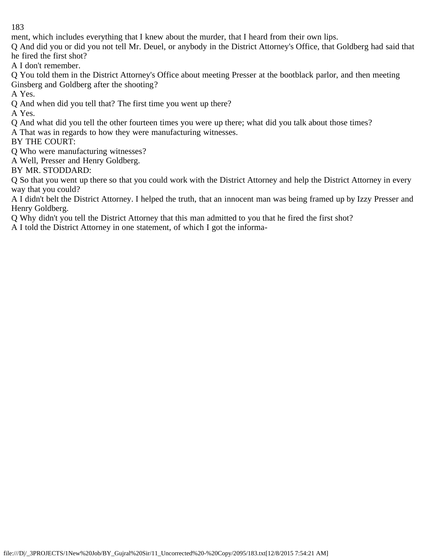ment, which includes everything that I knew about the murder, that I heard from their own lips.

Q And did you or did you not tell Mr. Deuel, or anybody in the District Attorney's Office, that Goldberg had said that he fired the first shot?

A I don't remember.

Q You told them in the District Attorney's Office about meeting Presser at the bootblack parlor, and then meeting Ginsberg and Goldberg after the shooting?

A Yes.

Q And when did you tell that? The first time you went up there?

A Yes.

Q And what did you tell the other fourteen times you were up there; what did you talk about those times?

A That was in regards to how they were manufacturing witnesses.

BY THE COURT:

Q Who were manufacturing witnesses?

A Well, Presser and Henry Goldberg.

BY MR. STODDARD:

Q So that you went up there so that you could work with the District Attorney and help the District Attorney in every way that you could?

A I didn't belt the District Attorney. I helped the truth, that an innocent man was being framed up by Izzy Presser and Henry Goldberg.

Q Why didn't you tell the District Attorney that this man admitted to you that he fired the first shot?

A I told the District Attorney in one statement, of which I got the informa-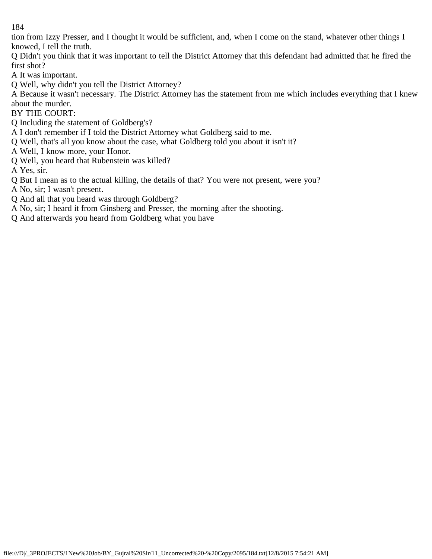tion from Izzy Presser, and I thought it would be sufficient, and, when I come on the stand, whatever other things I knowed, I tell the truth.

Q Didn't you think that it was important to tell the District Attorney that this defendant had admitted that he fired the first shot?

A It was important.

Q Well, why didn't you tell the District Attorney?

A Because it wasn't necessary. The District Attorney has the statement from me which includes everything that I knew about the murder.

BY THE COURT:

Q Including the statement of Goldberg's?

A I don't remember if I told the District Attorney what Goldberg said to me.

- Q Well, that's all you know about the case, what Goldberg told you about it isn't it?
- A Well, I know more, your Honor.
- Q Well, you heard that Rubenstein was killed?

A Yes, sir.

- Q But I mean as to the actual killing, the details of that? You were not present, were you?
- A No, sir; I wasn't present.
- Q And all that you heard was through Goldberg?
- A No, sir; I heard it from Ginsberg and Presser, the morning after the shooting.
- Q And afterwards you heard from Goldberg what you have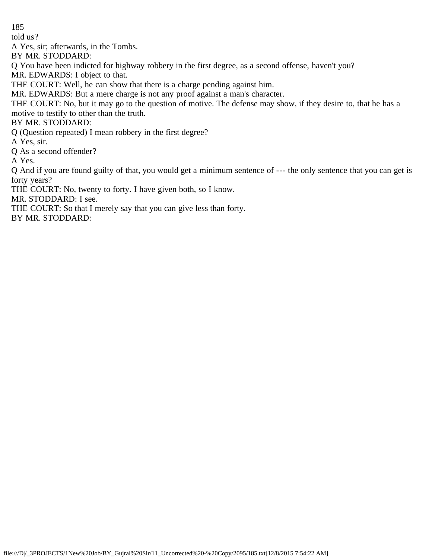told us?

A Yes, sir; afterwards, in the Tombs.

BY MR. STODDARD:

Q You have been indicted for highway robbery in the first degree, as a second offense, haven't you?

MR. EDWARDS: I object to that.

THE COURT: Well, he can show that there is a charge pending against him.

MR. EDWARDS: But a mere charge is not any proof against a man's character.

THE COURT: No, but it may go to the question of motive. The defense may show, if they desire to, that he has a motive to testify to other than the truth.

# BY MR. STODDARD:

Q (Question repeated) I mean robbery in the first degree?

A Yes, sir.

Q As a second offender?

A Yes.

Q And if you are found guilty of that, you would get a minimum sentence of --- the only sentence that you can get is forty years?

THE COURT: No, twenty to forty. I have given both, so I know.

MR. STODDARD: I see.

THE COURT: So that I merely say that you can give less than forty.

BY MR. STODDARD: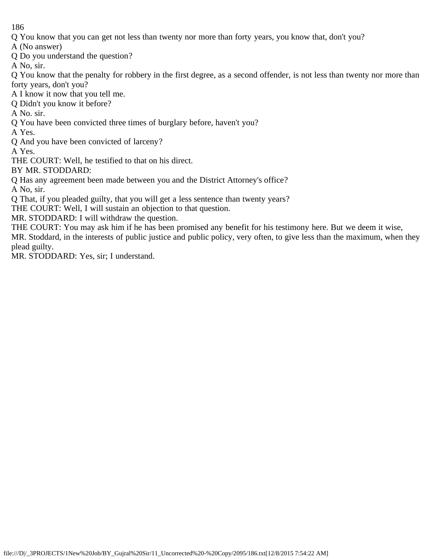Q You know that you can get not less than twenty nor more than forty years, you know that, don't you?

A (No answer)

Q Do you understand the question?

A No, sir.

Q You know that the penalty for robbery in the first degree, as a second offender, is not less than twenty nor more than forty years, don't you?

A I know it now that you tell me.

Q Didn't you know it before?

A No. sir.

Q You have been convicted three times of burglary before, haven't you?

A Yes.

Q And you have been convicted of larceny?

A Yes.

THE COURT: Well, he testified to that on his direct.

BY MR. STODDARD:

Q Has any agreement been made between you and the District Attorney's office?

A No, sir.

Q That, if you pleaded guilty, that you will get a less sentence than twenty years?

THE COURT: Well, I will sustain an objection to that question.

MR. STODDARD: I will withdraw the question.

THE COURT: You may ask him if he has been promised any benefit for his testimony here. But we deem it wise, MR. Stoddard, in the interests of public justice and public policy, very often, to give less than the maximum, when they plead guilty.

MR. STODDARD: Yes, sir; I understand.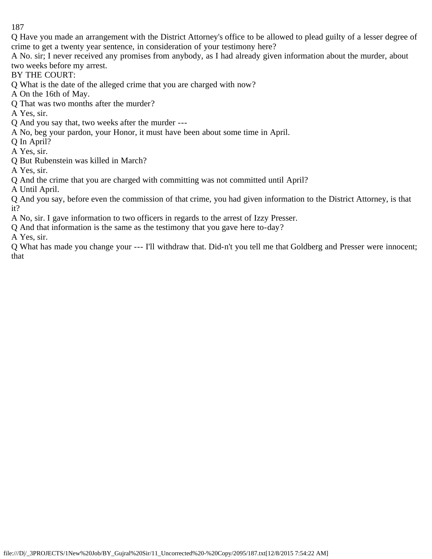Q Have you made an arrangement with the District Attorney's office to be allowed to plead guilty of a lesser degree of crime to get a twenty year sentence, in consideration of your testimony here?

A No. sir; I never received any promises from anybody, as I had already given information about the murder, about two weeks before my arrest.

BY THE COURT:

Q What is the date of the alleged crime that you are charged with now?

A On the 16th of May.

Q That was two months after the murder?

A Yes, sir.

Q And you say that, two weeks after the murder ---

A No, beg your pardon, your Honor, it must have been about some time in April.

Q In April?

A Yes, sir.

Q But Rubenstein was killed in March?

A Yes, sir.

Q And the crime that you are charged with committing was not committed until April?

A Until April.

Q And you say, before even the commission of that crime, you had given information to the District Attorney, is that it?

A No, sir. I gave information to two officers in regards to the arrest of Izzy Presser.

Q And that information is the same as the testimony that you gave here to-day?

A Yes, sir.

Q What has made you change your --- I'll withdraw that. Did-n't you tell me that Goldberg and Presser were innocent; that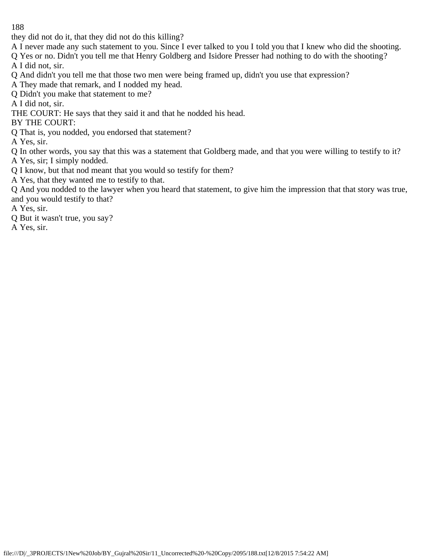they did not do it, that they did not do this killing?

A I never made any such statement to you. Since I ever talked to you I told you that I knew who did the shooting.

Q Yes or no. Didn't you tell me that Henry Goldberg and Isidore Presser had nothing to do with the shooting? A I did not, sir.

Q And didn't you tell me that those two men were being framed up, didn't you use that expression?

A They made that remark, and I nodded my head.

Q Didn't you make that statement to me?

A I did not, sir.

THE COURT: He says that they said it and that he nodded his head.

BY THE COURT:

Q That is, you nodded, you endorsed that statement?

A Yes, sir.

Q In other words, you say that this was a statement that Goldberg made, and that you were willing to testify to it? A Yes, sir; I simply nodded.

Q I know, but that nod meant that you would so testify for them?

A Yes, that they wanted me to testify to that.

Q And you nodded to the lawyer when you heard that statement, to give him the impression that that story was true, and you would testify to that?

A Yes, sir.

Q But it wasn't true, you say?

A Yes, sir.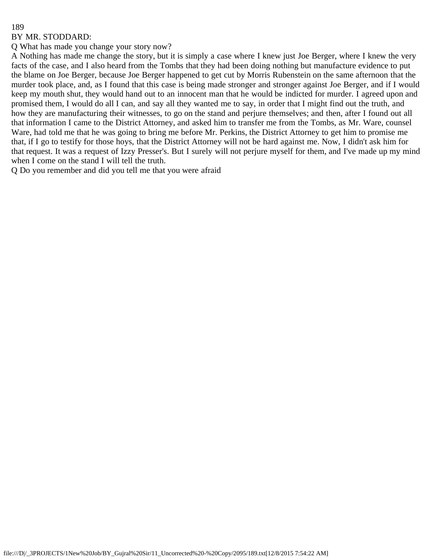#### BY MR. STODDARD:

Q What has made you change your story now?

A Nothing has made me change the story, but it is simply a case where I knew just Joe Berger, where I knew the very facts of the case, and I also heard from the Tombs that they had been doing nothing but manufacture evidence to put the blame on Joe Berger, because Joe Berger happened to get cut by Morris Rubenstein on the same afternoon that the murder took place, and, as I found that this case is being made stronger and stronger against Joe Berger, and if I would keep my mouth shut, they would hand out to an innocent man that he would be indicted for murder. I agreed upon and promised them, I would do all I can, and say all they wanted me to say, in order that I might find out the truth, and how they are manufacturing their witnesses, to go on the stand and perjure themselves; and then, after I found out all that information I came to the District Attorney, and asked him to transfer me from the Tombs, as Mr. Ware, counsel Ware, had told me that he was going to bring me before Mr. Perkins, the District Attorney to get him to promise me that, if I go to testify for those hoys, that the District Attorney will not be hard against me. Now, I didn't ask him for that request. It was a request of Izzy Presser's. But I surely will not perjure myself for them, and I've made up my mind when I come on the stand I will tell the truth.

Q Do you remember and did you tell me that you were afraid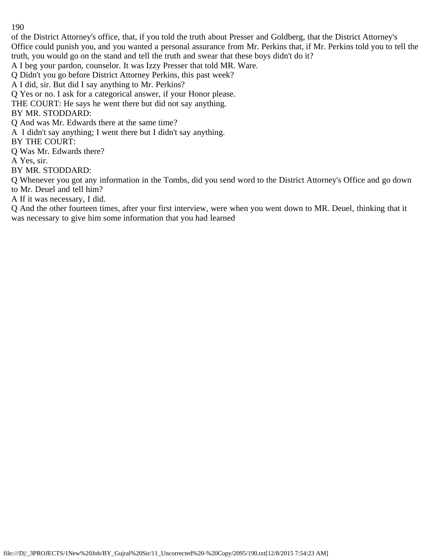of the District Attorney's office, that, if you told the truth about Presser and Goldberg, that the District Attorney's Office could punish you, and you wanted a personal assurance from Mr. Perkins that, if Mr. Perkins told you to tell the truth, you would go on the stand and tell the truth and swear that these boys didn't do it?

A I beg your pardon, counselor. It was Izzy Presser that told MR. Ware.

Q Didn't you go before District Attorney Perkins, this past week?

A I did, sir. But did I say anything to Mr. Perkins?

Q Yes or no. I ask for a categorical answer, if your Honor please.

THE COURT: He says he went there but did not say anything.

# BY MR. STODDARD:

Q And was Mr. Edwards there at the same time?

A I didn't say anything; I went there but I didn't say anything.

BY THE COURT:

Q Was Mr. Edwards there?

A Yes, sir.

BY MR. STODDARD:

Q Whenever you got any information in the Tombs, did you send word to the District Attorney's Office and go down to Mr. Deuel and tell him?

A If it was necessary, I did.

Q And the other fourteen times, after your first interview, were when you went down to MR. Deuel, thinking that it was necessary to give him some information that you had learned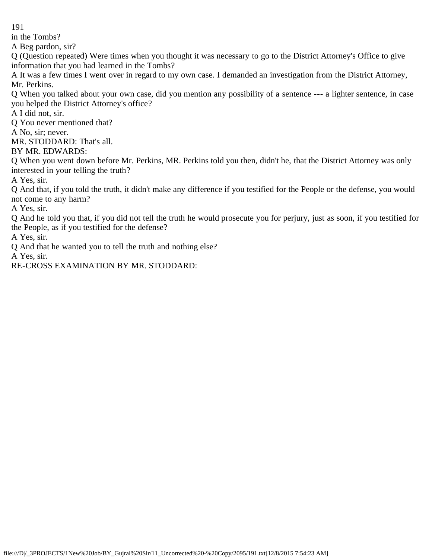in the Tombs?

A Beg pardon, sir?

Q (Question repeated) Were times when you thought it was necessary to go to the District Attorney's Office to give information that you had learned in the Tombs?

A It was a few times I went over in regard to my own case. I demanded an investigation from the District Attorney, Mr. Perkins.

Q When you talked about your own case, did you mention any possibility of a sentence --- a lighter sentence, in case you helped the District Attorney's office?

A I did not, sir.

Q You never mentioned that?

A No, sir; never.

MR. STODDARD: That's all.

BY MR. EDWARDS:

Q When you went down before Mr. Perkins, MR. Perkins told you then, didn't he, that the District Attorney was only interested in your telling the truth?

A Yes, sir.

Q And that, if you told the truth, it didn't make any difference if you testified for the People or the defense, you would not come to any harm?

A Yes, sir.

Q And he told you that, if you did not tell the truth he would prosecute you for perjury, just as soon, if you testified for the People, as if you testified for the defense?

A Yes, sir.

Q And that he wanted you to tell the truth and nothing else?

A Yes, sir.

RE-CROSS EXAMINATION BY MR. STODDARD: